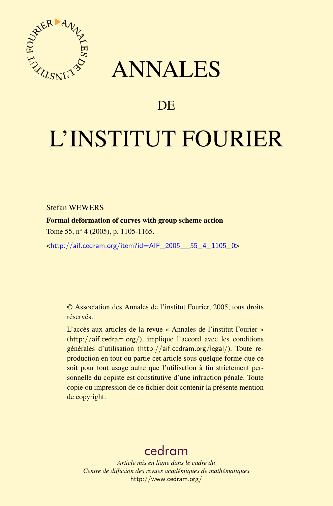



## DE

# L'INSTITUT FOURIER

Stefan WEWERS

Formal deformation of curves with group scheme action

Tome 55,  $n^{\circ}$  4 (2005), p. 1105-1165.

<[http://aif.cedram.org/item?id=AIF\\_2005\\_\\_55\\_4\\_1105\\_0](http://aif.cedram.org/item?id=AIF_2005__55_4_1105_0)>

© Association des Annales de l'institut Fourier, 2005, tous droits réservés.

L'accès aux articles de la revue « Annales de l'institut Fourier » (<http://aif.cedram.org/>), implique l'accord avec les conditions générales d'utilisation (<http://aif.cedram.org/legal/>). Toute reproduction en tout ou partie cet article sous quelque forme que ce soit pour tout usage autre que l'utilisation à fin strictement personnelle du copiste est constitutive d'une infraction pénale. Toute copie ou impression de ce fichier doit contenir la présente mention de copyright.

## [cedram](http://www.cedram.org/)

*Article mis en ligne dans le cadre du Centre de diffusion des revues académiques de mathématiques* <http://www.cedram.org/>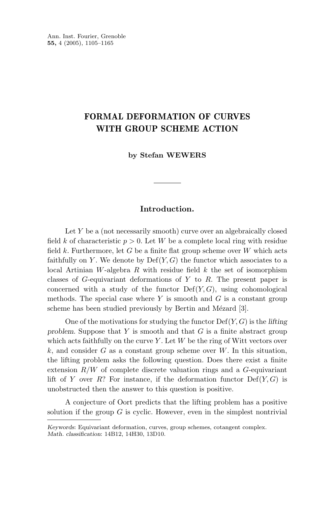### **FORMAL DEFORMATION OF CURVES WITH GROUP SCHEME ACTION**

**by Stefan WEWERS**

#### **Introduction.**

Let *Y* be a (not necessarily smooth) curve over an algebraically closed field *k* of characteristic  $p > 0$ . Let *W* be a complete local ring with residue field  $k$ . Furthermore, let  $G$  be a finite flat group scheme over  $W$  which acts faithfully on *Y*. We denote by  $Def(Y, G)$  the functor which associates to a local Artinian *W*-algebra *R* with residue field *k* the set of isomorphism classes of *G*-equivariant deformations of *Y* to *R*. The present paper is concerned with a study of the functor  $Def(Y, G)$ , using cohomological methods. The special case where *Y* is smooth and *G* is a constant group scheme has been studied previously by Bertin and Mézard [3].

One of the motivations for studying the functor Def(*Y,G*) is the *lifting problem*. Suppose that *Y* is smooth and that *G* is a finite abstract group which acts faithfully on the curve *Y* . Let *W* be the ring of Witt vectors over *k*, and consider *G* as a constant group scheme over *W*. In this situation, the lifting problem asks the following question. Does there exist a finite extension *R/W* of complete discrete valuation rings and a *G*-equivariant lift of *Y* over *R*? For instance, if the deformation functor  $Def(Y, G)$  is unobstructed then the answer to this question is positive.

A conjecture of Oort predicts that the lifting problem has a positive solution if the group  $G$  is cyclic. However, even in the simplest nontrivial

*Keywords*: Equivariant deformation, curves, group schemes, cotangent complex. *Math. classification*: 14B12, 14H30, 13D10.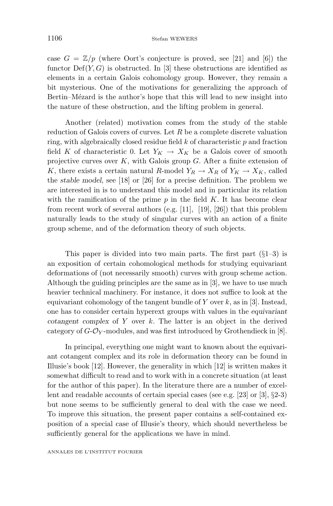case  $G = \mathbb{Z}/p$  (where Oort's conjecture is proved, see [21] and [6]) the functor  $\mathrm{Def}(Y,G)$  is obstructed. In [3] these obstructions are identified as elements in a certain Galois cohomology group. However, they remain a bit mysterious. One of the motivations for generalizing the approach of Bertin–Mézard is the author's hope that this will lead to new insight into the nature of these obstruction, and the lifting problem in general.

Another (related) motivation comes from the study of the stable reduction of Galois covers of curves. Let *R* be a complete discrete valuation ring, with algebraically closed residue field *k* of characteristic *p* and fraction field *K* of characteristic 0. Let  $Y_K \to X_K$  be a Galois cover of smooth projective curves over *K*, with Galois group *G*. After a finite extension of *K*, there exists a certain natural *R*-model  $Y_R \to X_R$  of  $Y_K \to X_K$ , called the *stable model*, see [18] or [26] for a precise definition. The problem we are interested in is to understand this model and in particular its relation with the ramification of the prime *p* in the field *K*. It has become clear from recent work of several authors (e.g. [11], [19], [26]) that this problem naturally leads to the study of singular curves with an action of a finite group scheme, and of the deformation theory of such objects.

This paper is divided into two main parts. The first part  $(\S1-3)$  is an exposition of certain cohomological methods for studying equivariant deformations of (not necessarily smooth) curves with group scheme action. Although the guiding principles are the same as in [3], we have to use much heavier technical machinery. For instance, it does not suffice to look at the equivariant cohomology of the tangent bundle of *Y* over *k*, as in [3]. Instead, one has to consider certain hyperext groups with values in the *equivariant cotangent complex* of *Y* over *k*. The latter is an object in the derived category of  $G-\mathcal{O}_Y$ -modules, and was first introduced by Grothendieck in [8].

In principal, everything one might want to known about the equivariant cotangent complex and its role in deformation theory can be found in Illusie's book [12]. However, the generality in which [12] is written makes it somewhat difficult to read and to work with in a concrete situation (at least for the author of this paper). In the literature there are a number of excellent and readable accounts of certain special cases (see e.g. [23] or [3], §2-3) but none seems to be sufficiently general to deal with the case we need. To improve this situation, the present paper contains a self-contained exposition of a special case of Illusie's theory, which should nevertheless be sufficiently general for the applications we have in mind.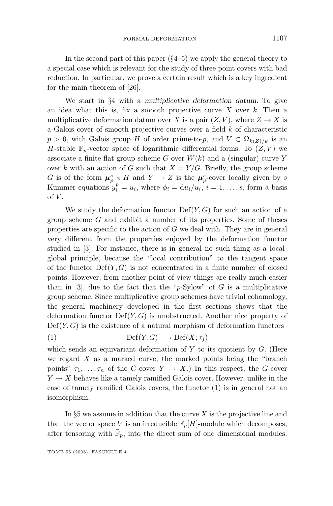In the second part of this paper  $(\S4-5)$  we apply the general theory to a special case which is relevant for the study of three point covers with bad reduction. In particular, we prove a certain result which is a key ingredient for the main theorem of [26].

We start in §4 with a *multiplicative deformation datum*. To give an idea what this is, fix a smooth projective curve *X* over *k*. Then a multiplicative deformation datum over *X* is a pair  $(Z, V)$ , where  $Z \to X$  is a Galois cover of smooth projective curves over a field *k* of characteristic  $p > 0$ , with Galois group *H* of order prime-to-*p*, and  $V \subset \Omega_{k(Z)/k}$  is an *H*-stable  $\mathbb{F}_p$ -vector space of logarithmic differential forms. To  $(Z, V)$  we associate a finite flat group scheme *G* over  $W(k)$  and a (singular) curve *Y* over *k* with an action of *G* such that  $X = Y/G$ . Briefly, the group scheme *G* is of the form  $\mu_p^s \times H$  and  $Y \to Z$  is the  $\mu_p^s$ -cover locally given by *s* Kummer equations  $y_i^p = u_i$ , where  $\phi_i = du_i/u_i$ ,  $i = 1, \ldots, s$ , form a basis of  $V$ .

We study the deformation functor Def(*Y,G*) for such an action of a group scheme *G* and exhibit a number of its properties. Some of theses properties are specific to the action of *G* we deal with. They are in general very different from the properties enjoyed by the deformation functor studied in [3]. For instance, there is in general no such thing as a localglobal principle, because the "local contribution" to the tangent space of the functor  $Def(Y, G)$  is not concentrated in a finite number of closed points. However, from another point of view things are really much easier than in [3], due to the fact that the " $p$ -Sylow" of *G* is a multiplicative group scheme. Since multiplicative group schemes have trivial cohomology, the general machinery developed in the first sections shows that the deformation functor Def(*Y,G*) is unobstructed. Another nice property of  $Def(Y, G)$  is the existence of a natural morphism of deformation functors

$$
(1) \t\t\t Def(Y,G) \longrightarrow Def(X;\tau_j)
$$

which sends an equivariant deformation of *Y* to its quotient by *G*. (Here we regard *X* as a marked curve, the marked points being the "branch points"  $\tau_1, \ldots, \tau_n$  of the *G*-cover  $Y \to X$ .) In this respect, the *G*-cover  $Y \rightarrow X$  behaves like a tamely ramified Galois cover. However, unlike in the case of tamely ramified Galois covers, the functor (1) is in general not an isomorphism.

In §5 we assume in addition that the curve *X* is the projective line and that the vector space *V* is an irreducible  $\mathbb{F}_p[H]$ -module which decomposes, after tensoring with  $\mathbb{F}_p$ , into the direct sum of one dimensional modules.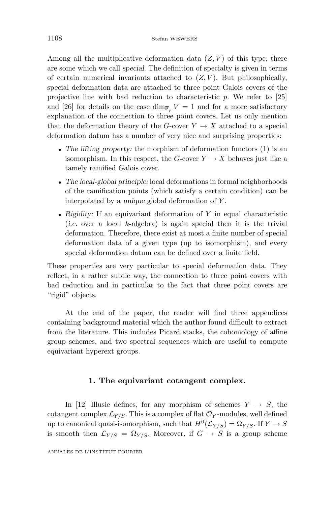Among all the multiplicative deformation data  $(Z, V)$  of this type, there are some which we call *special*. The definition of specialty is given in terms of certain numerical invariants attached to  $(Z, V)$ . But philosophically, special deformation data are attached to three point Galois covers of the projective line with bad reduction to characteristic *p*. We refer to [25] and [26] for details on the case dim<sub>F<sub>p</sub></sub>  $V = 1$  and for a more satisfactory explanation of the connection to three point covers. Let us only mention that the deformation theory of the *G*-cover  $Y \to X$  attached to a special deformation datum has a number of very nice and surprising properties:

- The lifting property: the morphism of deformation functors (1) is an isomorphism. In this respect, the *G*-cover  $Y \to X$  behaves just like a tamely ramified Galois cover.
- *The local-global principle:* local deformations in formal neighborhoods of the ramification points (which satisfy a certain condition) can be interpolated by a *unique* global deformation of *Y* .
- *Rigidity:* If an equivariant deformation of *Y* in equal characteristic (*i.e.* over a local *k*-algebra) is again special then it is the trivial deformation. Therefore, there exist at most a finite number of special deformation data of a given type (up to isomorphism), and every special deformation datum can be defined over a finite field.

These properties are very particular to special deformation data. They reflect, in a rather subtle way, the connection to three point covers with bad reduction and in particular to the fact that three point covers are "rigid" objects.

At the end of the paper, the reader will find three appendices containing background material which the author found difficult to extract from the literature. This includes Picard stacks, the cohomology of affine group schemes, and two spectral sequences which are useful to compute equivariant hyperext groups.

#### **1. The equivariant cotangent complex.**

In [12] Illusie defines, for any morphism of schemes  $Y \rightarrow S$ , the cotangent complex  $\mathcal{L}_{Y/S}$ . This is a complex of flat  $\mathcal{O}_Y$ -modules, well defined up to canonical quasi-isomorphism, such that  $H^0(\mathcal{L}_{Y/S}) = \Omega_{Y/S}$ . If  $Y \to S$ is smooth then  $\mathcal{L}_{Y/S} = \Omega_{Y/S}$ . Moreover, if  $G \to S$  is a group scheme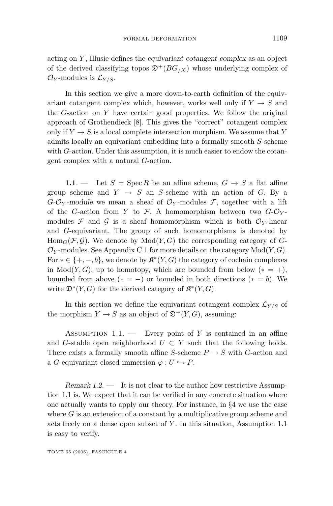acting on *Y* , Illusie defines the *equivariant cotangent complex* as an object of the derived classifying topos  $\mathfrak{D}^{+}(BG_{/X})$  whose underlying complex of  $\mathcal{O}_Y$ -modules is  $\mathcal{L}_{Y/S}$ .

In this section we give a more down-to-earth definition of the equivariant cotangent complex which, however, works well only if  $Y \to S$  and the *G*-action on *Y* have certain good properties. We follow the original approach of Grothendieck [8]. This gives the "correct" cotangent complex only if  $Y \to S$  is a local complete intersection morphism. We assume that Y admits locally an equivariant embedding into a formally smooth *S*-scheme with *G*-action. Under this assumption, it is much easier to endow the cotangent complex with a natural *G*-action.

**1.1**. — Let  $S = \operatorname{Spec} R$  be an affine scheme,  $G \rightarrow S$  a flat affine group scheme and  $Y \rightarrow S$  an *S*-scheme with an action of *G*. By a  $G$ - $\mathcal{O}_Y$ -module we mean a sheaf of  $\mathcal{O}_Y$ -modules  $\mathcal{F}$ , together with a lift of the *G*-action from *Y* to *F*. A homomorphism between two  $G - \mathcal{O}_Y$ modules  $\mathcal F$  and  $\mathcal G$  is a sheaf homomorphism which is both  $\mathcal O_Y$ -linear and *G*-equivariant. The group of such homomorphisms is denoted by  $Hom_G(\mathcal{F}, \mathcal{G})$ . We denote by  $Mod(Y, G)$  the corresponding category of *G*- $\mathcal{O}_Y$ -modules. See Appendix C.1 for more details on the category  $Mod(Y, G)$ . For  $* \in \{+, -, b\}$ , we denote by  $\mathfrak{K}^*(Y, G)$  the category of cochain complexes in  $Mod(Y, G)$ , up to homotopy, which are bounded from below  $(* = +)$ , bounded from above  $(* = -)$  or bounded in both directions  $(* = b)$ . We write  $\mathfrak{D}^*(Y,G)$  for the derived category of  $\mathfrak{K}^*(Y,G)$ .

In this section we define the equivariant cotangent complex  $\mathcal{L}_{Y/S}$  of the morphism  $Y \to S$  as an object of  $\mathfrak{D}^{+}(Y, G)$ , assuming:

ASSUMPTION 1.1. — Every point of *Y* is contained in an affine and *G*-stable open neighborhood  $U \subset Y$  such that the following holds. There exists a formally smooth affine *S*-scheme  $P \rightarrow S$  with *G*-action and a *G*-equivariant closed immersion  $\varphi: U \hookrightarrow P$ .

*Remark 1.2.* — It is not clear to the author how restrictive Assumption 1.1 is. We expect that it can be verified in any concrete situation where one actually wants to apply our theory. For instance, in §4 we use the case where  $G$  is an extension of a constant by a multiplicative group scheme and acts freely on a dense open subset of *Y* . In this situation, Assumption 1.1 is easy to verify.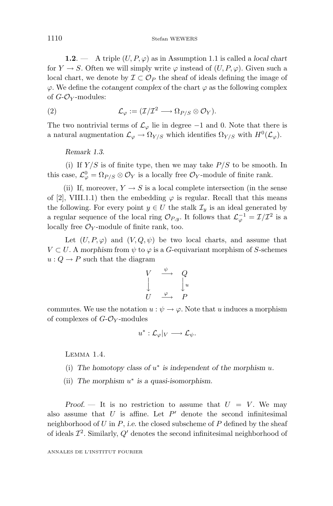1110 Stefan WEWERS

**1.2**. — A triple  $(U, P, \varphi)$  as in Assumption 1.1 is called a *local chart* for  $Y \to S$ . Often we will simply write  $\varphi$  instead of  $(U, P, \varphi)$ . Given such a local chart, we denote by  $\mathcal{I} \subset \mathcal{O}_P$  the sheaf of ideals defining the image of *ϕ*. We define the *cotangent complex* of the chart *ϕ* as the following complex of *G*-O*<sup>Y</sup>* -modules:

(2) 
$$
\mathcal{L}_{\varphi} := (\mathcal{I}/\mathcal{I}^2 \longrightarrow \Omega_{P/S} \otimes \mathcal{O}_Y).
$$

The two nontrivial terms of  $\mathcal{L}_{\varphi}$  lie in degree  $-1$  and 0. Note that there is a natural augmentation  $\mathcal{L}_{\varphi} \to \Omega_{Y/S}$  which identifies  $\Omega_{Y/S}$  with  $H^0(\mathcal{L}_{\varphi})$ .

*Remark 1.3.*

(i) If  $Y/S$  is of finite type, then we may take  $P/S$  to be smooth. In this case,  $\mathcal{L}_{\varphi}^0 = \Omega_{P/S} \otimes \mathcal{O}_Y$  is a locally free  $\mathcal{O}_Y$ -module of finite rank.

(ii) If, moreover,  $Y \to S$  is a local complete intersection (in the sense of [2], VIII.1.1) then the embedding  $\varphi$  is regular. Recall that this means the following. For every point  $y \in U$  the stalk  $\mathcal{I}_y$  is an ideal generated by a regular sequence of the local ring  $\mathcal{O}_{P,y}$ . It follows that  $\mathcal{L}_{\varphi}^{-1} = \mathcal{I}/\mathcal{I}^2$  is a locally free  $\mathcal{O}_Y$ -module of finite rank, too.

Let  $(U, P, \varphi)$  and  $(V, Q, \psi)$  be two local charts, and assume that  $V \subset U$ . A morphism from  $\psi$  to  $\varphi$  is a *G*-equivariant morphism of *S*-schemes  $u: Q \to P$  such that the diagram

$$
\begin{array}{ccc}\nV & \xrightarrow{\psi} & Q \\
\downarrow & & \downarrow u \\
U & \xrightarrow{\varphi} & P\n\end{array}
$$

commutes. We use the notation  $u : \psi \to \varphi$ . Note that *u* induces a morphism of complexes of *G*-O*<sup>Y</sup>* -modules

$$
u^*:\mathcal{L}_{\varphi}|_V\longrightarrow \mathcal{L}_{\psi}.
$$

LEMMA 1.4.

- (i) The homotopy class of  $u^*$  is independent of the morphism  $u$ .
- (ii) *The morphism u*<sup>∗</sup> *is a quasi-isomorphism.*

*Proof.*  $\rightarrow$  It is no restriction to assume that  $U = V$ . We may also assume that  $U$  is affine. Let  $P'$  denote the second infinitesimal neighborhood of *U* in *P*, *i.e.* the closed subscheme of *P* defined by the sheaf of ideals  $\mathcal{I}^2$ . Similarly,  $Q'$  denotes the second infinitesimal neighborhood of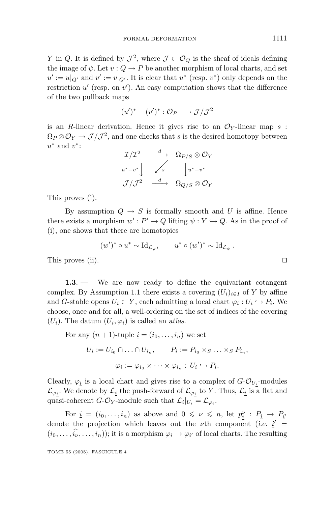*Y* in *Q*. It is defined by  $\mathcal{J}^2$ , where  $\mathcal{J} \subset \mathcal{O}_Q$  is the sheaf of ideals defining the image of  $\psi$ . Let  $v: Q \to P$  be another morphism of local charts, and set  $u' := u|_{\Omega'}$  and  $v' := v|_{\Omega'}$ . It is clear that  $u^*$  (resp.  $v^*$ ) only depends on the restriction *u'* (resp. on *v'*). An easy computation shows that the difference of the two pullback maps

$$
(u')^* - (v')^* : \mathcal{O}_P \longrightarrow \mathcal{J}/\mathcal{J}^2
$$

is an *R*-linear derivation. Hence it gives rise to an  $\mathcal{O}_Y$ -linear map *s* :  $\Omega_P \otimes \mathcal{O}_Y \to \mathcal{J}/\mathcal{J}^2$ , and one checks that *s* is the desired homotopy between *u*<sup>∗</sup> and *v*∗:

| $\mathcal{I}/\mathcal{I}^2$ |                  | $\Omega_{P/S}\otimes \mathcal{O}_Y$ |
|-----------------------------|------------------|-------------------------------------|
| $u^* - v^*$                 | $\cdot$ s        | $\left  u^* - v^* \right $          |
| $\mathcal{J}/\mathcal{J}^2$ | $\frac{d}{dx}$ . | $\Omega_{Q/S}\otimes \mathcal{O}_Y$ |

This proves (i).

By assumption  $Q \rightarrow S$  is formally smooth and *U* is affine. Hence there exists a morphism  $w': P' \to Q$  lifting  $\psi: Y \hookrightarrow Q$ . As in the proof of (i), one shows that there are homotopies

$$
(w')^* \circ u^* \sim \mathrm{Id}_{\mathcal{L}_{\varphi}}, \qquad u^* \circ (w')^* \sim \mathrm{Id}_{\mathcal{L}_{\psi}}.
$$
 This proves (ii).

**1.3**. — We are now ready to define the equivariant cotangent complex. By Assumption 1.1 there exists a covering  $(U_i)_{i \in I}$  of Y by affine and *G*-stable opens  $U_i \subset Y$ , each admitting a local chart  $\varphi_i : U_i \hookrightarrow P_i$ . We choose, once and for all, a well-ordering on the set of indices of the covering  $(U_i)$ . The datum  $(U_i, \varphi_i)$  is called an *atlas*.

For any 
$$
(n + 1)
$$
-tuple  $\underline{i} = (i_0, \ldots, i_n)$  we set  
\n
$$
U_{\underline{i}} := U_{i_0} \cap \ldots \cap U_{i_n}, \qquad P_{\underline{i}} := P_{i_0} \times_S \ldots \times_S P_{i_n},
$$
\n
$$
\varphi_{\underline{i}} := \varphi_{i_0} \times \cdots \times \varphi_{i_n} : U_{\underline{i}} \hookrightarrow P_{\underline{i}}.
$$

Clearly,  $\varphi_i$  is a local chart and gives rise to a complex of  $G\text{-}\mathcal{O}_{U_i}\text{-modules}$  $\mathcal{L}_{\varphi_i}$ . We denote by  $\mathcal{L}_i$  the push-forward of  $\mathcal{L}_{\varphi_i}$  to *Y*. Thus,  $\mathcal{L}_i$  is a flat and quasi-coherent *G*- $\mathcal{O}_Y$ -module such that  $\mathcal{L}_i|_{U_i} = \mathcal{L}_{\varphi_i}$ .

For  $\underline{i} = (i_0, \ldots, i_n)$  as above and  $0 \leq \nu \leq n$ , let  $p_i^{\nu} : P_{\underline{i}} \to P_{\underline{i}}$ denote the projection which leaves out the  $\nu$ <sup>th</sup> component (*i.e.*  $i'$  =  $(i_0, \ldots, i_\nu, \ldots, i_n)$ ; it is a morphism  $\varphi_i \to \varphi_{i'}$  of local charts. The resulting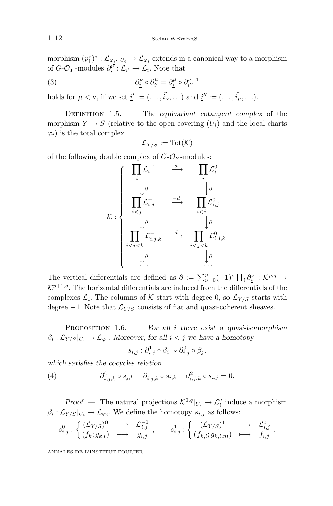morphism  $(p_i^{\nu})^* : L_{\varphi_{\underline{i}'}}|_{U_{\underline{i}}} \to L_{\varphi_{\underline{i}}}$  extends in a canonical way to a morphism of  $G$ - $\mathcal{O}_Y$ -modules  $\partial_i^{\nu}: \mathcal{L}_{i'} \to \mathcal{L}_i$ . Note that

(3) 
$$
\partial_{\underline{i}}^{\nu} \circ \partial_{\underline{i}}^{\mu} = \partial_{\underline{i}}^{\mu} \circ \partial_{\underline{i}^{\nu}}^{\nu-1}
$$

holds for  $\mu < \nu$ , if we set  $\underline{i}' := (\ldots, \widehat{i_{\nu}}, \ldots)$  and  $\underline{i}'' := (\ldots, \widehat{i_{\mu}}, \ldots)$ .

DEFINITION 1.5. — The *equivariant cotangent complex* of the morphism  $Y \to S$  (relative to the open covering  $(U_i)$  and the local charts  $\varphi_i$ ) is the total complex

$$
\mathcal{L}_{Y/S}:=\operatorname{Tot}(\mathcal{K})
$$

of the following double complex of  $G\text{-}\mathcal{O}_Y\text{-modules:}$ 



The vertical differentials are defined as  $\partial := \sum_{\nu=0}^{p} (-1)^{\nu} \prod_{\underline{i}} \partial_{\underline{i}}^{\nu} : \mathcal{K}^{p,q} \to$  $\mathcal{K}^{p+1,q}$ . The horizontal differentials are induced from the differentials of the complexes  $\mathcal{L}_i$ . The columns of K start with degree 0, so  $\mathcal{L}_{Y/S}$  starts with degree  $-1$ . Note that  $\mathcal{L}_{Y/S}$  consists of flat and quasi-coherent sheaves.

Proposition 1.6. — *For all i there exist a quasi-isomorphism*  $\beta_i: \mathcal{L}_{Y/S}|_{U_i} \to \mathcal{L}_{\varphi_i}$ *.* Moreover, for all  $i < j$  we have a homotopy

$$
s_{i,j} : \partial_{i,j}^1 \circ \beta_i \sim \partial_{i,j}^0 \circ \beta_j.
$$

*which satisfies the cocycles relation*

(4) 
$$
\partial_{i,j,k}^0 \circ s_{j,k} - \partial_{i,j,k}^1 \circ s_{i,k} + \partial_{i,j,k}^2 \circ s_{i,j} = 0.
$$

*Proof.* — The natural projections  $K^{0,q}|_{U_i} \to \mathcal{L}_i^q$  induce a morphism  $\beta_i : \mathcal{L}_{Y/S}|_{U_i} \to \mathcal{L}_{\varphi_i}$ . We define the homotopy  $s_{i,j}$  as follows:

$$
s^0_{i,j} : \left\{ \begin{array}{ccc} (\mathcal{L}_{Y/S})^0 & \longrightarrow & \mathcal{L}_{i,j}^{-1} \\ (f_k;g_{k,l}) & \longmapsto & g_{i,j} \end{array} \right. , \qquad s^1_{i,j} : \left\{ \begin{array}{ccc} (\mathcal{L}_{Y/S})^1 & \longrightarrow & \mathcal{L}_{i,j}^0 \\ (f_{k,l};g_{k,l,m}) & \longmapsto & f_{i,j} \end{array} \right. .
$$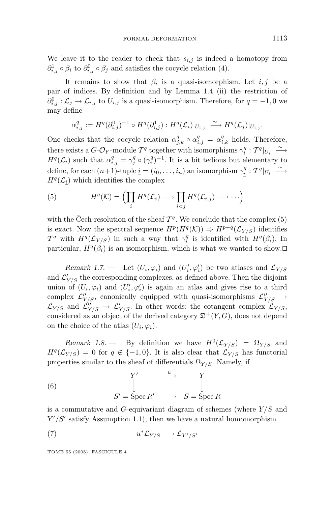We leave it to the reader to check that  $s_{i,j}$  is indeed a homotopy from  $\partial_{i,j}^1 \circ \beta_i$  to  $\partial_{i,j}^0 \circ \beta_j$  and satisfies the cocycle relation (4).

It remains to show that  $\beta_i$  is a quasi-isomorphism. Let *i, j* be a pair of indices. By definition and by Lemma 1.4 (ii) the restriction of  $\partial_{i,j}^{0}$  :  $\mathcal{L}_{j}$  →  $\mathcal{L}_{i,j}$  to  $U_{i,j}$  is a quasi-isomorphism. Therefore, for  $q = -1, 0$  we may define

$$
\alpha_{i,j}^q:=H^q(\partial_{i,j}^0)^{-1}\circ H^q(\partial_{i,j}^1):H^q(\mathcal{L}_i)|_{U_{i,j}}\;\overset{\sim}{\longrightarrow}H^q(\mathcal{L}_j)|_{U_{i,j}}.
$$

One checks that the cocycle relation  $\alpha_{j,k}^q \circ \alpha_{i,j}^q = \alpha_{i,k}^q$  holds. Therefore, there exists a  $G\text{-}\mathcal{O}_Y$ -module  $\mathcal{T}^q$  together with isomorphisms  $\gamma_i^q : \mathcal{T}^q|_{U_i} \stackrel{\sim}{\longrightarrow}$  $H^q(\mathcal{L}_i)$  such that  $\alpha^q_{i,j} = \gamma^q_j \circ (\gamma^q_i)^{-1}$ . It is a bit tedious but elementary to define, for each  $(n+1)$ -tuple  $\underline{i} = (i_0, \ldots, i_n)$  an isomorphism  $\gamma_i^q : \mathcal{T}^q|_{U_{\underline{i}}} \stackrel{\sim}{\longrightarrow}$  $H^q(\mathcal{L}_i)$  which identifies the complex

(5) 
$$
H^{q}(\mathcal{K}) = \left(\prod_{i} H^{q}(\mathcal{L}_{i}) \longrightarrow \prod_{i < j} H^{q}(\mathcal{L}_{i,j}) \longrightarrow \cdots\right)
$$

with the Cech-resolution of the sheaf  $\mathcal{T}^q$ . We conclude that the complex (5) is exact. Now the spectral sequence  $H^p(H^q(\mathcal{K})) \Rightarrow H^{p+q}(\mathcal{L}_{Y/S})$  identifies  $\mathcal{T}^q$  with  $H^q(\mathcal{L}_{Y/S})$  in such a way that  $\gamma_i^q$  is identified with  $H^q(\beta_i)$ . In particular,  $H^q(\beta_i)$  is an isomorphism, which is what we wanted to show. $\Box$ 

*Remark 1.7.* — Let  $(U_i, \varphi_i)$  and  $(U'_i, \varphi'_i)$  be two atlases and  $\mathcal{L}_{Y/S}$ and  $\mathcal{L}_{Y/S}'$  the corresponding complexes, as defined above. Then the disjoint union of  $(U_i, \varphi_i)$  and  $(U'_i, \varphi'_i)$  is again an atlas and gives rise to a third complex  $\mathcal{L}''_{Y/S}$ , canonically equipped with quasi-isomorphisms  $\mathcal{L}''_{Y/S} \rightarrow$  $\mathcal{L}_{Y/S}$  and  $\mathcal{L}_{Y/S}'' \to \mathcal{L}_{Y/S}'$ . In other words: the cotangent complex  $\mathcal{L}_{Y/S}$ , considered as an object of the derived category  $\mathfrak{D}^{+}(Y,G)$ , does not depend on the choice of the atlas  $(U_i, \varphi_i)$ .

*Remark 1.8.* — By definition we have  $H^0(\mathcal{L}_{Y/S}) = \Omega_{Y/S}$  and  $H^q(\mathcal{L}_{Y/S}) = 0$  for  $q \notin \{-1,0\}$ . It is also clear that  $\mathcal{L}_{Y/S}$  has functorial properties similar to the sheaf of differentials  $\Omega_{Y/S}$ . Namely, if

(6) 
$$
S' = \operatorname{Spec} R' \quad \longrightarrow \quad S = \operatorname{Spec} R
$$

is a commutative and *G*-equivariant diagram of schemes (where *Y /S* and  $Y'/S'$  satisfy Assumption 1.1), then we have a natural homomorphism

$$
(7) \t u^* \mathcal{L}_{Y/S} \longrightarrow \mathcal{L}_{Y'/S'}
$$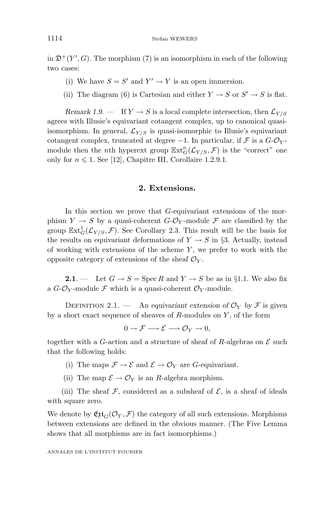in  $\mathfrak{D}^+(Y', G)$ . The morphism (7) is an isomorphism in each of the following two cases:

- (i) We have  $S = S'$  and  $Y' \rightarrow Y$  is an open immersion.
- (ii) The diagram (6) is Cartesian and either  $Y \to S$  or  $S' \to S$  is flat.

*Remark 1.9.* — If  $Y \to S$  is a local complete intersection, then  $\mathcal{L}_{Y/S}$ agrees with Illusie's equivariant cotangent complex, up to canonical quasiisomorphism. In general,  $\mathcal{L}_{Y/S}$  is quasi-isomorphic to Illusie's equivariant cotangent complex, truncated at degree  $-1$ . In particular, if  $\mathcal F$  is a  $G$ - $\mathcal O_Y$ module then the *n*th hyperext group  $\mathbb{E}xt_G^n(\mathcal{L}_{Y/S}, \mathcal{F})$  is the "correct" one only for  $n \leq 1$ . See [12], Chapitre III, Corollaire 1.2.9.1.

#### **2. Extensions.**

In this section we prove that *G*-equivariant extensions of the morphism  $Y \to S$  by a quasi-coherent  $G\text{-}\mathcal{O}_Y$ -module  $\mathcal F$  are classified by the group  $\mathbb{E}xt^1_G(\mathcal{L}_{Y/S}, \mathcal{F})$ . See Corollary 2.3. This result will be the basis for the results on equivariant deformations of  $Y \to S$  in §3. Actually, instead of working with extensions of the scheme *Y* , we prefer to work with the opposite category of extensions of the sheaf  $\mathcal{O}_Y$ .

**2.1**. — Let  $G \rightarrow S = \text{Spec } R$  and  $Y \rightarrow S$  be as in §1.1. We also fix a  $G-\mathcal{O}_Y$ -module  $\mathcal F$  which is a quasi-coherent  $\mathcal{O}_Y$ -module.

DEFINITION 2.1. — An *equivariant extension of*  $\mathcal{O}_Y$  *by*  $\mathcal{F}$  is given by a short exact sequence of sheaves of *R*-modules on *Y* , of the form

$$
0 \to \mathcal{F} \longrightarrow \mathcal{E} \longrightarrow \mathcal{O}_Y \to 0,
$$

together with a *G*-action and a structure of sheaf of *R*-algebras on  $\mathcal E$  such that the following holds:

- (i) The maps  $\mathcal{F} \to \mathcal{E}$  and  $\mathcal{E} \to \mathcal{O}_Y$  are *G*-equivariant.
- (ii) The map  $\mathcal{E} \to \mathcal{O}_Y$  is an *R*-algebra morphism.

(iii) The sheaf  $\mathcal F$ , considered as a subsheaf of  $\mathcal E$ , is a sheaf of ideals with square zero.

We denote by  $\mathfrak{E} \mathfrak{xt}_G(\mathcal{O}_Y, \mathcal{F})$  the category of all such extensions. Morphisms between extensions are defined in the obvious manner. (The Five Lemma shows that all morphisms are in fact isomorphisms.)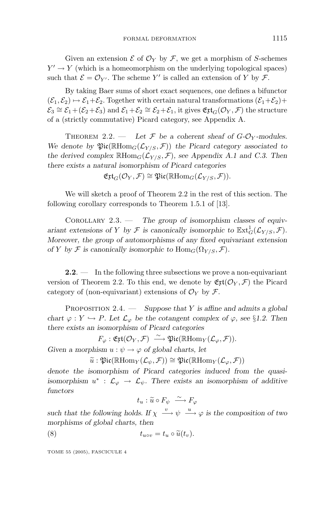Given an extension  $\mathcal E$  of  $\mathcal O_Y$  by  $\mathcal F$ , we get a morphism of *S*-schemes  $Y' \rightarrow Y$  (which is a homeomorphism on the underlying topological spaces) such that  $\mathcal{E} = \mathcal{O}_{Y'}$ . The scheme *Y'* is called an extension of *Y* by *F*.

By taking Baer sums of short exact sequences, one defines a bifunctor  $(\mathcal{E}_1, \mathcal{E}_2) \mapsto \mathcal{E}_1 + \mathcal{E}_2$ . Together with certain natural transformations  $(\mathcal{E}_1 + \mathcal{E}_2)$ +  $\mathcal{E}_3 \cong \mathcal{E}_1 + (\mathcal{E}_2 + \mathcal{E}_3)$  and  $\mathcal{E}_1 + \mathcal{E}_2 \cong \mathcal{E}_2 + \mathcal{E}_1$ , it gives  $\mathfrak{E}xt_G(\mathcal{O}_Y, \mathcal{F})$  the structure of a (strictly commutative) Picard category, see Appendix A.

THEOREM 2.2. — Let  $\mathcal{F}$  be a coherent sheaf of  $G$ - $\mathcal{O}_Y$ -modules. *We denote by*  $\mathfrak{Pic}(\mathbb{R}Hom_G(\mathcal{L}_{Y/S}, \mathcal{F}))$  *the Picard category associated to the derived complex*  $\mathbb{R}$ Hom<sub>*G*</sub>( $\mathcal{L}_{Y/S}, \mathcal{F}$ )*, see Appendix A.1 and C.3. Then there exists a natural isomorphism of Picard categories*

$$
\mathfrak{Ept}_G(\mathcal{O}_Y,\mathcal{F})\cong \mathfrak{Pic}(\mathbb{R}\mathrm{Hom}_G(\mathcal{L}_{Y/S},\mathcal{F})).
$$

We will sketch a proof of Theorem 2.2 in the rest of this section. The following corollary corresponds to Theorem 1.5.1 of [13].

Corollary 2.3. — *The group of isomorphism classes of equivariant extensions of Y by*  $\mathcal F$  *is canonically isomorphic to*  $\mathbb{E}xt_G^1(\mathcal L_{Y/S}, \mathcal F)$ *. Moreover, the group of automorphisms of any fixed equivariant extension of Y by F is canonically isomorphic to*  $\text{Hom}_G(\Omega_{Y/S}, \mathcal{F})$ *.* 

**2.2**. — In the following three subsections we prove a non-equivariant version of Theorem 2.2. To this end, we denote by  $\mathfrak{E}xt(\mathcal{O}_Y, \mathcal{F})$  the Picard category of (non-equivariant) extensions of  $\mathcal{O}_Y$  by  $\mathcal{F}$ .

Proposition 2.4. — *Suppose that Y is affine and admits a global chart*  $\varphi : Y \hookrightarrow P$ *. Let*  $\mathcal{L}_{\varphi}$  *be the cotangent complex of*  $\varphi$ *, see* §1.2. Then *there exists an isomorphism of Picard categories*

$$
F_{\varphi} : \mathfrak{E} \mathfrak{xt}(\mathcal{O}_Y, \mathcal{F}) \stackrel{\sim}{\longrightarrow} \mathfrak{Pic}(\mathbb{R}\mathrm{Hom}_Y(\mathcal{L}_{\varphi}, \mathcal{F})).
$$

*Given a morphism*  $u : \psi \to \varphi$  *of global charts, let* 

 $\widetilde{u}$  :  $\mathfrak{Pic}(\mathbb{R}\mathrm{Hom}_Y(\mathcal{L}_{\psi}, \mathcal{F})) \cong \mathfrak{Pic}(\mathbb{R}\mathrm{Hom}_Y(\mathcal{L}_{\varphi}, \mathcal{F}))$ 

*denote the isomorphism of Picard categories induced from the quasiisomorphism*  $u^*$  :  $\mathcal{L}_{\varphi} \to \mathcal{L}_{\psi}$ . There exists an isomorphism of additive *functors*

$$
t_u : \widetilde{u} \circ F_{\psi} \stackrel{\sim}{\longrightarrow} F_{\varphi}
$$

*such that the following holds.* If  $\chi \stackrel{v}{\longrightarrow} \psi \stackrel{u}{\longrightarrow} \varphi$  *is the composition of two morphisms of global charts, then*

(8) 
$$
t_{u\circ v} = t_u \circ \widetilde{u}(t_v).
$$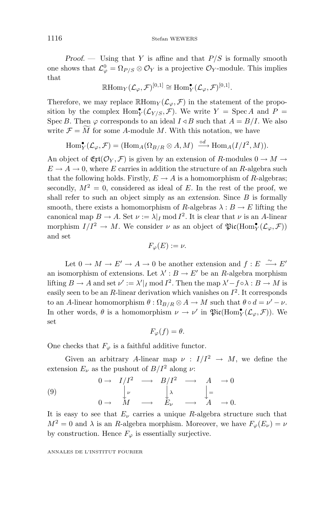*Proof. —* Using that *Y* is affine and that *P/S* is formally smooth one shows that  $\mathcal{L}^0_{\varphi} = \Omega_{P/S} \otimes \mathcal{O}_Y$  is a projective  $\mathcal{O}_Y$ -module. This implies that

$$
\mathbb{R}\mathrm{Hom}_Y(\mathcal{L}_{\varphi}, \mathcal{F})^{[0,1]} \cong \mathrm{Hom}_Y^{\bullet}(\mathcal{L}_{\varphi}, \mathcal{F})^{[0,1]}.
$$

Therefore, we may replace  $\mathbb{R}$ Hom<sub>*Y*</sub> ( $\mathcal{L}_{\varphi}, \mathcal{F}$ ) in the statement of the proposition by the complex  $\text{Hom}_Y^{\bullet}(\mathcal{L}_{Y/S}, \mathcal{F})$ . We write  $Y = \text{Spec } A$  and  $P =$ Spec *B*. Then  $\varphi$  corresponds to an ideal  $I \triangleleft B$  such that  $A = B/I$ . We also write  $\mathcal{F} = M$  for some *A*-module *M*. With this notation, we have

$$
\operatorname{Hom}^{\bullet}_Y(\mathcal{L}_{\varphi}, \mathcal{F}) = (\operatorname{Hom}_A(\Omega_{B/R} \otimes A, M) \xrightarrow{\circ d} \operatorname{Hom}_A(I/I^2, M)).
$$

An object of  $\mathfrak{E} \mathfrak{xt}(\mathcal{O}_Y, \mathcal{F})$  is given by an extension of *R*-modules  $0 \to M \to$  $E \to A \to 0$ , where *E* carries in addition the structure of an *R*-algebra such that the following holds. Firstly,  $E \to A$  is a homomorphism of *R*-algebras; secondly,  $M^2 = 0$ , considered as ideal of *E*. In the rest of the proof, we shall refer to such an object simply as an *extension*. Since *B* is formally smooth, there exists a homomorphism of *R*-algebras  $\lambda : B \to E$  lifting the canonical map  $B \to A$ . Set  $\nu := \lambda | I \text{ mod } I^2$ . It is clear that  $\nu$  is an A-linear morphism  $I/I^2 \to M$ . We consider  $\nu$  as an object of  $\mathfrak{Pic}(\text{Hom}_Y^{\bullet}(\mathcal{L}_{\varphi}, \mathcal{F}))$ and set

$$
F_{\varphi}(E) := \nu.
$$

Let  $0 \to M \to E' \to A \to 0$  be another extension and  $f: E \xrightarrow{\sim} E'$ an isomorphism of extensions. Let  $\lambda' : B \to E'$  be an *R*-algebra morphism lifting  $B \to A$  and set  $\nu' := \lambda'|_I \text{ mod } I^2$ . Then the map  $\lambda' - f \circ \lambda : B \to M$  is easily seen to be an  $R$ -linear derivation which vanishes on  $I^2$ . It corresponds to an *A*-linear homomorphism  $\theta$ :  $\Omega_{B/R} \otimes A \to M$  such that  $\theta \circ d = \nu' - \nu$ . In other words,  $\theta$  is a homomorphism  $\nu \to \nu'$  in  $\mathfrak{Pic}(\text{Hom}_Y^{\bullet}(\mathcal{L}_{\varphi},\mathcal{F}))$ . We set

$$
F_{\varphi}(f) = \theta.
$$

One checks that  $F_{\varphi}$  is a faithful additive functor.

Given an arbitrary *A*-linear map  $\nu : I/I^2 \rightarrow M$ , we define the extension  $E_\nu$  as the pushout of  $B/I^2$  along  $\nu$ :

(9) 
$$
0 \rightarrow I/I^{2} \rightarrow B/I^{2} \rightarrow A \rightarrow 0
$$

$$
\downarrow_{\nu} \qquad \downarrow_{\lambda} \qquad \downarrow_{=}
$$

$$
0 \rightarrow M \rightarrow E_{\nu} \rightarrow A \rightarrow 0.
$$

It is easy to see that  $E_\nu$  carries a unique *R*-algebra structure such that  $M^2 = 0$  and  $\lambda$  is an *R*-algebra morphism. Moreover, we have  $F_\varphi(E_\nu) = \nu$ by construction. Hence  $F_{\varphi}$  is essentially surjective.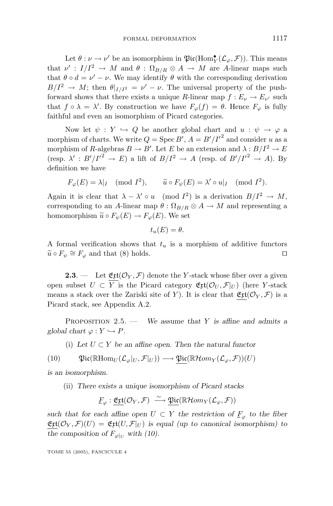Let  $\theta : \nu \to \nu'$  be an isomorphism in  $\mathfrak{Pic}(\text{Hom}_Y^{\bullet}(\mathcal{L}_{\varphi}, \mathcal{F}))$ . This means that  $\nu' : I/I^2 \to M$  and  $\theta : \Omega_{B/R} \otimes A \to M$  are A-linear maps such that  $\theta \circ d = \nu' - \nu$ . We may identify  $\theta$  with the corresponding derivation  $B/I^2 \rightarrow M$ ; then  $\theta|_{I/I^2} = \nu' - \nu$ . The universal property of the pushforward shows that there exists a unique *R*-linear map  $f: E_{\nu} \to E_{\nu'}$  such that  $f \circ \lambda = \lambda'$ . By construction we have  $F_{\varphi}(f) = \theta$ . Hence  $F_{\varphi}$  is fully faithful and even an isomorphism of Picard categories.

Now let  $\psi: Y \hookrightarrow Q$  be another global chart and  $u: \psi \to \varphi$  a morphism of charts. We write  $Q = \text{Spec } B', A = B'/I'^2$  and consider *u* as a morphism of *R*-algebras  $B \to B'$ . Let *E* be an extension and  $\lambda : B/I^2 \to E$ (resp.  $\lambda' : B'/I'^2 \to E$ ) a lift of  $B/I^2 \to A$  (resp. of  $B'/I'^2 \to A$ ). By definition we have

$$
F_{\varphi}(E) = \lambda|_{I} \pmod{I^2}, \qquad \widetilde{u} \circ F_{\psi}(E) = \lambda' \circ u|_{I} \pmod{I^2}.
$$

Again it is clear that  $\lambda - \lambda' \circ u \pmod{I^2}$  is a derivation  $B/I^2 \to M$ , corresponding to an *A*-linear map  $\theta$ :  $\Omega_{B/R} \otimes A \rightarrow M$  and representing a homomorphism  $\widetilde{u} \circ F_{\psi}(E) \to F_{\varphi}(E)$ . We set

$$
t_u(E) = \theta.
$$

A formal verification shows that  $t<sub>u</sub>$  is a morphism of additive functors  $\widetilde{u} \circ F_{\psi} \cong F_{\varphi}$  and that (8) holds.

**2.3**. — Let  $\mathfrak{E} \mathfrak{xt}(\mathcal{O}_Y, \mathcal{F})$  denote the *Y*-stack whose fiber over a given open subset  $U \subset Y$  is the Picard category  $\mathfrak{E}$ **x**( $\mathcal{O}_U$ ,  $\mathcal{F}|_U$ ) (here *Y*-stack means a stack over the Zariski site of *Y*). It is clear that  $\mathfrak{E}xt(\mathcal{O}_Y,\mathcal{F})$  is a Picard stack, see Appendix A.2.

Proposition 2.5. — *We assume that Y is affine and admits a global chart*  $\varphi: Y \hookrightarrow P$ *.* 

(i) Let  $U \subset Y$  be an affine open. Then the natural functor

(10) 
$$
\mathfrak{Pic}(\mathbb{R}\text{Hom}_U(\mathcal{L}_{\varphi}|_U,\mathcal{F}|_U)) \longrightarrow \mathfrak{Pic}(\mathbb{R}\text{Hom}_Y(\mathcal{L}_{\varphi},\mathcal{F}))(U)
$$

*is an isomorphism.*

(ii) *There exists a unique isomorphism of Picard stacks*

$$
\underline{F}_{\varphi} : \underline{\mathfrak{E}} \underline{\mathfrak{xt}}(\mathcal{O}_Y, \mathcal{F}) \xrightarrow{\sim} \underline{\mathfrak{Pic}}(\mathbb{R} \mathcal{H}om_Y(\mathcal{L}_{\varphi}, \mathcal{F}))
$$

*such that for each affine open*  $U \subset Y$  *the restriction of*  $\underline{F}_{\varphi}$  *to the fiber*  $\mathfrak{E}$  $\mathfrak{xt}(\mathcal{O}_Y,\mathcal{F})(U) = \mathfrak{E}$ **<b>** $\mathfrak{xt}(U,\mathcal{F}|_U)$  is equal (up to canonical isomorphism) to *the composition of*  $F_{\varphi|_U}$  *with* (10).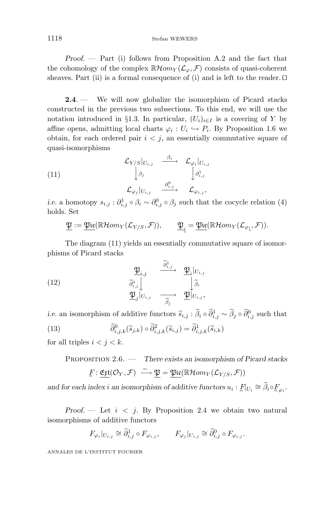#### 1118 Stefan WEWERS

*Proof. —* Part (i) follows from Proposition A.2 and the fact that the cohomology of the complex  $\mathbb{R}$ *Hom<sub>Y</sub>* ( $\mathcal{L}_{\varphi}, \mathcal{F}$ ) consists of quasi-coherent sheaves. Part (ii) is a formal consequence of (i) and is left to the reader.  $\Box$ 

**2.4**. — We will now globalize the isomorphism of Picard stacks constructed in the previous two subsections. To this end, we will use the notation introduced in §1.3. In particular,  $(U_i)_{i \in I}$  is a covering of *Y* by affine opens, admitting local charts  $\varphi_i : U_i \hookrightarrow P_i$ . By Proposition 1.6 we obtain, for each ordered pair  $i < j$ , an essentially commutative square of quasi-isomorphisms

(11) 
$$
\begin{array}{ccc}\n\mathcal{L}_{Y/S}|_{U_{i,j}} & \xrightarrow{\beta_i} & \mathcal{L}_{\varphi_i}|_{U_{i,j}} \\
\downarrow^{\beta_j} & & \downarrow^{\beta_{i,j}} \\
\mathcal{L}_{\varphi_j}|_{U_{i,j}} & \xrightarrow{\partial_{i,j}^0} & \mathcal{L}_{\varphi_{i,j}},\n\end{array}
$$

*i.e.* a homotopy  $s_{i,j}: \partial_{i,j}^1 \circ \beta_i \sim \partial_{i,j}^0 \circ \beta_j$  such that the cocycle relation (4) holds. Set

$$
\underline{\mathfrak{P}} := \underline{\mathfrak{Pic}}(\mathbb{R}\mathcal{H}om_Y(\mathcal{L}_{Y/S}, \mathcal{F})), \qquad \underline{\mathfrak{P}}_{\underline{i}} = \underline{\mathfrak{Pic}}(\mathbb{R}\mathcal{H}om_Y(\mathcal{L}_{\varphi_{\underline{i}}}, \mathcal{F})).
$$

The diagram (11) yields an essentially commutative square of isomorphisms of Picard stacks

(12) 
$$
\frac{\mathfrak{P}_{i,j}}{\widetilde{\partial}_{i,j}^0 \bigcup_{\substack{\widetilde{\partial}_{i,j}^0 \\ \mathfrak{P}_j \mid U_{i,j}}} \frac{\partial_{i,j}^1}{\partial_{i,j}^0} \longrightarrow \frac{\mathfrak{P}_i |_{U_{i,j}}}{\widetilde{\beta}_i}
$$

*i.e.* an isomorphism of additive functors  $\widetilde{s}_{i,j}$  :  $\hat{\beta}_i \circ \partial_{i,j}^1 \sim \beta_j \circ \partial_{i,j}^0$  such that (13) *∂*  $\widetilde{\partial}_{i,j,k}^0(\widetilde{s}_{j,k})\circ \widetilde{\partial}_{i,j,k}^2(\widetilde{s}_{i,j}) = \widetilde{\partial}_{i,j,k}^1(\widetilde{s}_{i,k})$ 

for all triples  $i < j < k$ .

Proposition 2.6. — *There exists an isomorphism of Picard stacks*  $F: \underbrace{\mathfrak{E} \mathfrak{rl}}(\mathcal{O}_Y, \mathcal{F}) \stackrel{\sim}{\longrightarrow} \underbrace{\mathfrak{P}} = \underbrace{\mathfrak{Pic}}(\mathbb{R} \mathcal{H} om_Y(\mathcal{L}_{Y/S}, \mathcal{F}))$ 

*and for each index <i>i* an isomorphism of additive functors  $u_i : F|_{U_i} \cong \widetilde{\beta}_i \circ F_{\varphi_i}$ .

*Proof.*  $-$  Let  $i < j$ . By Proposition 2.4 we obtain two natural isomorphisms of additive functors

$$
F_{\varphi_i}|_{U_{i,j}} \cong \widetilde{\partial}_{i,j}^1 \circ F_{\varphi_{i,j}}, \qquad F_{\varphi_j}|_{U_{i,j}} \cong \widetilde{\partial}_{i,j}^0 \circ F_{\varphi_{i,j}}.
$$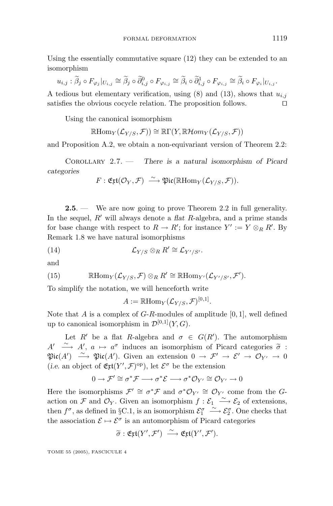Using the essentially commutative square (12) they can be extended to an isomorphism

$$
u_{i,j} : \widetilde{\beta}_j \circ F_{\varphi_j}|_{U_{i,j}} \cong \widetilde{\beta}_j \circ \widetilde{\partial}_{i,j}^0 \circ F_{\varphi_{i,j}} \cong \widetilde{\beta}_i \circ \widetilde{\partial}_{i,j}^1 \circ F_{\varphi_{i,j}} \cong \widetilde{\beta}_i \circ F_{\varphi_i}|_{U_{i,j}}.
$$

A tedious but elementary verification, using  $(8)$  and  $(13)$ , shows that  $u_{i,j}$ satisfies the obvious cocycle relation. The proposition follows.

Using the canonical isomorphism

$$
\mathbb{R}\mathrm{Hom}_Y(\mathcal{L}_{Y/S}, \mathcal{F})) \cong \mathbb{R}\Gamma(Y, \mathbb{R}\mathcal{H}om_Y(\mathcal{L}_{Y/S}, \mathcal{F}))
$$

and Proposition A.2, we obtain a non-equivariant version of Theorem 2.2:

Corollary 2.7. — *There is a natural isomorphism of Picard categories*

$$
F: \mathfrak{E} \mathfrak{x}\mathfrak{t}(\mathcal{O}_Y, \mathcal{F}) \stackrel{\sim}{\longrightarrow} \mathfrak{Pic}(\mathbb{R}\mathrm{Hom}_Y(\mathcal{L}_{Y/S}, \mathcal{F})).
$$

**2.5**. — We are now going to prove Theorem 2.2 in full generality. In the sequel, *R'* will always denote a *flat R*-algebra, and a prime stands for base change with respect to  $R \to R'$ ; for instance  $Y' := Y \otimes_R R'$ . By Remark 1.8 we have natural isomorphisms

(14) 
$$
\mathcal{L}_{Y/S} \otimes_R R' \cong \mathcal{L}_{Y'/S'}.
$$

and

(15) 
$$
\mathbb{R}\mathrm{Hom}_Y(\mathcal{L}_{Y/S}, \mathcal{F})\otimes_R R' \cong \mathbb{R}\mathrm{Hom}_{Y'}(\mathcal{L}_{Y'/S'}, \mathcal{F}').
$$

To simplify the notation, we will henceforth write

 $A := \mathbb{R}$ Hom<sub>*Y*</sub> ( $\mathcal{L}_{Y/S}, \mathcal{F}$ )<sup>[0,1]</sup>.

Note that *A* is a complex of *G*-*R*-modules of amplitude [0*,* 1], well defined up to canonical isomorphism in  $\mathcal{D}^{[0,1]}(Y,G)$ .

Let *R'* be a flat *R*-algebra and  $\sigma \in G(R')$ . The automorphism *A*  $\rightarrow$  *A*',  $a \mapsto a^{\sigma}$  induces an isomorphism of Picard categories  $\tilde{\sigma}$  :<br>  $\mathfrak{Ric}(A') \xrightarrow{\sim} \mathfrak{Ric}(A')$  Given an extension  $0 \mapsto \mathcal{F}' \to \mathcal{S}' \to \mathcal{O}_{\mathcal{F}'} \to 0$  $\mathfrak{Pic}(A') \stackrel{\sim}{\longrightarrow} \mathfrak{Pic}(A')$ . Given an extension  $0 \to \mathcal{F}' \to \mathcal{E}' \to \mathcal{O}_{Y'} \to 0$ (*i.e.* an object of  $\mathfrak{E} \mathfrak{xt}(Y', \mathcal{F})^{\mathrm{op}}$ ), let  $\mathcal{E}^{\sigma}$  be the extension

$$
0 \to \mathcal{F}' \cong \sigma^* \mathcal{F} \longrightarrow \sigma^* \mathcal{E} \longrightarrow \sigma^* \mathcal{O}_{Y'} \cong \mathcal{O}_{Y'} \longrightarrow 0
$$

Here the isomorphisms  $\mathcal{F}' \cong \sigma^* \mathcal{F}$  and  $\sigma^* \mathcal{O}_{Y'} \cong \mathcal{O}_{Y'}$  come from the *G*action on F and  $\mathcal{O}_Y$ . Given an isomorphism  $f: \mathcal{E}_1 \longrightarrow \mathcal{E}_2$  of extensions, then  $f^{\sigma}$ , as defined in §C.1, is an isomorphism  $\mathcal{E}_1^{\sigma}$  $\xrightarrow{\sim}$   $\mathcal{E}_2^{\sigma}$ . One checks that the association  $\mathcal{E} \mapsto \mathcal{E}^{\sigma}$  is an automorphism of Picard categories

$$
\widetilde{\sigma} : \mathfrak{E} \mathfrak{x}\mathfrak{t}(Y', \mathcal{F}') \stackrel{\sim}{\longrightarrow} \mathfrak{E} \mathfrak{x}\mathfrak{t}(Y', \mathcal{F}').
$$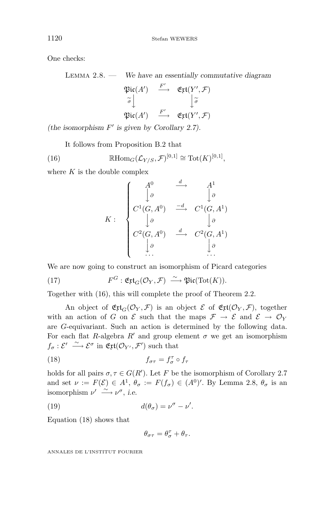One checks:

Lemma 2.8. — *We have an essentially commutative diagram*

$$
\mathfrak{Pic}(A') \xrightarrow{F'} \mathfrak{Ext}(Y',\mathcal{F})
$$
  

$$
\widetilde{\sigma} \downarrow \qquad \qquad \downarrow \widetilde{\sigma}
$$
  

$$
\mathfrak{Pic}(A') \xrightarrow{F'} \mathfrak{Ext}(Y',\mathcal{F})
$$

*(the isomorphism F is given by Corollary 2.7).*

It follows from Proposition B.2 that

(16) 
$$
\mathbb{R}\mathrm{Hom}_G(\mathcal{L}_{Y/S}, \mathcal{F})^{[0,1]} \cong \mathrm{Tot}(K)^{[0,1]},
$$

where *K* is the double complex

$$
K: \begin{cases} A^0 & \xrightarrow{d} & A^1 \\ \downarrow{\theta} & \downarrow{\theta} \\ C^1(G,A^0) & \xrightarrow{-d} & C^1(G,A^1) \\ \downarrow{\theta} & \downarrow{\theta} \\ C^2(G,A^0) & \xrightarrow{d} & C^2(G,A^1) \\ \downarrow{\theta} & \downarrow{\theta} \\ \dots & \dots & \dots \end{cases}
$$

We are now going to construct an isomorphism of Picard categories

(17) 
$$
F^G: \mathfrak{E} \mathfrak{rt}_G(\mathcal{O}_Y, \mathcal{F}) \stackrel{\sim}{\longrightarrow} \mathfrak{Pic}(\text{Tot}(K)).
$$

Together with (16), this will complete the proof of Theorem 2.2.

An object of  $\mathfrak{E}$ **t**<sub>G</sub>( $\mathcal{O}_Y$ , F) is an object  $\mathcal{E}$  of  $\mathfrak{E}$ **t**( $\mathcal{O}_Y$ , F), together with an action of *G* on  $\mathcal E$  such that the maps  $\mathcal F \to \mathcal E$  and  $\mathcal E \to \mathcal O_Y$ are *G*-equivariant. Such an action is determined by the following data. For each flat *R*-algebra  $R'$  and group element  $\sigma$  we get an isomorphism  $f_{\sigma}: \mathcal{E}' \longrightarrow \mathcal{E}^{\sigma}$  in  $\mathfrak{E}xt(\mathcal{O}_{Y'}, \mathcal{F}')$  such that

(18) 
$$
f_{\sigma\tau} = f_{\sigma}^{\tau} \circ f_{\tau}
$$

holds for all pairs  $\sigma, \tau \in G(R')$ . Let *F* be the isomorphism of Corollary 2.7 and set  $\nu := F(\mathcal{E}) \in A^1$ ,  $\theta_{\sigma} := F(f_{\sigma}) \in (A^0)'$ . By Lemma 2.8,  $\theta_{\sigma}$  is an isomorphism  $\nu' \stackrel{\sim}{\longrightarrow} \nu^{\sigma}$ , *i.e.* 

(19) 
$$
d(\theta_{\sigma}) = \nu^{\sigma} - \nu'.
$$

Equation (18) shows that

$$
\theta_{\sigma\tau}=\theta_\sigma^\tau+\theta_\tau.
$$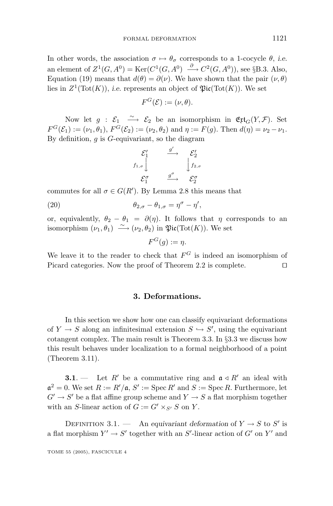In other words, the association  $\sigma \mapsto \theta_{\sigma}$  corresponds to a 1-cocycle  $\theta$ , *i.e.* an element of  $Z^1(G, A^0) = \text{Ker}(C^1(G, A^0) \stackrel{\partial}{\longrightarrow} C^2(G, A^0)),$  see §B.3. Also, Equation (19) means that  $d(\theta) = \partial(\nu)$ . We have shown that the pair  $(\nu, \theta)$ lies in  $Z^1(\text{Tot}(K))$ , *i.e.* represents an object of  $\mathfrak{Pic}(\text{Tot}(K))$ . We set

$$
F^G(\mathcal{E}) := (\nu, \theta).
$$

Now let  $g: \mathcal{E}_1 \longrightarrow \mathcal{E}_2$  be an isomorphism in  $\mathfrak{E}$ t**t**<sub>G</sub>(*Y*, *F*). Set  $F^G(\mathcal{E}_1) := (\nu_1, \theta_1), F^G(\mathcal{E}_2) := (\nu_2, \theta_2)$  and  $\eta := F(g)$ . Then  $d(\eta) = \nu_2 - \nu_1$ . By definition, *g* is *G*-equivariant, so the diagram

$$
\begin{array}{ccc}\n\mathcal{E}'_1 & \xrightarrow{g'} & \mathcal{E}'_2 \\
f_{1,\sigma} & & \downarrow f_{2,\sigma} \\
\mathcal{E}_1^{\sigma} & \xrightarrow{g^{\sigma}} & \mathcal{E}_2^{\sigma}\n\end{array}
$$

commutes for all  $\sigma \in G(R')$ . By Lemma 2.8 this means that

(20)  $\theta_{2,\sigma} - \theta_{1,\sigma} = \eta^{\sigma} - \eta',$ 

or, equivalently,  $\theta_2 - \theta_1 = \partial(\eta)$ . It follows that  $\eta$  corresponds to an isomorphism  $(\nu_1, \theta_1) \stackrel{\sim}{\longrightarrow} (\nu_2, \theta_2)$  in  $\mathfrak{Pic}(\text{Tot}(K))$ . We set

$$
F^G(g) := \eta.
$$

We leave it to the reader to check that  $F^G$  is indeed an isomorphism of Picard categories. Now the proof of Theorem 2.2 is complete.

#### **3. Deformations.**

In this section we show how one can classify equivariant deformations of  $Y \to S$  along an infinitesimal extension  $S \hookrightarrow S'$ , using the equivariant cotangent complex. The main result is Theorem 3.3. In §3.3 we discuss how this result behaves under localization to a formal neighborhood of a point (Theorem 3.11).

**3.1**. — Let  $R'$  be a commutative ring and  $a \triangleleft R'$  an ideal with  $\mathfrak{a}^2 = 0$ . We set  $R := R'/\mathfrak{a}, S' := \text{Spec } R'$  and  $S := \text{Spec } R$ . Furthermore, let  $G' \rightarrow S'$  be a flat affine group scheme and  $Y \rightarrow S$  a flat morphism together with an *S*-linear action of  $G := G' \times_{S'} S$  on  $Y$ .

DEFINITION 3.1. — An *equivariant deformation* of  $Y \to S$  to  $S'$  is a flat morphism  $Y' \to S'$  together with an  $S'$ -linear action of  $G'$  on  $Y'$  and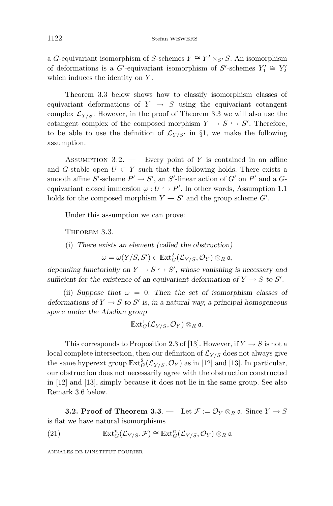a *G*-equivariant isomorphism of *S*-schemes  $Y \cong Y' \times_{S'} S$ . An isomorphism of deformations is a  $G'$ -equivariant isomorphism of  $S'$ -schemes  $Y'_1 \cong Y'_2$ which induces the identity on *Y* .

Theorem 3.3 below shows how to classify isomorphism classes of equivariant deformations of  $Y \rightarrow S$  using the equivariant cotangent complex  $\mathcal{L}_{Y/S}$ . However, in the proof of Theorem 3.3 we will also use the cotangent complex of the composed morphism  $Y \to S \hookrightarrow S'$ . Therefore, to be able to use the definition of  $\mathcal{L}_{Y/S'}$  in §1, we make the following assumption.

Assumption 3.2. — Every point of *Y* is contained in an affine and *G*-stable open  $U \subset Y$  such that the following holds. There exists a smooth affine  $S'$ -scheme  $P' \to S'$ , an  $S'$ -linear action of  $G'$  on  $P'$  and a  $G$ equivariant closed immersion  $\varphi: U \hookrightarrow P'$ . In other words, Assumption 1.1 holds for the composed morphism  $Y \to S'$  and the group scheme  $G'$ .

Under this assumption we can prove:

THEOREM 3.3.

(i) *There exists an element (called the obstruction)*

 $\omega = \omega(Y/S, S') \in \mathbb{E}\mathrm{xt}^2_G(\mathcal{L}_{Y/S}, \mathcal{O}_Y) \otimes_R \mathfrak{a},$ 

*depending functorially on*  $Y \to S \hookrightarrow S'$ , whose vanishing is necessary and *sufficient for the existence of an equivariant deformation of*  $Y \to S$  *to*  $S'$ *.* 

(ii) *Suppose that*  $\omega = 0$ . Then the set of isomorphism classes of *deformations of*  $Y \to S$  *to*  $S'$  *is, in a natural way, a principal homogeneous space under the Abelian group*

$$
\mathbb{E}\mathrm{xt}^1_G(\mathcal{L}_{Y/S}, \mathcal{O}_Y) \otimes_R \mathfrak{a}.
$$

This corresponds to Proposition 2.3 of [13]. However, if  $Y \to S$  is not a local complete intersection, then our definition of  $\mathcal{L}_{Y/S}$  does not always give the same hyperext group  $\mathbb{E}xt_G^2(\mathcal{L}_{Y/S}, \mathcal{O}_Y)$  as in [12] and [13]. In particular, our obstruction does not necessarily agree with the obstruction constructed in [12] and [13], simply because it does not lie in the same group. See also Remark 3.6 below.

**3.2. Proof of Theorem 3.3**. — Let  $\mathcal{F} := \mathcal{O}_Y \otimes_R \mathfrak{a}$ . Since  $Y \to S$ is flat we have natural isomorphisms

(21) 
$$
\mathbb{E} \mathrm{xt}^n_G(\mathcal{L}_{Y/S}, \mathcal{F}) \cong \mathbb{E} \mathrm{xt}^n_G(\mathcal{L}_{Y/S}, \mathcal{O}_Y) \otimes_R \mathfrak{a}
$$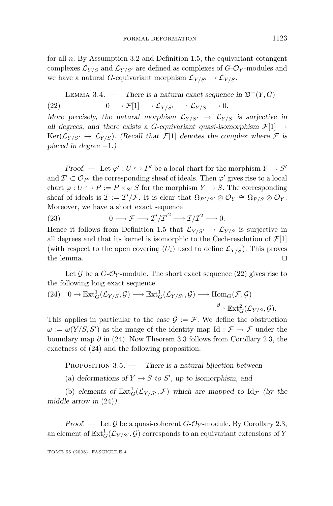for all *n*. By Assumption 3.2 and Definition 1.5, the equivariant cotangent complexes  $\mathcal{L}_{Y/S}$  and  $\mathcal{L}_{Y/S'}$  are defined as complexes of  $G\text{-}\mathcal{O}_Y\text{-modules}$  and we have a natural *G*-equivariant morphism  $\mathcal{L}_{Y/S'} \to \mathcal{L}_{Y/S}$ .

LEMMA 3.4. — There is a natural exact sequence in 
$$
\mathfrak{D}^+(Y, G)
$$
  
(22)  $0 \longrightarrow \mathcal{F}[1] \longrightarrow \mathcal{L}_{Y/S'} \longrightarrow \mathcal{L}_{Y/S} \longrightarrow 0.$ 

*More precisely, the natural morphism*  $\mathcal{L}_{Y/S'} \rightarrow \mathcal{L}_{Y/S}$  *is surjective in all degrees, and there exists a <i>G*-equivariant quasi-isomorphism  $\mathcal{F}[1] \rightarrow$  $Ker(\mathcal{L}_{Y/S'} \to \mathcal{L}_{Y/S})$ . (Recall that  $\mathcal{F}[1]$  denotes the complex where  $\mathcal F$  is *placed in degree* −1*.*)

*Proof.* — Let  $\varphi' : U \hookrightarrow P'$  be a local chart for the morphism  $Y \to S'$ and  $\mathcal{I}' \subset \mathcal{O}_{P'}$  the corresponding sheaf of ideals. Then  $\varphi'$  gives rise to a local chart  $\varphi: U \hookrightarrow P := P \times_{S'} S$  for the morphism  $Y \to S$ . The corresponding sheaf of ideals is  $\mathcal{I} := \mathcal{I}'/\mathcal{F}$ . It is clear that  $\Omega_{P'/S'} \otimes \mathcal{O}_Y \cong \Omega_{P/S} \otimes \mathcal{O}_Y$ . Moreover, we have a short exact sequence

(23)  $0 \longrightarrow \mathcal{F} \longrightarrow \mathcal{I}'/\mathcal{I}'^2 \longrightarrow \mathcal{I}/\mathcal{I}^2 \longrightarrow 0.$ 

Hence it follows from Definition 1.5 that  $\mathcal{L}_{Y/S'} \to \mathcal{L}_{Y/S}$  is surjective in all degrees and that its kernel is isomorphic to the Cech-resolution of  $\mathcal{F}[1]$ (with respect to the open covering  $(U_i)$  used to define  $\mathcal{L}_{Y/S}$ ). This proves the lemma.  $\Box$ 

Let  $\mathcal G$  be a  $G$ - $\mathcal O_Y$ -module. The short exact sequence (22) gives rise to the following long exact sequence

(24) 
$$
0 \to \mathbb{E} \text{xt}^1_G(\mathcal{L}_{Y/S}, \mathcal{G}) \longrightarrow \mathbb{E} \text{xt}^1_G(\mathcal{L}_{Y/S'}, \mathcal{G}) \longrightarrow \text{Hom}_G(\mathcal{F}, \mathcal{G})
$$
  
 $\xrightarrow{\partial} \mathbb{E} \text{xt}^2_G(\mathcal{L}_{Y/S}, \mathcal{G}).$ 

This applies in particular to the case  $\mathcal{G} := \mathcal{F}$ . We define the obstruction  $\omega := \omega(Y/S, S')$  as the image of the identity map Id :  $\mathcal{F} \to \mathcal{F}$  under the boundary map *∂* in (24). Now Theorem 3.3 follows from Corollary 2.3, the exactness of (24) and the following proposition.

Proposition 3.5. — *There is a natural bijection between*

(a) deformations of  $Y \to S$  to  $S'$ , up to isomorphism, and

(b) elements of  $\mathbb{E}xt_G^1(\mathcal{L}_{Y/S}, \mathcal{F})$  which are mapped to  $Id_{\mathcal{F}}$  (by the *middle arrow in* (24)*).*

*Proof.* — Let  $\mathcal G$  be a quasi-coherent  $G\text{-}\mathcal O_Y$ -module. By Corollary 2.3, an element of  $\mathbb{E}\text{xt}_{G}^{1}(\mathcal{L}_{Y/S'}, \mathcal{G})$  corresponds to an equivariant extensions of  $Y$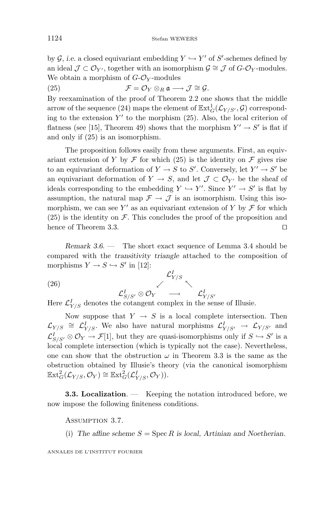by  $\mathcal{G}$ , *i.e.* a closed equivariant embedding  $Y \hookrightarrow Y'$  of  $S'$ -schemes defined by an ideal  $\mathcal{J} \subset \mathcal{O}_{Y'}$ , together with an isomorphism  $\mathcal{G} \cong \mathcal{J}$  of  $G$ - $\mathcal{O}_Y$ -modules. We obtain a morphism of  $G-\mathcal{O}_Y$ -modules

(25)  $\mathcal{F} = \mathcal{O}_Y \otimes_R \mathfrak{a} \longrightarrow \mathcal{J} \cong \mathcal{G}.$ 

By reexamination of the proof of Theorem 2.2 one shows that the middle arrow of the sequence (24) maps the element of  $\mathbb{E}xt^1_G(\mathcal{L}_{Y/S'}, \mathcal{G})$  corresponding to the extension  $Y'$  to the morphism  $(25)$ . Also, the local criterion of flatness (see [15], Theorem 49) shows that the morphism  $Y' \rightarrow S'$  is flat if and only if (25) is an isomorphism.

The proposition follows easily from these arguments. First, an equivariant extension of *Y* by  $\mathcal F$  for which (25) is the identity on  $\mathcal F$  gives rise to an equivariant deformation of  $Y \to S$  to  $S'$ . Conversely, let  $Y' \to S'$  be an equivariant deformation of *Y*  $\rightarrow$  *S*, and let  $\mathcal{J} \subset \mathcal{O}_{Y'}$  be the sheaf of ideals corresponding to the embedding  $Y \hookrightarrow Y'$ . Since  $Y' \to S'$  is flat by assumption, the natural map  $\mathcal{F} \rightarrow \mathcal{J}$  is an isomorphism. Using this isomorphism, we can see  $Y'$  as an equivariant extension of  $Y$  by  $\mathcal F$  for which  $(25)$  is the identity on F. This concludes the proof of the proposition and hence of Theorem 3.3.

*Remark 3.6*. — The short exact sequence of Lemma 3.4 should be compared with the *transitivity triangle* attached to the composition of morphisms  $Y \to S \hookrightarrow S'$  in [12]:

(26) 
$$
\mathcal{L}_{S/S'}^I \otimes \mathcal{O}_Y \longrightarrow \mathcal{L}_{Y/S'}^I
$$
  
Hence  $\mathcal{L}_{S/S'}^I$  denotes the cotangent complex in the case

Here  $\mathcal{L}_{Y/S}^I$  denotes the cotangent complex in the sense of Illusie.

Now suppose that  $Y \rightarrow S$  is a local complete intersection. Then  $\mathcal{L}_{Y/S} \cong \mathcal{L}_{Y/S}^I$ . We also have natural morphisms  $\mathcal{L}_{Y/S'}^I \to \mathcal{L}_{Y/S'}$  and  $\mathcal{L}_{S/S'}^I \otimes \mathcal{O}_Y \to \mathcal{F}[1]$ , but they are quasi-isomorphisms only if  $S \hookrightarrow S'$  is a local complete intersection (which is typically not the case). Nevertheless, one can show that the obstruction  $\omega$  in Theorem 3.3 is the same as the obstruction obtained by Illusie's theory (via the canonical isomorphism  $\mathbb{E}\text{xt}_{G}^{2}(\mathcal{L}_{Y/S}, \mathcal{O}_{Y}) \cong \mathbb{E}\text{xt}_{G}^{2}(\mathcal{L}_{Y/S}^{I}, \mathcal{O}_{Y})).$ 

**3.3. Localization**. — Keeping the notation introduced before, we now impose the following finiteness conditions.

Assumption 3.7.

(i) The affine scheme  $S = \text{Spec } R$  is local, Artinian and Noetherian.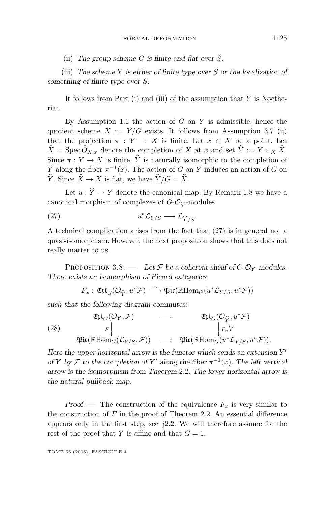(ii) *The group scheme G is finite and flat over S.*

(iii) *The scheme Y is either of finite type over S or the localization of something of finite type over S.*

It follows from Part (i) and (iii) of the assumption that *Y* is Noetherian.

By Assumption 1.1 the action of *G* on *Y* is admissible; hence the quotient scheme  $X := Y/G$  exists. It follows from Assumption 3.7 (ii) that the projection  $\pi : Y \to X$  is finite. Let  $x \in X$  be a point. Let  $\hat{X} = \text{Spec } \widehat{O}_{X,x}$  denote the completion of *X* at *x* and set  $\hat{Y} := Y \times_X \widehat{X}$ . Since  $\pi : Y \to X$  is finite,  $\hat{Y}$  is naturally isomorphic to the completion of *Y* along the fiber  $\pi^{-1}(x)$ . The action of *G* on *Y* induces an action of *G* on  $\hat{Y}$ . Since  $\hat{X} \to X$  is flat, we have  $\hat{Y}/G = \hat{X}$ .

Let  $u : \hat{Y} \to Y$  denote the canonical map. By Remark 1.8 we have a canonical morphism of complexes of  $G-\mathcal{O}_{\widehat{V}}$ -modules

(27) 
$$
u^* \mathcal{L}_{Y/S} \longrightarrow \mathcal{L}_{\widehat{Y}/S}.
$$

A technical complication arises from the fact that (27) is in general not a quasi-isomorphism. However, the next proposition shows that this does not really matter to us.

PROPOSITION 3.8. — Let  $\mathcal F$  be a coherent sheaf of  $G$ - $\mathcal O_Y$ -modules. *There exists an isomorphism of Picard categories*

$$
F_x: \mathfrak{E} \mathfrak{xt}_G(\mathcal{O}_{\widehat{Y}}, u^* \mathcal{F}) \xrightarrow{\sim} \mathfrak{Pic}(\mathbb{R} \text{Hom}_G(u^* \mathcal{L}_{Y/S}, u^* \mathcal{F}))
$$
  
such that the following diagram commutes:

(28) 
$$
\begin{array}{ccc}\n\mathfrak{Ejt}_G(\mathcal{O}_Y, \mathcal{F}) & \longrightarrow & \mathfrak{Ejt}_G(\mathcal{O}_{\widehat{Y}}, u^* \mathcal{F})\\
r \downarrow & & \downarrow_{F_x} V \\
\mathfrak{Pic}(\mathbb{R}\mathrm{Hom}_G(\mathcal{L}_{Y/S}, \mathcal{F})) & \longrightarrow & \mathfrak{Pic}(\mathbb{R}\mathrm{Hom}_G(u^* \mathcal{L}_{Y/S}, u^* \mathcal{F})).\n\end{array}
$$

 $\left($ 

*Here the upper horizontal arrow is the functor which sends an extension Y of Y by*  $\mathcal F$  *to the completion of*  $Y'$  along the fiber  $\pi^{-1}(x)$ *. The left vertical arrow is the isomorphism from Theorem* 2*.*2*. The lower horizontal arrow is the natural pullback map.*

*Proof.* — The construction of the equivalence  $F_x$  is very similar to the construction of *F* in the proof of Theorem 2.2. An essential difference appears only in the first step, see §2.2. We will therefore assume for the rest of the proof that *Y* is affine and that  $G = 1$ .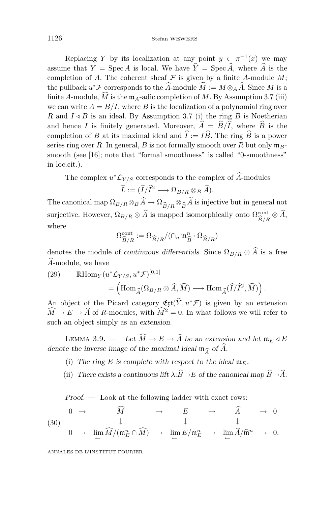Replacing *Y* by its localization at any point  $y \in \pi^{-1}(x)$  we may assume that  $\overline{Y}$  = Spec *A* is local. We have  $\hat{Y}$  = Spec  $\hat{A}$ , where  $\hat{A}$  is the completion of *A*. The coherent sheaf  $\mathcal F$  is given by a finite *A*-module *M*; the pullback  $u^* \mathcal{F}$  corresponds to the *A*-module  $M := M \otimes_A A$ . Since *M* is a finite *A*-module, *M* is the  $m_A$ -adic completion of *M*. By Assumption 3.7 (iii) we can write  $A = B/I$ , where *B* is the localization of a polynomial ring over *R* and  $I \triangleleft B$  is an ideal. By Assumption 3.7 (i) the ring *B* is Noetherian and hence *I* is finitely generated. Moreover,  $A = B/I$ , where *B* is the completion of *B* at its maximal ideal and  $I := IB$ . The ring *B* is a power series ring over *R*. In general, *B* is not formally smooth over *R* but only  $\mathfrak{m}_B$ smooth (see [16]; note that "formal smoothness" is called "0-smoothness" in loc.cit.).

The complex  $u^* \mathcal{L}_{Y/S}$  corresponds to the complex of  $\widehat{A}$ -modules

$$
\widehat{L} := (\widehat{I}/\widehat{I}^2 \longrightarrow \Omega_{B/R} \otimes_B \widehat{A}).
$$

The canonical map  $\Omega_{B/R} \otimes_B A \to \Omega_{\widehat{B}/R} \otimes_{\widehat{B}} A$  is injective but in general not<br>surjective However,  $\Omega_{B/R} \otimes \widehat{A}$  is mapped isomorphically onto  $\Omega_{\text{cont}} \otimes \widehat{A}$ surjective. However,  $\Omega_{B/R} \otimes A$  is mapped isomorphically onto  $\Omega_{\widehat{B}/R}^{\text{cont}} \otimes A$ , where where

$$
\Omega_{\widehat{B}/R}^{\mathrm{cont}}:=\Omega_{\widehat{B}/R}/(\cap_n \mathfrak{m}_{\widehat{B}}^n\cdot \Omega_{\widehat{B}/R})
$$

denotes the module of *continuous differentials*. Since  $\Omega_{B/R} \otimes A$  is a free *<sup>A</sup>*-module, we have

(29) 
$$
\mathbb{R}\text{Hom}_{Y}(u^{*}\mathcal{L}_{Y/S}, u^{*}\mathcal{F})^{[0,1]}
$$

$$
= (\text{Hom}_{\widehat{A}}(\Omega_{B/R} \otimes \widehat{A}, \widehat{M}) \longrightarrow \text{Hom}_{\widehat{A}}(\widehat{I}/\widehat{I}^{2}, \widehat{M})).
$$

An object of the Picard category  $\mathfrak{E}t(\hat{Y},u^*\mathcal{F})$  is given by an extension  $\widehat{M} \to E \to \widehat{A}$  of *R*-modules, with  $\widehat{M}^2 = 0$ . In what follows we will refer to such an object simply as an *extension*.

LEMMA 3.9. — Let  $\widehat{M} \to E \to \widehat{A}$  be an extension and let  $\mathfrak{m}_E \triangleleft E$ *denote the inverse image of the maximal ideal*  $\mathfrak{m}_{\widehat{\Lambda}}$  of  $\widehat{A}$ *.* 

- (i) The ring E is complete with respect to the ideal  $\mathfrak{m}_E$ .
- (ii) *There exists a continuous lift*  $\lambda: \widehat{B} \to E$  *of the canonical map*  $\widehat{B} \to \widehat{A}$ *.*

*Proof. —* Look at the following ladder with exact rows:

(30) 
$$
\begin{array}{ccccccc}\n & 0 & \rightarrow & \widehat{M} & \rightarrow & E & \rightarrow & \widehat{A} & \rightarrow & 0 \\
 & & \downarrow & & \downarrow & & \downarrow & & \downarrow \\
0 & \rightarrow & \lim_{\leftarrow} \widehat{M}/(\mathfrak{m}_E^n \cap \widehat{M}) & \rightarrow & \lim_{\leftarrow} E/\mathfrak{m}_E^n & \rightarrow & \lim_{\leftarrow} \widehat{A}/\widehat{\mathfrak{m}}^n & \rightarrow & 0.\n\end{array}
$$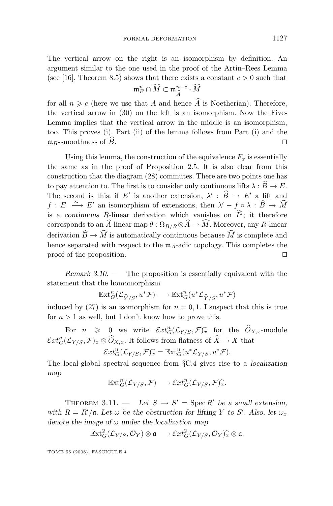The vertical arrow on the right is an isomorphism by definition. An argument similar to the one used in the proof of the Artin–Rees Lemma (see [16], Theorem 8.5) shows that there exists a constant  $c > 0$  such that

$$
\mathfrak{m}_E^n \cap \widehat{M} \subset \mathfrak{m}_{\widehat{A}}^{n-c} \cdot \widehat{M}
$$

 $\mathfrak{m}_E^n \cap M \subset \mathfrak{m}_{\widehat{A}}^{n-c} \cdot M$ <br>for all  $n \geqslant c$  (here we use that *A* and hence  $\widehat{A}$  is Noetherian). Therefore, the vertical arrow in (30) on the left is an isomorphism. Now the Five-Lemma implies that the vertical arrow in the middle is an isomorphism, too. This proves (i). Part (ii) of the lemma follows from Part (i) and the  $\mathfrak{m}_B$ -smoothness of  $\widehat{B}$ .

Using this lemma, the construction of the equivalence  $F_x$  is essentially the same as in the proof of Proposition 2.5. It is also clear from this construction that the diagram (28) commutes. There are two points one has to pay attention to. The first is to consider only continuous lifts  $\lambda : \widehat{B} \to E$ . The second is this: if *E'* is another extension,  $\lambda' : \hat{B} \to E'$  a lift and  $f: E \xrightarrow{\sim} E'$  an isomorphism of extensions, then  $\lambda' - f \circ \lambda : \widehat{B} \to \widehat{M}$ is a *continuous R*-linear derivation which vanishes on  $\hat{I}^2$ ; it therefore corresponds to an *A*-linear map  $\theta : \Omega_{B/R} \otimes A \to M$ . Moreover, any *R*-linear derivation  $B \to M$  is automatically continuous because *M* is complete and hence separated with respect to the  $m_A$ -adic topology. This completes the proof of the proposition.

*Remark 3.10*. — The proposition is essentially equivalent with the statement that the homomorphism

$$
\mathbb{E}\mathrm{xt}^n_G({\mathcal L}_{\widehat{Y}/S},u^*{\mathcal F})\longrightarrow \mathbb{E}\mathrm{xt}^n_G(u^*{\mathcal L}_{\widehat{Y}/S},u^*{\mathcal F})
$$

 $\operatorname{Ext}^n_G(\mathcal{L}_{\widehat{Y}/S}, u^*\mathcal{F}) \longrightarrow \operatorname{Ext}^n_G(u^*\mathcal{L}_{\widehat{Y}/S}, u^*\mathcal{F})$ <br>induced by (27) is an isomorphism for  $n = 0, 1$ . I suspect that this is true for  $n > 1$  as well, but I don't know how to prove this.

For  $n \geq 0$  we write  $\mathcal{E}xt_G^n(\mathcal{L}_{Y/S}, \mathcal{F})_x^{\hat{}}$  for the  $\widehat{O}_{X,x}$ -module  $\mathcal{E}xt_G^n(\mathcal{L}_{Y/S}, \mathcal{F})_x \otimes \widehat{O}_{X,x}$ . It follows from flatness of  $\widehat{X} \to X$  that

$$
\mathcal{E}xt_G^n(\mathcal{L}_{Y/S},\mathcal{F})_x^\frown = \mathbb{E}xt_G^n(u^*\mathcal{L}_{Y/S},u^*\mathcal{F}).
$$

 $\mathcal{E}xt_G^n(\mathcal{L}_{Y/S},\mathcal{F})_x^{\frown} = \mathbb{E}xt_G^n(u^*\mathcal{L}_{Y/S},u^*\mathcal{F}).$ <br>The local-global spectral sequence from §C.4 gives rise to a *localization map*

$$
\mathbb{E}xt_G^n(\mathcal{L}_{Y/S}, \mathcal{F}) \longrightarrow \mathcal{E}xt_G^n(\mathcal{L}_{Y/S}, \mathcal{F})_x^{\widehat{\ }}.
$$

THEOREM 3.11. — Let  $S \hookrightarrow S'$  = Spec  $R'$  be a small extension, *with*  $R = R'/\mathfrak{a}$ *. Let*  $\omega$  *be the obstruction for lifting Y to S'. Also, let*  $\omega_x$ *denote the image of ω under the localization map*

$$
\mathbb{E}xt_G^2(\mathcal{L}_{Y/S},\mathcal{O}_Y)\otimes\mathfrak{a}\longrightarrow \mathcal{E}xt_G^2(\mathcal{L}_{Y/S},\mathcal{O}_Y)^\frown_x\otimes\mathfrak{a}.
$$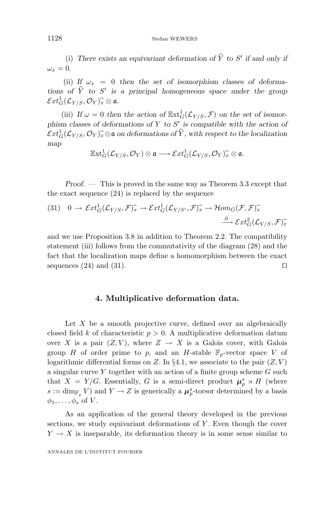(i) There exists an equivariant deformation of  $\hat{Y}$  to  $S'$  if and only if  $\omega_x = 0$ .

(ii) If  $\omega_x = 0$  then the set of isomorphism classes of deforma*tions of*  $\hat{Y}$  *to*  $S'$  *is a principal homogeneous space under the group*  $\mathcal{E}xt^1_G(\mathcal{L}_{Y/S}, \mathcal{O}_Y)_{x}^{\frown} \otimes \mathfrak{a}.$ 

(iii) If  $\omega = 0$  then the action of  $\mathbb{E}xt_G^1(\mathcal{L}_{Y/S}, \mathcal{F})$  on the set of isomor*phism classes of deformations of Y to S is compatible with the action of*  $\mathcal{E}xt^1_G(\mathcal{L}_{Y/S}, \mathcal{O}_Y)_{\mathcal{X}}^{\frown}\otimes\mathfrak{a}$  on deformations of  $\widehat{Y}$ , with respect to the localization man *map*

$$
\mathbb{E}xt^1_G(\mathcal{L}_{Y/S}, \mathcal{O}_Y)\otimes \mathfrak{a} \longrightarrow \mathcal{E}xt^1_G(\mathcal{L}_{Y/S}, \mathcal{O}_Y)^\frown_x \otimes \mathfrak{a}.
$$

*Proof. —* This is proved in the same way as Theorem 3.3 except that the exact sequence (24) is replaced by the sequence

(31) 
$$
0 \to \mathcal{E}xt^1_G(\mathcal{L}_{Y/S}, \mathcal{F})^{\widehat{\star}}_x \to \mathcal{E}xt^1_G(\mathcal{L}_{Y/S'}, \mathcal{F})^{\widehat{\star}}_x \to \mathcal{H}om_G(\mathcal{F}, \mathcal{F})^{\widehat{\star}}_x
$$
  
 $\stackrel{\partial}{\longrightarrow} \mathcal{E}xt^2_G(\mathcal{L}_{Y/S}, \mathcal{F})^{\widehat{\star}}_x$ 

and we use Proposition 3.8 in addition to Theorem 2.2. The compatibility statement (iii) follows from the commutativity of the diagram (28) and the fact that the localization maps define a homomorphism between the exact sequences (24) and (31).

#### **4. Multiplicative deformation data.**

Let *X* be a smooth projective curve, defined over an algebraically closed field *k* of characteristic  $p > 0$ . A multiplicative deformation datum over *X* is a pair  $(Z, V)$ , where  $Z \rightarrow X$  is a Galois cover, with Galois group *H* of order prime to *p*, and an *H*-stable  $\mathbb{F}_p$ -vector space *V* of logarithmic differential forms on  $Z$ . In §4.1, we associate to the pair  $(Z, V)$ a singular curve *Y* together with an action of a finite group scheme *G* such that  $X = Y/G$ . Essentially, G is a semi-direct product  $\mu_p^s \rtimes H$  (where  $s := \dim_{\mathbb{F}_p} V$  and  $Y \to Z$  is generically a  $\mu_p^s$ -torsor determined by a basis  $\phi_1, \ldots, \phi_s$  of *V*.

As an application of the general theory developed in the previous sections, we study equivariant deformations of *Y*. Even though the cover  $Y \to X$  is inseparable, its deformation theory is in some sense similar to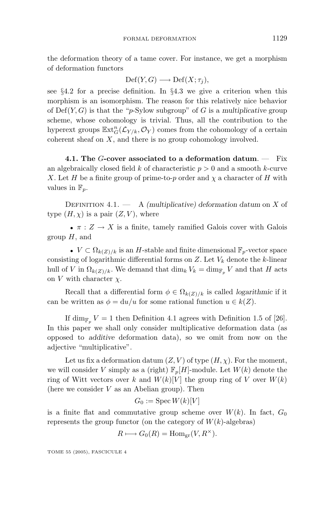the deformation theory of a tame cover. For instance, we get a morphism of deformation functors

$$
\mathrm{Def}(Y,G) \longrightarrow \mathrm{Def}(X;\tau_j),
$$

see §4.2 for a precise definition. In §4.3 we give a criterion when this morphism is an isomorphism. The reason for this relatively nice behavior of  $Def(Y, G)$  is that the "*p*-Sylow subgroup" of *G* is a *multiplicative* group scheme, whose cohomology is trivial. Thus, all the contribution to the hyperext groups  $\mathbb{E}xt_G^n(\mathcal{L}_{Y/k}, \mathcal{O}_Y)$  comes from the cohomology of a certain coherent sheaf on *X*, and there is no group cohomology involved.

**4.1. The** *G***-cover associated to a deformation datum**. — Fix an algebraically closed field *k* of characteristic *p >* 0 and a smooth *k*-curve *X*. Let *H* be a finite group of prime-to-*p* order and  $\chi$  a character of *H* with values in  $\mathbb{F}_p$ .

Definition 4.1. — A *(multiplicative) deformation datum* on *X* of type  $(H, \chi)$  is a pair  $(Z, V)$ , where

•  $\pi : Z \to X$  is a finite, tamely ramified Galois cover with Galois group *H*, and

•  $V \subset \Omega_{k(Z)/k}$  is an *H*-stable and finite dimensional  $\mathbb{F}_p$ -vector space consisting of logarithmic differential forms on *Z*. Let *V<sup>k</sup>* denote the *k*-linear hull of *V* in  $\Omega_{k(Z)/k}$ . We demand that  $\dim_k V_k = \dim_{\mathbb{F}_p} V$  and that *H* acts on *V* with character *χ*.

Recall that a differential form  $\phi \in \Omega_{k(Z)/k}$  is called *logarithmic* if it can be written as  $\phi = du/u$  for some rational function  $u \in k(Z)$ .

If dim<sub>F<sub>p</sub></sub>  $V = 1$  then Definition 4.1 agrees with Definition 1.5 of [26]. In this paper we shall only consider multiplicative deformation data (as opposed to *additive* deformation data), so we omit from now on the adjective "multiplicative".

Let us fix a deformation datum  $(Z, V)$  of type  $(H, \chi)$ . For the moment, we will consider *V* simply as a (right)  $\mathbb{F}_p[H]$ -module. Let  $W(k)$  denote the ring of Witt vectors over *k* and  $W(k)[V]$  the group ring of *V* over  $W(k)$ (here we consider *V* as an Abelian group). Then

$$
G_0:=\mathop{\rm Spec}\nolimits W(k)[V]
$$

is a finite flat and commutative group scheme over  $W(k)$ . In fact,  $G_0$ represents the group functor (on the category of  $W(k)$ -algebras)

$$
R \longmapsto G_0(R) = \text{Hom}_{\text{gr}}(V, R^{\times}).
$$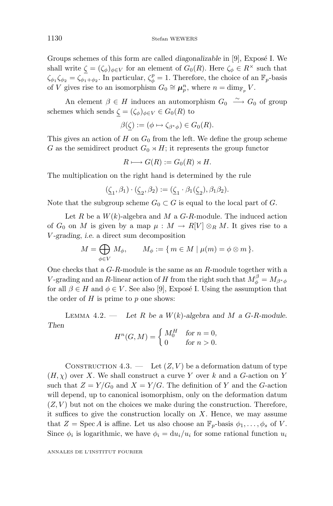Groups schemes of this form are called *diagonalizable* in [9], Expose I. We shall write  $\zeta = (\zeta_{\phi})_{\phi \in V}$  for an element of  $G_0(R)$ . Here  $\zeta_{\phi} \in R^{\times}$  such that  $\zeta_{\phi_1} \zeta_{\phi_2} = \zeta_{\phi_1 + \phi_2}$ . In particular,  $\zeta_{\phi}^p = 1$ . Therefore, the choice of an  $\mathbb{F}_p$ -basis of *V* gives rise to an isomorphism  $G_0 \cong \mu_p^n$ , where  $n = \dim_{\mathbb{F}_p} V$ .

An element  $\beta \in H$  induces an automorphism  $G_0 \longrightarrow G_0$  of group schemes which sends  $\zeta = (\zeta_{\phi})_{\phi \in V} \in G_0(R)$  to

$$
\beta(\underline{\zeta}) := (\phi \mapsto \zeta_{\beta^*\phi}) \in G_0(R).
$$

This gives an action of *H* on  $G_0$  from the left. We define the group scheme *G* as the semidirect product  $G_0 \rtimes H$ ; it represents the group functor

$$
R \longmapsto G(R) := G_0(R) \rtimes H.
$$

The multiplication on the right hand is determined by the rule

$$
(\underline{\zeta}_1,\beta_1)\cdot(\underline{\zeta}_2,\beta_2):=(\underline{\zeta}_1\cdot\beta_1(\underline{\zeta}_2),\beta_1\beta_2).
$$

Note that the subgroup scheme  $G_0 \subset G$  is equal to the local part of *G*.

Let  $R$  be a  $W(k)$ -algebra and  $M$  a  $G-R$ -module. The induced action of  $G_0$  on M is given by a map  $\mu : M \to R[V] \otimes_R M$ . It gives rise to a *V -grading*, *i.e.* a direct sum decomposition

$$
M = \bigoplus_{\phi \in V} M_{\phi}, \qquad M_{\phi} := \{ m \in M \mid \mu(m) = \phi \otimes m \}.
$$

One checks that a *G*-*R*-module is the same as an *R*-module together with a *V*-grading and an *R*-linear action of *H* from the right such that  $M_{\phi}^{\beta} = M_{\beta^*\phi}$ for all  $\beta \in H$  and  $\phi \in V$ . See also [9], Exposé I. Using the assumption that the order of *H* is prime to *p* one shows:

LEMMA 4.2. — Let  $R$  be a  $W(k)$ -algebra and  $M$  a  $G$ - $R$ -module. *Then*

$$
H^n(G, M) = \begin{cases} M_0^H & \text{for } n = 0, \\ 0 & \text{for } n > 0. \end{cases}
$$

CONSTRUCTION  $4.3.$  — Let  $(Z, V)$  be a deformation datum of type  $(H, \chi)$  over *X*. We shall construct a curve *Y* over *k* and a *G*-action on *Y* such that  $Z = Y/G_0$  and  $X = Y/G$ . The definition of *Y* and the *G*-action will depend, up to canonical isomorphism, only on the deformation datum  $(Z, V)$  but not on the choices we make during the construction. Therefore, it suffices to give the construction locally on *X*. Hence, we may assume that  $Z = \text{Spec } A$  is affine. Let us also choose an  $\mathbb{F}_p$ -basis  $\phi_1, \ldots, \phi_s$  of *V*. Since  $\phi_i$  is logarithmic, we have  $\phi_i = \frac{du_i}{u_i}$  for some rational function  $u_i$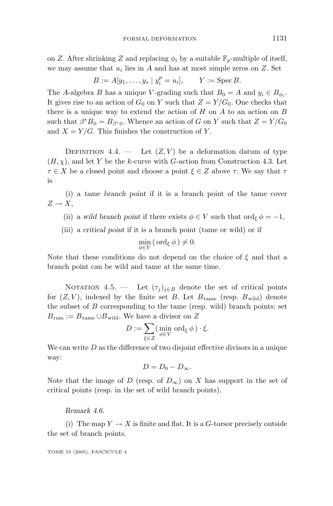on *Z*. After shrinking *Z* and replacing  $\phi_i$  by a suitable  $\mathbb{F}_p$ -multiple of itself, we may assume that  $u_i$  lies in  $A$  and has at most simple zeros on  $Z$ . Set

$$
B := A[y_1, ..., y_s | y_i^p = u_i],
$$
  $Y := \text{Spec } B.$ 

The *A*-algebra *B* has a unique *V*-grading such that  $B_0 = A$  and  $y_i \in B_{\phi_i}$ . It gives rise to an action of  $G_0$  on *Y* such that  $Z = Y/G_0$ . One checks that there is a unique way to extend the action of *H* on *A* to an action on *B* such that  $\beta^* B_{\phi} = B_{\beta^* \phi}$ . Whence an action of *G* on *Y* such that  $Z = Y/G_0$ and  $X = Y/G$ . This finishes the construction of Y.

DEFINITION  $4.4.$  — Let  $(Z, V)$  be a deformation datum of type  $(H, \chi)$ , and let *Y* be the *k*-curve with *G*-action from Construction 4.3. Let  $\tau \in X$  be a closed point and choose a point  $\xi \in Z$  above  $\tau$ . We say that  $\tau$ is

(i) a *tame branch point* if it is a branch point of the tame cover  $Z \rightarrow X$ ,

(ii) a *wild branch point* if there exists  $\phi \in V$  such that ord $_{\xi} \phi = -1$ ,

(iii) a *critical point* if it is a branch point (tame or wild) or if

$$
\min_{\phi \in V} (\text{ord}_{\xi} \phi) \neq 0.
$$

Note that these conditions do not depend on the choice of *ξ* and that a branch point can be wild and tame at the same time.

NOTATION 4.5. — Let  $(\tau_j)_{j\in B}$  denote the set of critical points for  $(Z, V)$ , indexed by the finite set *B*. Let  $B_{\text{tame}}$  (resp.  $B_{\text{wild}}$ ) denote the subset of *B* corresponding to the tame (resp. wild) branch points; set  $B_{\text{ram}} := B_{\text{tame}} \cup B_{\text{wild}}$ . We have a divisor on *Z* 

$$
D := \sum_{\xi \in Z} (\min_{\phi \in V} \text{ord}_{\xi} \phi) \cdot \xi.
$$

We can write *D* as the difference of two disjoint effective divisors in a unique way:

$$
D=D_0-D_\infty.
$$

Note that the image of *D* (resp. of  $D_{\infty}$ ) on *X* has support in the set of critical points (resp. in the set of wild branch points).

*Remark 4.6.*

(i) The map  $Y \to X$  is finite and flat. It is a *G*-torsor precisely outside the set of branch points.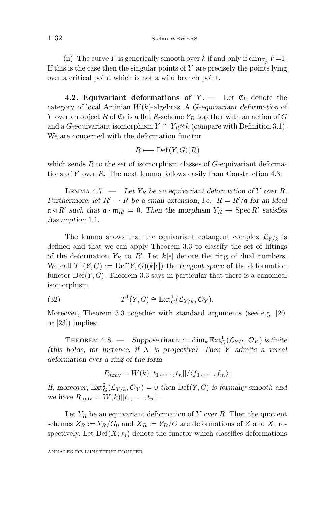(ii) The curve *Y* is generically smooth over *k* if and only if  $\dim_{\mathbb{F}_p} V = 1$ . If this is the case then the singular points of *Y* are precisely the points lying over a critical point which is not a wild branch point.

**4.2. Equivariant deformations of**  $Y =$  Let  $\mathfrak{C}_k$  denote the category of local Artinian *W*(*k*)-algebras. A *G-equivariant deformation* of *Y* over an object *R* of  $\mathfrak{C}_k$  is a flat *R*-scheme  $Y_R$  together with an action of *G* and a *G*-equivariant isomorphism  $Y \cong Y_R \otimes k$  (compare with Definition 3.1). We are concerned with the deformation functor

$$
R \longmapsto \mathrm{Def}(Y,G)(R)
$$

which sends *R* to the set of isomorphism classes of *G*-equivariant deformations of *Y* over *R*. The next lemma follows easily from Construction 4.3:

LEMMA 4.7. — Let  $Y_R$  be an equivariant deformation of  $Y$  over  $R$ . *Furthermore, let*  $R' \to R$  *be a small extension, i.e.*  $R = R'/\mathfrak{a}$  *for an ideal*  $\mathfrak{a} \triangleleft R'$  such that  $\mathfrak{a} \cdot \mathfrak{m}_{R'} = 0$ . Then the morphism  $Y_R \to \text{Spec } R'$  satisfies *Assumption* 1*.*1*.*

The lemma shows that the equivariant cotangent complex  $\mathcal{L}_{Y/k}$  is defined and that we can apply Theorem 3.3 to classify the set of liftings of the deformation  $Y_R$  to  $R'$ . Let  $k[\epsilon]$  denote the ring of dual numbers. We call  $T^1(Y, G) := \text{Def}(Y, G)(k[\epsilon])$  the *tangent space* of the deformation functor  $\mathrm{Def}(Y,G)$ . Theorem 3.3 says in particular that there is a canonical isomorphism

(32) 
$$
T^1(Y,G) \cong \mathbb{E} \mathrm{xt}^1_G(\mathcal{L}_{Y/k}, \mathcal{O}_Y).
$$

Moreover, Theorem 3.3 together with standard arguments (see e.g. [20] or [23]) implies:

THEOREM 4.8. — Suppose that  $n := \dim_k \mathbb{E}xt_G^1(\mathcal{L}_{Y/k}, \mathcal{O}_Y)$  is finite *(this holds, for instance, if X is projective). Then Y admits a versal deformation over a ring of the form*

$$
R_{\text{univ}} = W(k)[[t_1, \ldots, t_n]]/\langle f_1, \ldots, f_m \rangle.
$$

If, moreover,  $\mathbb{E}xt_G^2(\mathcal{L}_{Y/k}, \mathcal{O}_Y) = 0$  then  $\text{Def}(Y, G)$  is formally smooth and *we have*  $R_{\text{univ}} = W(k)[[t_1, \ldots, t_n]].$ 

Let  $Y_R$  be an equivariant deformation of  $Y$  over  $R$ . Then the quotient schemes  $Z_R := Y_R/G_0$  and  $X_R := Y_R/G$  are deformations of *Z* and *X*, respectively. Let  $Def(X; \tau_i)$  denote the functor which classifies deformations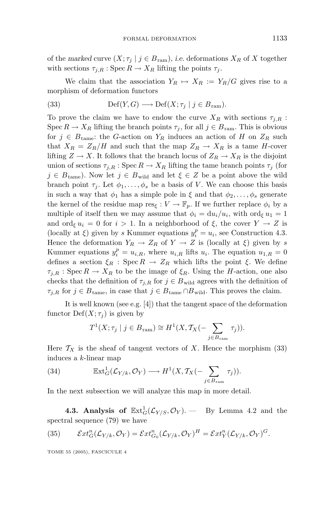of the *marked* curve  $(X; \tau_j | j \in B_{ram}),$  *i.e.* deformations  $X_R$  of X together with sections  $\tau_{j,R}$ : Spec  $R \to X_R$  lifting the points  $\tau_j$ .

We claim that the association  $Y_R \mapsto X_R := Y_R/G$  gives rise to a morphism of deformation functors

(33) 
$$
\text{Def}(Y, G) \longrightarrow \text{Def}(X; \tau_j | j \in B_{\text{ram}}).
$$

To prove the claim we have to endow the curve  $X_R$  with sections  $\tau_{i,R}$ : Spec  $R \to X_R$  lifting the branch points  $\tau_j$ , for all  $j \in B_{\text{ram}}$ . This is obvious for  $j \in B_{\text{tame}}$ : the *G*-action on  $Y_R$  induces an action of *H* on  $Z_R$  such that  $X_R = Z_R/H$  and such that the map  $Z_R \to X_R$  is a tame *H*-cover lifting  $Z \to X$ . It follows that the branch locus of  $Z_R \to X_R$  is the disjoint union of sections  $\tau_{i,R}$ : Spec  $R \to X_R$  lifting the tame branch points  $\tau_i$  (for  $j \in B_{\text{tame}}$ ). Now let  $j \in B_{\text{wild}}$  and let  $\xi \in Z$  be a point above the wild branch point  $\tau_i$ . Let  $\phi_1, \ldots, \phi_s$  be a basis of *V*. We can choose this basis in such a way that  $\phi_1$  has a simple pole in  $\xi$  and that  $\phi_2, \ldots, \phi_s$  generate the kernel of the residue map  $res_{\xi}: V \to \mathbb{F}_p$ . If we further replace  $\phi_i$  by a multiple of itself then we may assume that  $\phi_i = du_i/u_i$ , with ord<sub>ξ</sub>  $u_1 = 1$ and ord<sub>ξ</sub>  $u_i = 0$  for  $i > 1$ . In a neighborhood of  $\xi$ , the cover  $Y \to Z$  is (locally at  $\xi$ ) given by *s* Kummer equations  $y_i^p = u_i$ , see Construction 4.3. Hence the deformation  $Y_R \to Z_R$  of  $Y \to Z$  is (locally at  $\xi$ ) given by *s* Kummer equations  $y_i^p = u_{i,R}$ , where  $u_{i,R}$  lifts  $u_i$ . The equation  $u_{1,R} = 0$ defines a section  $\xi_R$  : Spec  $R \to Z_R$  which lifts the point  $\xi$ . We define  $\tau_{i,R}$ : Spec  $R \to X_R$  to be the image of  $\xi_R$ . Using the *H*-action, one also checks that the definition of  $\tau_{j,R}$  for  $j \in B_{\text{wild}}$  agrees with the definition of  $\tau_{j,R}$  for  $j \in B_{\text{tame}}$ , in case that  $j \in B_{\text{tame}} \cap B_{\text{wild}}$ . This proves the claim.

It is well known (see e.g. [4]) that the tangent space of the deformation functor  $\mathrm{Def}(X;\tau_i)$  is given by

$$
T^1(X; \tau_j \mid j \in B_{\text{ram}}) \cong H^1(X, \mathcal{T}_X(-\sum_{j \in B_{\text{ram}}} \tau_j)).
$$

Here  $T_X$  is the sheaf of tangent vectors of X. Hence the morphism (33) induces a *k*-linear map

(34) 
$$
\mathbb{E} \mathrm{xt}^1_G(\mathcal{L}_{Y/k}, \mathcal{O}_Y) \longrightarrow H^1(X, \mathcal{T}_X(-\sum_{j \in B_{\mathrm{ram}}} \tau_j)).
$$

In the next subsection we will analyze this map in more detail.

**4.3. Analysis of**  $\mathbb{E} \text{xt}_G^1(\mathcal{L}_{Y/S}, \mathcal{O}_Y)$ . — By Lemma 4.2 and the spectral sequence (79) we have

(35) 
$$
\mathcal{E}xt_G^n(\mathcal{L}_{Y/k}, \mathcal{O}_Y) = \mathcal{E}xt_{G_0}^n(\mathcal{L}_{Y/k}, \mathcal{O}_Y)^H = \mathcal{E}xt_Y^n(\mathcal{L}_{Y/k}, \mathcal{O}_Y)^G.
$$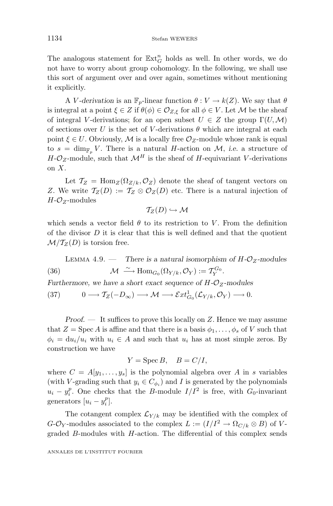The analogous statement for  $\mathbb{E} \mathbf{x} \mathbf{t}_G^n$  holds as well. In other words, we do not have to worry about group cohomology. In the following, we shall use this sort of argument over and over again, sometimes without mentioning it explicitly.

A *V*-derivation is an  $\mathbb{F}_p$ -linear function  $\theta: V \to k(Z)$ . We say that  $\theta$ is integral at a point  $\xi \in Z$  if  $\theta(\phi) \in \mathcal{O}_{Z,\xi}$  for all  $\phi \in V$ . Let M be the sheaf of integral *V*-derivations; for an open subset  $U \in Z$  the group  $\Gamma(U, \mathcal{M})$ of sections over *U* is the set of *V*-derivations  $\theta$  which are integral at each point  $\xi \in U$ . Obviously, M is a locally free  $\mathcal{O}_Z$ -module whose rank is equal to  $s = \dim_{\mathbb{F}_n} V$ . There is a natural *H*-action on *M*, *i.e.* a structure of  $H - \mathcal{O}_Z$ -module, such that  $\mathcal{M}^H$  is the sheaf of *H*-equivariant *V*-derivations on *X*.

Let  $\mathcal{T}_Z$  = Hom<sub>*Z*</sub>( $\Omega_{Z/k}$ *, O<sub>Z</sub>*) denote the sheaf of tangent vectors on *Z*. We write  $\mathcal{T}_Z(D) := \mathcal{T}_Z \otimes \mathcal{O}_Z(D)$  etc. There is a natural injection of *H*-O*Z*-modules

 $T_Z(D) \hookrightarrow M$ 

which sends a vector field  $\theta$  to its restriction to *V*. From the definition of the divisor *D* it is clear that this is well defined and that the quotient  $\mathcal{M}/T_Z(D)$  is torsion free.

LEMMA 4.9. — There is a natural isomorphism of  $H$ - $\mathcal{O}_Z$ -modules (36)  $\mathcal{M} \xrightarrow{\sim} \text{Hom}_{G_0}(\Omega_{Y/k}, \mathcal{O}_Y) := \mathcal{T}_Y^{G_0}.$ 

*Furthermore, we have a short exact sequence of*  $H - \mathcal{O}_Z$ -modules

 $(37)$  0  $\longrightarrow$   $\mathcal{T}_Z(-D_{\infty}) \longrightarrow \mathcal{M} \longrightarrow \mathcal{E}xt_{G_0}^1(\mathcal{L}_{Y/k}, \mathcal{O}_Y) \longrightarrow 0.$ 

*Proof. —* It suffices to prove this locally on *Z*. Hence we may assume that  $Z = \text{Spec } A$  is affine and that there is a basis  $\phi_1, \ldots, \phi_s$  of *V* such that  $\phi_i = du_i/u_i$  with  $u_i \in A$  and such that  $u_i$  has at most simple zeros. By construction we have

$$
Y = \operatorname{Spec} B, \quad B = C/I,
$$

where  $C = A[y_1, \ldots, y_s]$  is the polynomial algebra over A in *s* variables (with *V*-grading such that  $y_i \in C_{\phi_i}$ ) and *I* is generated by the polynomials  $u_i - y_i^p$ . One checks that the *B*-module  $I/I^2$  is free, with *G*<sub>0</sub>-invariant generators  $[u_i - y_i^p]$ .

The cotangent complex  $\mathcal{L}_{Y/k}$  may be identified with the complex of *G*- $\mathcal{O}_Y$ -modules associated to the complex  $L := (I/I^2 \to \Omega_{C/k} \otimes B)$  of *V*graded *B*-modules with *H*-action. The differential of this complex sends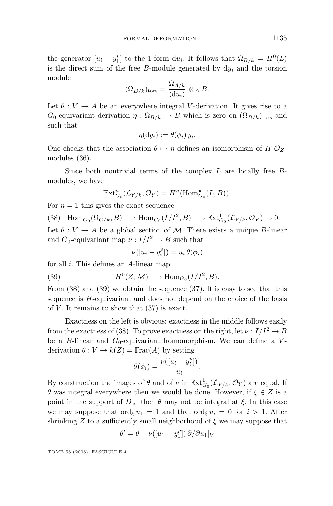the generator  $[u_i - y_i^p]$  to the 1-form d $u_i$ . It follows that  $\Omega_{B/k} = H^0(L)$ is the direct sum of the free *B*-module generated by  $dy_i$  and the torsion module

$$
(\Omega_{B/k})_{\text{tors}} = \frac{\Omega_{A/k}}{\langle \mathrm{d} u_i \rangle} \otimes_A B.
$$

Let  $\theta: V \to A$  be an everywhere integral *V*-derivation. It gives rise to a  $G_0$ -equivariant derivation  $\eta : \Omega_{B/k} \to B$  which is zero on  $(\Omega_{B/k})_{\text{tors}}$  and such that

$$
\eta(\mathrm{d}y_i):=\theta(\phi_i)\,y_i.
$$

One checks that the association  $\theta \mapsto \eta$  defines an isomorphism of  $H - \mathcal{O}_Z$ modules (36).

Since both nontrivial terms of the complex *L* are locally free *B*modules, we have

$$
\mathbb{E}\mathrm{xt}_{G_0}^n(\mathcal{L}_{Y/k}, \mathcal{O}_Y) = H^n(\mathrm{Hom}_{G_0}^\bullet(L, B)).
$$

For  $n = 1$  this gives the exact sequence

 $(38)$  Hom<sub>*G*0</sub> ( $\Omega_{C/k}, B$ )  $\longrightarrow$  Hom<sub>*G*0</sub></sub> ( $I/I^2, B$ )  $\longrightarrow$  Ext<sub>*G*<sub>0</sub></sub> ( $\mathcal{L}_{Y/k}, \mathcal{O}_Y$ )  $\rightarrow$  0*.* Let  $\theta : V \to A$  be a global section of M. There exists a unique *B*-linear and  $G_0$ -equivariant map  $\nu : I/I^2 \to B$  such that

$$
\nu([u_i - y_i^p]) = u_i \theta(\phi_i)
$$

for all *i*. This defines an *A*-linear map

(39) 
$$
H^0(Z, \mathcal{M}) \longrightarrow \text{Hom}_{G_0}(I/I^2, B).
$$

From (38) and (39) we obtain the sequence (37). It is easy to see that this sequence is *H*-equivariant and does not depend on the choice of the basis of  $V$ . It remains to show that  $(37)$  is exact.

Exactness on the left is obvious; exactness in the middle follows easily from the exactness of (38). To prove exactness on the right, let  $\nu : I/I^2 \to B$ be a *B*-linear and  $G_0$ -equivariant homomorphism. We can define a *V*derivation  $\theta: V \to k(Z) = \text{Frac}(A)$  by setting

$$
\theta(\phi_i) = \frac{\nu([u_i - y_i^p])}{u_i}.
$$

By construction the images of  $\theta$  and of  $\nu$  in  $\mathbb{E}xt^1_{G_0}(\mathcal{L}_{Y/k}, \mathcal{O}_Y)$  are equal. If *θ* was integral everywhere then we would be done. However, if  $\xi \in Z$  is a point in the support of  $D_{\infty}$  then  $\theta$  may not be integral at  $\xi$ . In this case we may suppose that ord<sub>ξ</sub>  $u_1 = 1$  and that ord<sub>ξ</sub>  $u_i = 0$  for  $i > 1$ . After shrinking  $Z$  to a sufficiently small neighborhood of  $\xi$  we may suppose that

$$
\theta' = \theta - \nu([u_1 - y_1^p]) \partial / \partial u_1|_V
$$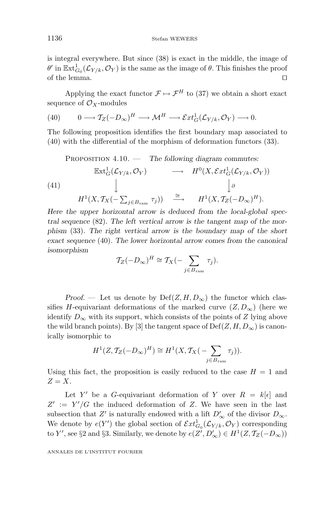is integral everywhere. But since (38) is exact in the middle, the image of  $\theta'$  in  $\mathbb{E}xt^1_{G_0}(\mathcal{L}_{Y/k}, \mathcal{O}_Y)$  is the same as the image of  $\theta$ . This finishes the proof of the lemma.

Applying the exact functor  $\mathcal{F} \mapsto \mathcal{F}^H$  to (37) we obtain a short exact sequence of  $\mathcal{O}_X$ -modules

(40) 
$$
0 \longrightarrow T_Z(-D_{\infty})^H \longrightarrow \mathcal{M}^H \longrightarrow \mathcal{E}xt^1_G(\mathcal{L}_{Y/k}, \mathcal{O}_Y) \longrightarrow 0.
$$

The following proposition identifies the first boundary map associated to (40) with the differential of the morphism of deformation functors (33).

Proposition 4.10. — *The following diagram commutes:*

(41)  
\n
$$
\begin{array}{ccc}\n\mathbb{E} \mathrm{xt}^1_G(\mathcal{L}_{Y/k}, \mathcal{O}_Y) & \longrightarrow & H^0(X, \mathcal{E}xt^1_G(\mathcal{L}_{Y/k}, \mathcal{O}_Y)) \\
\downarrow & & \downarrow \partial \\
H^1(X, \mathcal{T}_X(-\sum_{j \in B_{\text{ram}}} \tau_j)) & \xrightarrow{\cong} & H^1(X, \mathcal{T}_Z(-D_{\infty})^H).\n\end{array}
$$

*Here the upper horizontal arrow is deduced from the local-global spectral sequence* (82)*. The left vertical arrow is the tangent map of the morphism* (33)*. The right vertical arrow is the boundary map of the short exact sequence* (40)*. The lower horizontal arrow comes from the canonical isomorphism*

$$
\mathcal{T}_Z(-D_\infty)^H \cong \mathcal{T}_X(-\sum_{j\in B_{\text{ram}}} \tau_j).
$$

*Proof.* — Let us denote by  $Def(Z, H, D_{\infty})$  the functor which classifies *H*-equivariant deformations of the marked curve  $(Z, D_{\infty})$  (here we identify  $D_{\infty}$  with its support, which consists of the points of *Z* lying above the wild branch points). By [3] the tangent space of  $\text{Def}(Z, H, D_{\infty})$  is canonically isomorphic to

$$
H^1(Z, \mathcal{T}_Z(-D_{\infty})^H) \cong H^1(X, \mathcal{T}_X(-\sum_{j \in B_{\text{ram}}} \tau_j)).
$$

Using this fact, the proposition is easily reduced to the case  $H = 1$  and  $Z = X$ .

Let *Y'* be a *G*-equivariant deformation of *Y* over  $R = k[\epsilon]$  and  $Z' := Y'/G$  the induced deformation of *Z*. We have seen in the last subsection that *Z'* is naturally endowed with a lift  $D'_{\infty}$  of the divisor  $D_{\infty}$ . We denote by  $e(Y')$  the global section of  $\mathcal{E}xt^1_{G_0}(\mathcal{L}_{Y/k}, \mathcal{O}_Y)$  corresponding to *Y'*, see §2 and §3. Similarly, we denote by  $e(Z', D'_{\infty}) \in H^1(Z, \mathcal{T}_Z(-D_{\infty}))$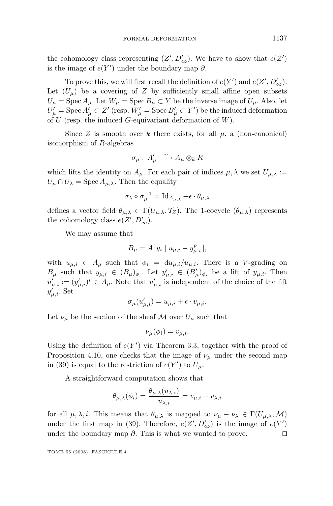the cohomology class representing  $(Z', D'_{\infty})$ . We have to show that  $e(Z')$ is the image of  $e(Y')$  under the boundary map  $\partial$ .

To prove this, we will first recall the definition of  $e(Y')$  and  $e(Z', D'_{\infty})$ . Let  $(U_\mu)$  be a covering of *Z* by sufficiently small affine open subsets  $U_{\mu}$  = Spec  $A_{\mu}$ . Let  $W_{\mu}$  = Spec  $B_{\mu} \subset Y$  be the inverse image of  $U_{\mu}$ . Also, let  $U'_{\mu} = \text{Spec } A'_{\mu} \subset Z' \text{ (resp. } W'_{\mu} = \text{Spec } B'_{\mu} \subset Y' \text{) be the induced deformation}$ of *U* (resp. the induced *G*-equivariant deformation of *W*).

Since *Z* is smooth over *k* there exists, for all  $\mu$ , a (non-canonical) isomorphism of *R*-algebras

$$
\sigma_\mu:\, A'_\mu \,\xrightarrow{\,\sim\,} A_\mu \otimes_k R
$$

which lifts the identity on  $A_\mu$ . For each pair of indices  $\mu, \lambda$  we set  $U_{\mu,\lambda}$ :  $U_{\mu} \cap U_{\lambda} = \text{Spec } A_{\mu, \lambda}$ . Then the equality

$$
\sigma_{\lambda} \circ \sigma_{\mu}^{-1} = \mathrm{Id}_{A_{\mu,\lambda}} + \epsilon \cdot \theta_{\mu,\lambda}
$$

defines a vector field  $\theta_{\mu,\lambda} \in \Gamma(U_{\mu,\lambda}, \mathcal{T}_Z)$ . The 1-cocycle  $(\theta_{\mu,\lambda})$  represents the cohomology class  $e(Z', D'_{\infty})$ .

We may assume that

$$
B_{\mu} = A[y_i \mid u_{\mu,i} - y_{\mu,i}^p],
$$

with  $u_{\mu,i} \in A_\mu$  such that  $\phi_i = du_{\mu,i}/u_{\mu,i}$ . There is a *V*-grading on *B*<sub>*µ*</sub> such that  $y_{\mu,i} \in (B_{\mu})_{\phi_i}$ . Let  $y'_{\mu,i} \in (B'_{\mu})_{\phi_i}$  be a lift of  $y_{\mu,i}$ . Then  $u'_{\mu,i} := (y'_{\mu,i})^p \in A_{\mu}$ . Note that  $u'_{\mu,i}$  is independent of the choice of the lift  $y'_{\mu,i}$ . Set

$$
\sigma_{\mu}(u'_{\mu,i}) = u_{\mu,i} + \epsilon \cdot v_{\mu,i}.
$$

Let  $\nu_{\mu}$  be the section of the sheaf M over  $U_{\mu}$  such that

$$
\nu_{\mu}(\phi_i) = v_{\mu,i}.
$$

Using the definition of  $e(Y')$  via Theorem 3.3, together with the proof of Proposition 4.10, one checks that the image of  $\nu_{\mu}$  under the second map in (39) is equal to the restriction of  $e(Y')$  to  $U_{\mu}$ .

A straightforward computation shows that

$$
\theta_{\mu,\lambda}(\phi_i) = \frac{\theta_{\mu,\lambda}(u_{\lambda,i})}{u_{\lambda,i}} = v_{\mu,i} - v_{\lambda,i}
$$

for all  $\mu, \lambda, i$ . This means that  $\theta_{\mu,\lambda}$  is mapped to  $\nu_{\mu} - \nu_{\lambda} \in \Gamma(U_{\mu,\lambda},\mathcal{M})$ under the first map in (39). Therefore,  $e(Z', D'_{\infty})$  is the image of  $e(Y')$ under the boundary map *∂*. This is what we wanted to prove.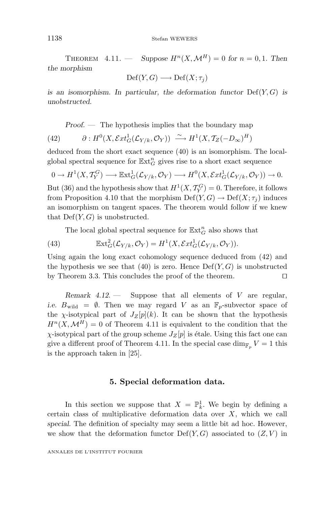1138 Stefan WEWERS

THEOREM  $4.11.$  — *Suppose*  $H^n(X, \mathcal{M}^H) = 0$  for  $n = 0, 1$ . Then *the morphism*

 $Def(Y, G) \longrightarrow Def(X; \tau_i)$ 

*is an isomorphism. In particular, the deformation functor*  $Def(Y, G)$  *is unobstructed.*

*Proof. —* The hypothesis implies that the boundary map

(42) 
$$
\partial : H^0(X, \mathcal{E}xt^1_G(\mathcal{L}_{Y/k}, \mathcal{O}_Y)) \xrightarrow{\sim} H^1(X, \mathcal{T}_Z(-D_{\infty})^H)
$$

deduced from the short exact sequence (40) is an isomorphism. The localglobal spectral sequence for  $\mathbb{E} \mathbf{x} \mathbf{t}_G^n$  gives rise to a short exact sequence

$$
0 \to H^1(X, \mathcal{T}_Y^G) \longrightarrow \mathbb{E}\mathrm{xt}^1_G(\mathcal{L}_{Y/k}, \mathcal{O}_Y) \longrightarrow H^0(X, \mathcal{E}\mathrm{xt}^1_G(\mathcal{L}_{Y/k}, \mathcal{O}_Y)) \to 0.
$$

But (36) and the hypothesis show that  $H^1(X, \mathcal{T}_Y^G) = 0$ . Therefore, it follows from Proposition 4.10 that the morphism  $Def(Y, G) \to Def(X; \tau_i)$  induces an isomorphism on tangent spaces. The theorem would follow if we knew that  $Def(Y, G)$  is unobstructed.

The local global spectral sequence for  $\mathbb{E}\text{xt}_G^n$  also shows that

(43) 
$$
\mathbb{E}\mathrm{xt}^2_G(\mathcal{L}_{Y/k}, \mathcal{O}_Y) = H^1(X, \mathcal{E}\mathrm{xt}^1_G(\mathcal{L}_{Y/k}, \mathcal{O}_Y)).
$$

Using again the long exact cohomology sequence deduced from (42) and the hypothesis we see that  $(40)$  is zero. Hence  $Def(Y, G)$  is unobstructed by Theorem 3.3. This concludes the proof of the theorem.

*Remark 4.12*. — Suppose that all elements of *V* are regular, *i.e.*  $B_{\text{wild}} = \emptyset$ . Then we may regard *V* as an  $\mathbb{F}_p$ -subvector space of the *χ*-isotypical part of  $J_Z[p](k)$ . It can be shown that the hypothesis  $H^{n}(X, \mathcal{M}^{H}) = 0$  of Theorem 4.11 is equivalent to the condition that the *χ*-isotypical part of the group scheme  $J_Z[p]$  is étale. Using this fact one can give a different proof of Theorem 4.11. In the special case dim<sub>F<sub>p</sub></sub>  $V = 1$  this is the approach taken in [25].

#### **5. Special deformation data.**

In this section we suppose that  $X = \mathbb{P}_k^1$ . We begin by defining a certain class of multiplicative deformation data over *X*, which we call *special*. The definition of specialty may seem a little bit ad hoc. However, we show that the deformation functor  $\mathrm{Def}(Y,G)$  associated to  $(Z,V)$  in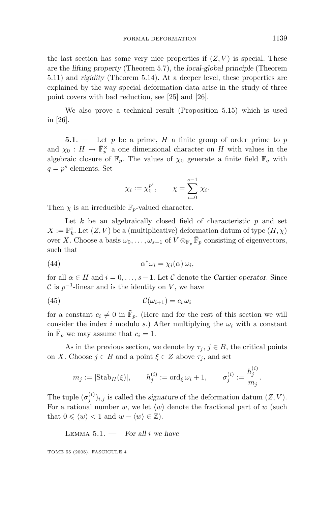the last section has some very nice properties if  $(Z, V)$  is special. These are the *lifting property* (Theorem 5.7), the *local-global principle* (Theorem 5.11) and *rigidity* (Theorem 5.14). At a deeper level, these properties are explained by the way special deformation data arise in the study of three point covers with bad reduction, see [25] and [26].

We also prove a technical result (Proposition 5.15) which is used in [26].

**5.1**. — Let *p* be a prime, *H* a finite group of order prime to *p* and  $\chi_0: H \to \overline{\mathbb{F}}_p^{\times}$  a one dimensional character on *H* with values in the algebraic closure of  $\mathbb{F}_p$ . The values of  $\chi_0$  generate a finite field  $\mathbb{F}_q$  with  $q = p^s$  elements. Set

$$
\chi_i := \chi_0^{p^i}, \qquad \chi = \sum_{i=0}^{s-1} \chi_i.
$$

Then  $\chi$  is an irreducible  $\mathbb{F}_p$ -valued character.

Let  $k$  be an algebraically closed field of characteristic  $p$  and set  $X := \mathbb{P}^1_k$ . Let  $(Z, V)$  be a (multiplicative) deformation datum of type  $(H, \chi)$ over *X*. Choose a basis  $\omega_0, \ldots, \omega_{s-1}$  of  $V \otimes_{\mathbb{F}_p} \overline{\mathbb{F}}_p$  consisting of eigenvectors, such that

(44) 
$$
\alpha^* \omega_i = \chi_i(\alpha) \omega_i,
$$

for all  $\alpha \in H$  and  $i = 0, \ldots, s - 1$ . Let C denote the *Cartier operator*. Since  $\mathcal C$  is  $p^{-1}$ -linear and is the identity on *V*, we have

$$
(45) \t\t\t\t\t\mathcal{C}(\omega_{i+1}) = c_i \,\omega_i
$$

for a constant  $c_i \neq 0$  in  $\mathbb{F}_p$ . (Here and for the rest of this section we will consider the index *i* modulo *s*.) After multiplying the  $\omega_i$  with a constant in  $\bar{\mathbb{F}}_p$  we may assume that  $c_i = 1$ .

As in the previous section, we denote by  $\tau_j$ ,  $j \in B$ , the critical points on *X*. Choose  $j \in B$  and a point  $\xi \in Z$  above  $\tau_j$ , and set

$$
m_j := |\text{Stab}_H(\xi)|
$$
,  $h_j^{(i)} := \text{ord}_{\xi} \omega_i + 1$ ,  $\sigma_j^{(i)} := \frac{h_j^{(i)}}{m_j}$ .

The tuple  $(\sigma_j^{(i)})_{i,j}$  is called the *signature* of the deformation datum  $(Z, V)$ . For a rational number *w*, we let  $\langle w \rangle$  denote the fractional part of *w* (such that  $0 \leq \langle w \rangle < 1$  and  $w - \langle w \rangle \in \mathbb{Z}$ ).

Lemma 5.1. — *For all i we have*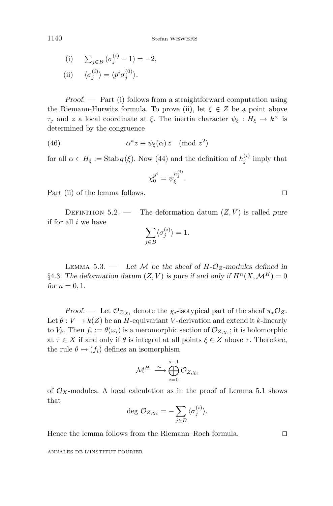1140 Stefan WEWERS

(i) 
$$
\sum_{j \in B} (\sigma_j^{(i)} - 1) = -2,
$$
  
\n(ii) 
$$
\langle \sigma_j^{(i)} \rangle = \langle p^i \sigma_j^{(0)} \rangle.
$$

*Proof. —* Part (i) follows from a straightforward computation using the Riemann-Hurwitz formula. To prove (ii), let  $\xi \in Z$  be a point above *τj* and *z* a local coordinate at *ξ*. The inertia character  $\psi_{\xi}: H_{\xi} \to k^{\times}$  is determined by the congruence

(46) 
$$
\alpha^* z \equiv \psi_{\xi}(\alpha) z \pmod{z^2}
$$

for all  $\alpha \in H_{\xi} := \text{Stab}_H(\xi)$ . Now (44) and the definition of  $h_j^{(i)}$  imply that

$$
\chi_0^{p^i} = \psi_\xi^{h_j^{(i)}}.
$$

Part (ii) of the lemma follows.

DEFINITION 5.2. — The deformation datum  $(Z, V)$  is called *pure* if for all *i* we have

$$
\sum_{j \in B} \langle \sigma_j^{(i)} \rangle = 1.
$$

LEMMA 5.3. — Let  $M$  be the sheaf of  $H$ - $\mathcal{O}_Z$ -modules defined in §4.3. The deformation datum  $(Z, V)$  is pure if and only if  $H^n(X, \mathcal{M}^H) = 0$ *for*  $n = 0, 1$ *.* 

*Proof.* — Let  $\mathcal{O}_{Z,\chi_i}$  denote the  $\chi_i$ -isotypical part of the sheaf  $\pi_*\mathcal{O}_Z$ . Let  $\theta: V \to k(Z)$  be an *H*-equivariant *V*-derivation and extend it *k*-linearly to  $V_k$ . Then  $f_i := \theta(\omega_i)$  is a meromorphic section of  $\mathcal{O}_{Z, \chi_i}$ ; it is holomorphic at  $\tau \in X$  if and only if  $\theta$  is integral at all points  $\xi \in Z$  above  $\tau$ . Therefore, the rule  $\theta \mapsto (f_i)$  defines an isomorphism

$$
\mathcal{M}^H \xrightarrow{\sim} \bigoplus_{i=0}^{s-1} \mathcal{O}_{Z,\chi_i}
$$

of  $\mathcal{O}_X$ -modules. A local calculation as in the proof of Lemma 5.1 shows that

$$
\deg \mathcal{O}_{Z,\chi_i} = -\sum_{j \in B} \langle \sigma_j^{(i)} \rangle.
$$

Hence the lemma follows from the Riemann–Roch formula.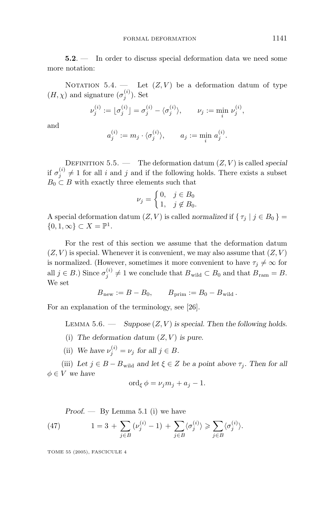**5.2**. — In order to discuss special deformation data we need some more notation:

NOTATION  $5.4.$  — Let  $(Z, V)$  be a deformation datum of type  $(H, \chi)$  and signature  $(\sigma_j^{(i)})$ . Set

$$
\nu_j^{(i)} := \lfloor \sigma_j^{(i)} \rfloor = \sigma_j^{(i)} - \langle \sigma_j^{(i)} \rangle, \qquad \nu_j := \min_i \, \nu_j^{(i)},
$$

and

$$
a_j^{(i)} := m_j \cdot \langle \sigma_j^{(i)} \rangle, \qquad a_j := \min_i \, a_j^{(i)}.
$$

DEFINITION  $5.5.$  — The deformation datum  $(Z, V)$  is called *special* if  $\sigma_j^{(i)} \neq 1$  for all *i* and *j* and if the following holds. There exists a subset  $B_0 \subset B$  with exactly three elements such that

$$
\nu_j = \begin{cases} 0, & j \in B_0 \\ 1, & j \notin B_0. \end{cases}
$$

A special deformation datum  $(Z, V)$  is called *normalized* if  $\{\tau_i \mid j \in B_0\}$  $\{0, 1, \infty\} \subset X = \mathbb{P}^1$ .

For the rest of this section we assume that the deformation datum  $(Z, V)$  is special. Whenever it is convenient, we may also assume that  $(Z, V)$ is normalized. (However, sometimes it more convenient to have  $\tau_j \neq \infty$  for all  $j \in B$ .) Since  $\sigma_j^{(i)} \neq 1$  we conclude that  $B_{\text{wild}} \subset B_0$  and that  $B_{\text{ram}} = B$ . We set

$$
Bnew := B - B0, \t Bprim := B0 - Bwild.
$$

For an explanation of the terminology, see [26].

LEMMA  $5.6.$  — *Suppose*  $(Z, V)$  *is special. Then the following holds.* 

- (i) The deformation datum  $(Z, V)$  is pure.
- (ii) We have  $\nu_j^{(i)} = \nu_j$  for all  $j \in B$ .

(iii) Let  $j \in B - B_{\text{wild}}$  and let  $\xi \in Z$  be a point above  $\tau_j$ . Then for all  $\phi \in V$  *we have* 

$$
\operatorname{ord}_{\xi} \phi = \nu_j m_j + a_j - 1.
$$

*Proof. —* By Lemma 5.1 (i) we have

(47) 
$$
1 = 3 + \sum_{j \in B} (\nu_j^{(i)} - 1) + \sum_{j \in B} \langle \sigma_j^{(i)} \rangle \ge \sum_{j \in B} \langle \sigma_j^{(i)} \rangle.
$$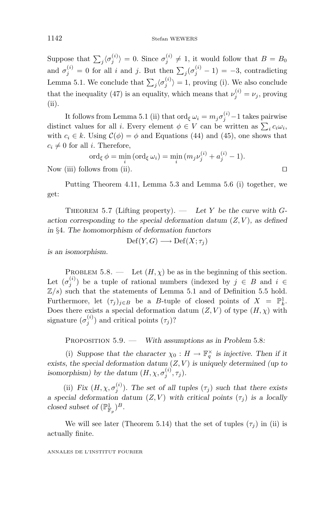Suppose that  $\sum_{j} \langle \sigma_j^{(i)} \rangle = 0$ . Since  $\sigma_j^{(i)} \neq 1$ , it would follow that  $B = B_0$ and  $\sigma_j^{(i)} = 0$  for all *i* and *j*. But then  $\sum_j (\sigma_j^{(i)} - 1) = -3$ , contradicting Lemma 5.1. We conclude that  $\sum_{j} \langle \sigma_j^{(i)} \rangle = 1$ , proving (i). We also conclude that the inequality (47) is an equality, which means that  $\nu_j^{(i)} = \nu_j$ , proving (ii).

It follows from Lemma 5.1 (ii) that  $\text{ord}_{\xi} \omega_i = m_j \sigma_j^{(i)} - 1$  takes pairwise distinct values for all *i*. Every element  $\phi \in V$  can be written as  $\sum_i c_i \omega_i$ , with  $c_i \in k$ . Using  $\mathcal{C}(\phi) = \phi$  and Equations (44) and (45), one shows that  $c_i \neq 0$  for all *i*. Therefore,

$$
\operatorname{ord}_{\xi} \phi = \min_{i} (\operatorname{ord}_{\xi} \omega_{i}) = \min_{i} (m_{j} \nu_{j}^{(i)} + a_{j}^{(i)} - 1).
$$
  
Now (iii) follows from (ii).

Putting Theorem 4.11, Lemma 5.3 and Lemma 5.6 (i) together, we get:

THEOREM 5.7 (Lifting property).  $-$  *Let*  $Y$  *be the curve with Gaction corresponding to the special deformation datum* (*Z, V* )*, as defined in* §4*. The homomorphism of deformation functors*

$$
\mathrm{Def}(Y,G) \longrightarrow \mathrm{Def}(X;\tau_j)
$$

*is an isomorphism.*

PROBLEM 5.8. — Let  $(H, \chi)$  be as in the beginning of this section. Let  $(\sigma_j^{(i)})$  be a tuple of rational numbers (indexed by  $j \in B$  and  $i \in$  $\mathbb{Z}/s$ ) such that the statements of Lemma 5.1 and of Definition 5.5 hold. Furthermore, let  $(\tau_j)_{j \in B}$  be a *B*-tuple of closed points of  $X = \mathbb{P}^1_k$ . Does there exists a special deformation datum  $(Z, V)$  of type  $(H, \chi)$  with signature  $(\sigma_j^{(i)})$  and critical points  $(\tau_j)$ ?

Proposition 5.9. — *With assumptions as in Problem* 5*.*8*:*

(i) Suppose that the character  $\chi_0 : H \to \mathbb{F}_q^{\times}$  is injective. Then if it *exists, the special deformation datum* (*Z, V* ) *is uniquely determined (up to isomorphism) by the datum*  $(H, \chi, \sigma_j^{(i)}, \tau_j)$ *.* 

(ii) *Fix*  $(H, \chi, \sigma_j^{(i)})$ *. The set of all tuples*  $(\tau_j)$  *such that there exists a special deformation datum*  $(Z, V)$  *with critical points*  $(\tau_j)$  *is a locally closed subset of*  $(\mathbb{P}^1_{\mathbb{F}_p})^B$ *.* 

We will see later (Theorem 5.14) that the set of tuples  $(\tau_j)$  in (ii) is actually finite.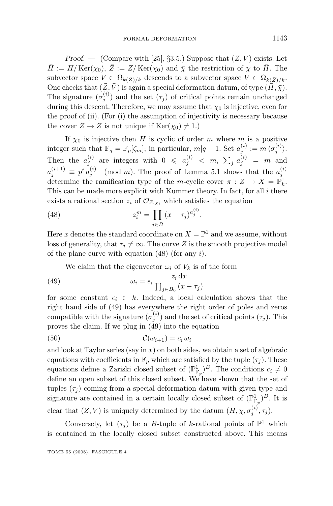*Proof.* — (Compare with [25], §3.5.) Suppose that  $(Z, V)$  exists. Let  $\bar{H}$  := *H*/*Ker(x*<sub>0</sub>),  $\bar{Z}$  := *Z*/*Ker(x*<sub>0</sub>) and  $\bar{\chi}$  the restriction of  $\chi$  to  $\bar{H}$ . The subvector space  $V \subset \Omega_{k(Z)/k}$  descends to a subvector space  $\overline{V} \subset \Omega_{k(\overline{Z})/k}$ . One checks that  $(\bar{Z}, \bar{V})$  is again a special deformation datum, of type  $(\tilde{H}, \tilde{\chi})$ . The signature  $(\sigma_j^{(i)})$  and the set  $(\tau_j)$  of critical points remain unchanged during this descent. Therefore, we may assume that  $\chi_0$  is injective, even for the proof of (ii). (For (i) the assumption of injectivity is necessary because the cover  $Z \to \bar{Z}$  is not unique if  $\text{Ker}(\chi_0) \neq 1$ .)

If  $\chi_0$  is injective then *H* is cyclic of order *m* where *m* is a positive integer such that  $\mathbb{F}_q = \mathbb{F}_p[\zeta_m]$ ; in particular,  $m|q-1$ . Set  $a_j^{(i)} := m \langle \sigma_j^{(i)} \rangle$ . Then the  $a_j^{(i)}$  are integers with  $0 \leq a_j^{(i)} < m$ ,  $\sum_j a_j^{(i)} = m$  and  $a_j^{(i+1)} \equiv p^i a_j^{(i)} \pmod{m}$ . The proof of Lemma 5.1 shows that the  $a_j^{(i)}$  determine the ramification type of the *m*-cyclic cover  $\pi : Z \to X = \mathbb{P}_k^1$ . This can be made more explicit with Kummer theory. In fact, for all *i* there exists a rational section  $z_i$  of  $\mathcal{O}_{Z,\chi_i}$  which satisfies the equation

(48) 
$$
z_i^m = \prod_{j \in B} (x - \tau_j)^{a_j^{(i)}}.
$$

Here *x* denotes the standard coordinate on  $X = \mathbb{P}^1$  and we assume, without loss of generality, that  $\tau_j \neq \infty$ . The curve *Z* is the smooth projective model of the plane curve with equation (48) (for any *i*).

We claim that the eigenvector  $\omega_i$  of  $V_k$  is of the form

(49) 
$$
\omega_i = \epsilon_i \frac{z_i \, dx}{\prod_{j \in B_0} (x - \tau_j)}
$$

for some constant  $\epsilon_i \in k$ . Indeed, a local calculation shows that the right hand side of (49) has everywhere the right order of poles and zeros compatible with the signature  $(\sigma_j^{(i)})$  and the set of critical points  $(\tau_j)$ . This proves the claim. If we plug in (49) into the equation

$$
(50) \t\t\t\t\t\mathcal{C}(\omega_{i+1}) = c_i \,\omega_i
$$

and look at Taylor series (say in *x*) on both sides, we obtain a set of algebraic equations with coefficients in  $\mathbb{F}_p$  which are satisfied by the tuple  $(\tau_j)$ . These equations define a Zariski closed subset of  $(\mathbb{P}^1_{\mathbb{F}_p})^B$ . The conditions  $c_i \neq 0$ define an open subset of this closed subset. We have shown that the set of tuples  $(\tau_j)$  coming from a special deformation datum with given type and signature are contained in a certain locally closed subset of  $(\mathbb{P}^1_{\mathbb{F}_p})^B$ . It is clear that  $(Z, V)$  is uniquely determined by the datum  $(H, \chi, \sigma_j^{(i)}, \tau_j)$ .

Conversely, let  $(\tau_j)$  be a *B*-tuple of *k*-rational points of  $\mathbb{P}^1$  which is contained in the locally closed subset constructed above. This means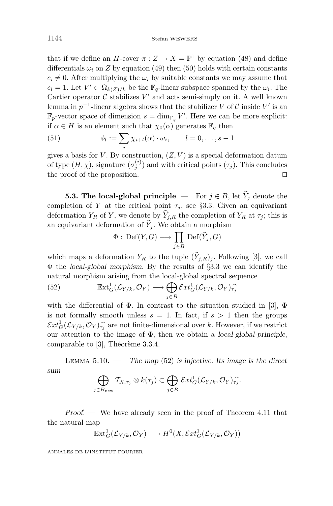that if we define an *H*-cover  $\pi: Z \to X = \mathbb{P}^1$  by equation (48) and define differentials  $\omega_i$  on *Z* by equation (49) then (50) holds with certain constants  $c_i \neq 0$ . After multiplying the  $\omega_i$  by suitable constants we may assume that  $c_i = 1$ . Let  $V' \subset \Omega_{k(Z)/k}$  be the  $\mathbb{F}_q$ -linear subspace spanned by the  $\omega_i$ . The Cartier operator  $C$  stabilizes  $V'$  and acts semi-simply on it. A well known lemma in  $p^{-1}$ -linear algebra shows that the stabilizer *V* of *C* inside *V'* is an  $\mathbb{F}_p$ -vector space of dimension  $s = \dim_{\mathbb{F}_q} V'$ . Here we can be more explicit: if  $\alpha \in H$  is an element such that  $\chi_0(\alpha)$  generates  $\mathbb{F}_q$  then

(51) 
$$
\phi_l := \sum_i \chi_{i+l}(\alpha) \cdot \omega_i, \qquad l = 0, \ldots, s-1
$$

gives a basis for  $V$ . By construction,  $(Z, V)$  is a special deformation datum of type  $(H, \chi)$ , signature  $(\sigma_j^{(i)})$  and with critical points  $(\tau_j)$ . This concludes the proof of the proposition.

**5.3. The local-global principle**. — For  $j \in B$ , let  $\hat{Y}_j$  denote the completion of *Y* at the critical point  $\tau_j$ , see §3.3. Given an equivariant deformation  $Y_R$  of  $Y$ , we denote by  $\hat{Y}_{j,R}$  the completion of  $Y_R$  at  $\tau_j$ ; this is an equivariant deformation of  $\hat{Y}_i$ . We obtain a morphism

$$
\Phi : \mathrm{Def}(Y,G) \longrightarrow \prod_{j \in B} \mathrm{Def}(\widehat{Y}_j,G)
$$

which maps a deformation  $Y_R$  to the tuple  $(\hat{Y}_{i,R})_i$ . Following [3], we call Φ the *local-global morphism*. By the results of §3.3 we can identify the natural morphism arising from the local-global spectral sequence

(52) 
$$
\mathbb{E} \mathrm{xt}^1_G(\mathcal{L}_{Y/k}, \mathcal{O}_Y) \longrightarrow \bigoplus_{j \in B} \mathcal{E} \mathrm{xt}^1_G(\mathcal{L}_{Y/k}, \mathcal{O}_Y)_{\tau_j}^{\frown}
$$

with the differential of  $\Phi$ . In contrast to the situation studied in [3],  $\Phi$ is not formally smooth unless  $s = 1$ . In fact, if  $s > 1$  then the groups  $\mathcal{E}xt_G^1(\mathcal{L}_{Y/k}, \mathcal{O}_Y)\hat{\tau}_i$  are not finite-dimensional over *k*. However, if we restrict<br>our attention to the image of  $\Phi$ , then we obtain a local-global-principle our attention to the image of Φ, then we obtain a *local-global-principle*, comparable to  $[3]$ , Théorème 3.3.4.

Lemma 5.10. — *The map* (52) *is injective. Its image is the direct sum*

$$
\bigoplus_{j\in B_{\text{new}}} T_{X,\tau_j}\otimes k(\tau_j)\subset \bigoplus_{j\in B} \mathcal Ext^1_G(\mathcal L_{Y/k},\mathcal O_Y)_{\tau_j}^{\frown}.
$$

*Proof. —* We have already seen in the proof of Theorem 4.11 that the natural map

$$
\mathbb{E}xt^1_G(\mathcal{L}_{Y/k}, \mathcal{O}_Y) \longrightarrow H^0(X, \mathcal{E}xt^1_G(\mathcal{L}_{Y/k}, \mathcal{O}_Y))
$$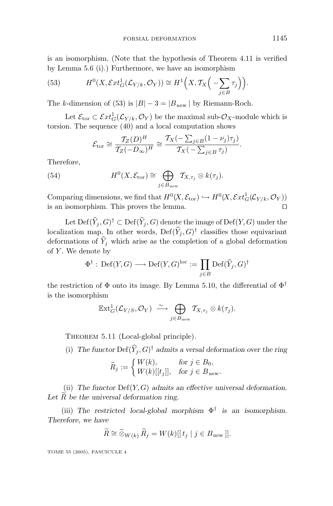is an isomorphism. (Note that the hypothesis of Theorem 4.11 is verified by Lemma 5.6 (i).) Furthermore, we have an isomorphism

(53) 
$$
H^{0}(X, \mathcal{E}xt_{G}^{1}(\mathcal{L}_{Y/k}, \mathcal{O}_{Y})) \cong H^{1}\Big(X, \mathcal{T}_{X}\Big(-\sum_{j\in B}\tau_{j}\Big)\Big).
$$

The *k*-dimension of (53) is  $|B| - 3 = |B_{\text{new}}|$  by Riemann-Roch.

Let  $\mathcal{E}_{\text{tor}} \subset \mathcal{E}xt_G^1(\mathcal{L}_{Y/k}, \mathcal{O}_Y)$  be the maximal sub- $\mathcal{O}_X$ -module which is torsion. The sequence (40) and a local computation shows

$$
\mathcal{E}_{\text{tor}} \cong \frac{\mathcal{T}_Z(D)^H}{\mathcal{T}_Z(-D_\infty)^H} \cong \frac{\mathcal{T}_X(-\sum_{j\in B}(1-\nu_j)\tau_j)}{\mathcal{T}_X(-\sum_{j\in B}\tau_j)}.
$$

Therefore,

(54) 
$$
H^{0}(X, \mathcal{E}_{\text{tor}}) \cong \bigoplus_{j \in B_{\text{new}}} T_{X, \tau_{j}} \otimes k(\tau_{j}).
$$

Comparing dimensions, we find that  $H^0(X, \mathcal{E}_{\text{tor}}) \hookrightarrow H^0(X, \mathcal{E}xt^1_G(\mathcal{L}_{Y/k}, \mathcal{O}_Y))$ is an isomorphism. This proves the lemma.

Let  $Def(\hat{Y}_i, G)^\dagger \subset Def(\hat{Y}_i, G)$  denote the image of  $Def(Y, G)$  under the localization map. In other words,  $Def(\hat{Y}_i, G)^\dagger$  classifies those equivariant deformations of  $\hat{Y}_j$  which arise as the completion of a global deformation of *Y* . We denote by

$$
\Phi^{\dagger} : \mathrm{Def}(Y,G) \longrightarrow \mathrm{Def}(Y,G)^{\mathrm{loc}} := \prod_{j \in B} \mathrm{Def}(\widehat{Y}_j,G)^{\dagger}
$$

the restriction of  $\Phi$  onto its image. By Lemma 5.10, the differential of  $\Phi^{\dagger}$ is the isomorphism

$$
\mathbb{E} \mathrm{xt}^1_G(\mathcal{L}_{Y/S}, \mathcal{O}_Y) \xrightarrow{\sim} \bigoplus_{j \in B_{\mathrm{new}}} T_{X, \tau_j} \otimes k(\tau_j).
$$

THEOREM 5.11 (Local-global principle).

(i) The functor  $\text{Def}(\widehat{Y}_i, G)^\dagger$  admits a versal deformation over the ring

$$
\widetilde{R}_j := \begin{cases} W(k), & \text{for } j \in B_0, \\ W(k)[[t_j]], & \text{for } j \in B_{\text{new}}. \end{cases}
$$

(ii) *The functor* Def(*Y,G*) *admits an effective universal deformation. Let <sup>R</sup> be the universal deformation ring.*

(iii) *The restricted local-global morphism* Φ† *is an isomorphism. Therefore, we have*

$$
\widetilde{R} \cong \widehat{\otimes}_{W(k)} \widetilde{R}_j = W(k)[[t_j \mid j \in B_{\text{new}}]].
$$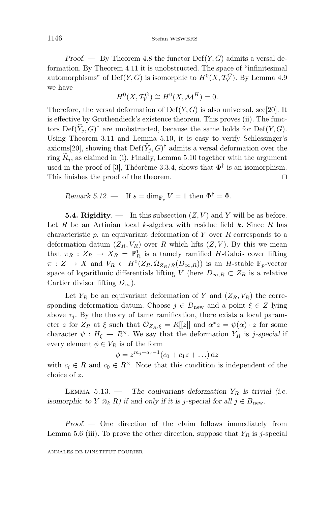*Proof.* — By Theorem 4.8 the functor  $Def(Y, G)$  admits a versal deformation. By Theorem 4.11 it is unobstructed. The space of "infinitesimal automorphisms" of  $Def(Y, G)$  is isomorphic to  $H^0(X, \mathcal{T}_Y^G)$ . By Lemma 4.9 we have

$$
H^0(X, \mathcal{T}_Y^G) \cong H^0(X, \mathcal{M}^H) = 0.
$$

Therefore, the versal deformation of  $Def(Y, G)$  is also universal, see[20]. It is effective by Grothendieck's existence theorem. This proves (ii). The functors  $Def(\hat{Y}_i, G)^\dagger$  are unobstructed, because the same holds for  $Def(Y, G)$ . Using Theorem 3.11 and Lemma 5.10, it is easy to verify Schlessinger's axioms[20], showing that  $\mathrm{Def}(\widehat{Y}_i, G)^\dagger$  admits a versal deformation over the ring  $\widetilde{R}_i$ , as claimed in (i). Finally, Lemma 5.10 together with the argument used in the proof of [3], Théorème 3.3.4, shows that  $\Phi^{\dagger}$  is an isomorphism. This finishes the proof of the theorem.

Remark 5.12. — If 
$$
s = \dim_{\mathbb{F}_p} V = 1
$$
 then  $\Phi^{\dagger} = \Phi$ .

**5.4. Rigidity.** — In this subsection  $(Z, V)$  and Y will be as before. Let *R* be an Artinian local *k*-algebra with residue field *k*. Since *R* has characteristic *p*, an equivariant deformation of *Y* over *R* corresponds to a deformation datum  $(Z_R, V_R)$  over *R* which lifts  $(Z, V)$ . By this we mean that  $\pi_R$  :  $Z_R \to X_R = \mathbb{P}^1_R$  is a tamely ramified *H*-Galois cover lifting  $\pi$  :  $Z \to X$  and  $V_R \subset H^0(Z_R, \Omega_{Z_R/R}(D_{\infty,R}))$  is an *H*-stable  $\mathbb{F}_p$ -vector space of logarithmic differentials lifting *V* (here  $D_{\infty,R} \subset Z_R$  is a relative Cartier divisor lifting *D*∞).

Let  $Y_R$  be an equivariant deformation of *Y* and  $(Z_R, V_R)$  the corresponding deformation datum. Choose  $j \in B_{\text{new}}$  and a point  $\xi \in Z$  lying above  $\tau_i$ . By the theory of tame ramification, there exists a local parameter *z* for  $Z_R$  at  $\xi$  such that  $\mathcal{O}_{Z_R,\xi} = R[[z]]$  and  $\alpha^*z = \psi(\alpha) \cdot z$  for some character  $\psi : H_{\xi} \to R^{\times}$ . We say that the deformation  $Y_R$  is *j*-special if every element  $\phi \in V_R$  is of the form

$$
\phi = z^{m_j + a_j - 1} (c_0 + c_1 z + \ldots) dz
$$

with  $c_i \in R$  and  $c_0 \in R^{\times}$ . Note that this condition is independent of the choice of *z*.

LEMMA 5.13. — The equivariant deformation  $Y_R$  is trivial (i.e. *isomorphic to*  $Y \otimes_k R$ *)* if and only if it is *j*-special for all  $j \in B_{\text{new}}$ .

*Proof. —* One direction of the claim follows immediately from Lemma 5.6 (iii). To prove the other direction, suppose that  $Y_R$  is *j*-special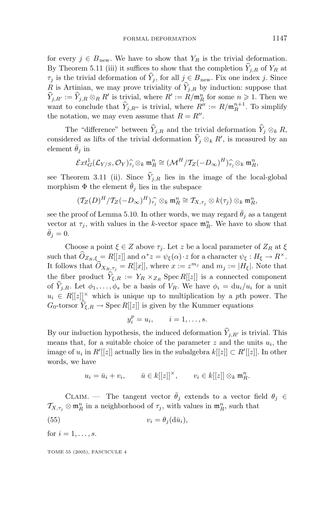for every  $j \in B_{\text{new}}$ . We have to show that  $Y_R$  is the trivial deformation. By Theorem 5.11 (iii) it suffices to show that the completion  $\hat{Y}_{j,R}$  of  $Y_R$  at  $\tau_j$  is the trivial deformation of  $\hat{Y}_j$ , for all  $j \in B_{\text{new}}$ . Fix one index *j*. Since *R* is Artinian, we may prove triviality of  $\hat{Y}_{i,R}$  by induction: suppose that  $\hat{Y}_{j,R'} := \hat{Y}_{j,R} \otimes_R R'$  is trivial, where  $R' := R/\mathfrak{m}_R^n$  for some  $n \geqslant 1$ . Then we want to conclude that  $\hat{Y}_{j,R''}$  is trivial, where  $R'' := R/\mathfrak{m}_R^{n+1}$ . To simplify the notation, we may even assume that  $R = R''$ .

The "difference" between  $\hat{Y}_{i,R}$  and the trivial deformation  $\hat{Y}_i \otimes_k R$ , considered as lifts of the trivial deformation  $\tilde{Y}_j \otimes_k R'$ , is measured by an element  $\bar{\theta}_i$  in

$$
\mathcal{E}xt^1_G(\mathcal{L}_{Y/S},\mathcal{O}_Y)^{-\widehat{\mathcal{F}}_j\otimes_k\mathfrak{m}_R^n}\cong (\mathcal{M}^H/\mathcal{T}_Z(-D_\infty)^H)^{\widehat{\mathcal{F}}_j\otimes_k\mathfrak{m}_R^n},
$$

see Theorem 3.11 (ii). Since  $\hat{Y}_{i,R}$  lies in the image of the local-global morphism  $\Phi$  the element  $\bar{\theta}_j$  lies in the subspace

$$
(T_Z(D)^H/T_Z(-D_{\infty})^H)_{\widehat{\tau_j}} \otimes_k \mathfrak{m}_R^n \cong T_{X,\tau_j} \otimes k(\tau_j) \otimes_k \mathfrak{m}_R^n,
$$

see the proof of Lemma 5.10. In other words, we may regard  $\bar{\theta}_j$  as a tangent vector at  $\tau_j$ , with values in the *k*-vector space  $\mathfrak{m}_R^n$ . We have to show that  $\bar{\theta}_i = 0.$ 

Choose a point  $\xi \in Z$  above  $\tau_i$ . Let *z* be a local parameter of  $Z_R$  at  $\xi$ such that  $\widehat{O}_{Z_R,\xi} = R[[z]]$  and  $\alpha^*z = \psi_{\xi}(\alpha) \cdot z$  for a character  $\psi_{\xi}: H_{\xi} \to R^{\times}$ . It follows that  $\widehat{O}_{X_R,\tau_j} = R[[x]]$ , where  $x := z^{m_j}$  and  $m_j := |H_{\xi}|$ . Note that the fiber product  $\hat{Y}_{\xi,R} := Y_R \times_{Z_R} \text{Spec } R[[z]]$  is a connected component of  $\hat{Y}_{j,R}$ . Let  $\phi_1,\ldots,\phi_s$  be a basis of  $V_R$ . We have  $\phi_i = \mathrm{d}u_i/u_i$  for a unit  $u_i \in R[[z]]^{\times}$  which is unique up to multiplication by a *p*th power. The  $G_0$ -torsor  $\hat{Y}_{\xi,R} \to \text{Spec } R[[z]]$  is given by the Kummer equations

$$
y_i^p = u_i, \qquad i = 1, \ldots, s.
$$

By our induction hypothesis, the induced deformation  $\hat{Y}_{j,R'}$  is trivial. This means that, for a suitable choice of the parameter  $z$  and the units  $u_i$ , the image of  $u_i$  in  $R'[[z]]$  actually lies in the subalgebra  $k[[z]] \subset R'[[z]]$ . In other words, we have

$$
u_i = \bar{u}_i + v_i, \qquad \bar{u} \in k[[z]]^\times, \qquad v_i \in k[[z]] \otimes_k \mathfrak{m}_R^n.
$$

CLAIM. — The tangent vector  $\bar{\theta}_j$  extends to a vector field  $\theta_j \in$  $\mathcal{T}_{X,\tau_j} \otimes \mathfrak{m}_R^n$  in a neighborhood of  $\tau_j$ , with values in  $\mathfrak{m}_R^n$ , such that

(55)  $v_i = \theta_i(\mathrm{d}\bar{u}_i),$ 

for  $i = 1, ..., s$ .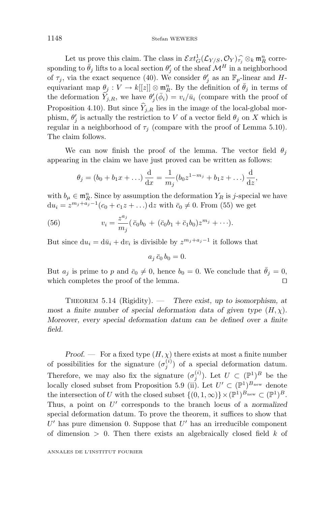Let us prove this claim. The class in  $\mathcal{E}xt_G^1(\mathcal{L}_{Y/S}, \mathcal{O}_Y)_{\widehat{I}}^{\frown} \otimes_k \mathfrak{m}_R^n$  corre-<br>ling to  $\overline{\theta}$ , lifts to a local section  $\theta'$  of the sheaf  $M^H$  in a neighborhood sponding to  $\bar{\theta}_j$  lifts to a local section  $\theta'_j$  of the sheaf  $\mathcal{M}^H$  in a neighborhood of  $\tau_j$ , via the exact sequence (40). We consider  $\theta'_j$  as an  $\mathbb{F}_p$ -linear and *H*equivariant map  $\theta_j : V \to k[[z]] \otimes \mathbf{m}_R^n$ . By the definition of  $\bar{\theta}_j$  in terms of the deformation  $\hat{Y}_{j,R}$ , we have  $\theta'_{j}(\bar{\phi}_{i}) = v_{i}/\bar{u}_{i}$  (compare with the proof of Proposition 4.10). But since  $\widehat{Y}_{j,R}$  lies in the image of the local-global morphism,  $\theta'_{j}$  is actually the restriction to *V* of a vector field  $\theta_{j}$  on *X* which is regular in a neighborhood of  $\tau_j$  (compare with the proof of Lemma 5.10). The claim follows.

We can now finish the proof of the lemma. The vector field  $\theta_j$ appearing in the claim we have just proved can be written as follows:

$$
\theta_j = (b_0 + b_1 x + ...) \frac{d}{dx} = \frac{1}{m_j} (b_0 z^{1-m_j} + b_1 z + ...) \frac{d}{dz},
$$

with  $b_{\mu} \in \mathfrak{m}_R^n$ . Since by assumption the deformation  $Y_R$  is *j*-special we have  $du_i = z^{m_j + a_j - 1}(c_0 + c_1 z + ...)$  d*z* with  $\bar{c}_0 \neq 0$ . From (55) we get

(56) 
$$
v_i = \frac{z^{a_j}}{m_j} (\bar{c}_0 b_0 + (\bar{c}_0 b_1 + \bar{c}_1 b_0) z^{m_j} + \cdots).
$$

But since  $du_i = d\bar{u}_i + dv_i$  is divisible by  $z^{m_j+a_j-1}$  it follows that

$$
a_j \bar{c}_0 b_0 = 0.
$$

But  $a_j$  is prime to *p* and  $\bar{c}_0 \neq 0$ , hence  $b_0 = 0$ . We conclude that  $\bar{\theta}_j = 0$ , which completes the proof of the lemma.  $\Box$ 

Theorem 5.14 (Rigidity). — *There exist, up to isomorphism, at most a finite number of special deformation data of given type*  $(H, \chi)$ *. Moreover, every special deformation datum can be defined over a finite field.*

*Proof.* — For a fixed type  $(H, \chi)$  there exists at most a finite number of possibilities for the signature  $(\sigma_j^{(i)})$  of a special deformation datum. Therefore, we may also fix the signature  $(\sigma_j^{(i)})$ . Let  $U \subset (\mathbb{P}^1)^B$  be the locally closed subset from Proposition 5.9 (ii). Let  $U' \subset (\mathbb{P}^1)^{B_{\text{new}}}$  denote the intersection of *U* with the closed subset  $\{(0,1,\infty)\}\times(\mathbb{P}^1)^{B_{\text{new}}}\subset(\mathbb{P}^1)^B$ . Thus, a point on *U* corresponds to the branch locus of a *normalized* special deformation datum. To prove the theorem, it suffices to show that  $U'$  has pure dimension 0. Suppose that  $U'$  has an irreducible component of dimension *>* 0. Then there exists an algebraically closed field *k* of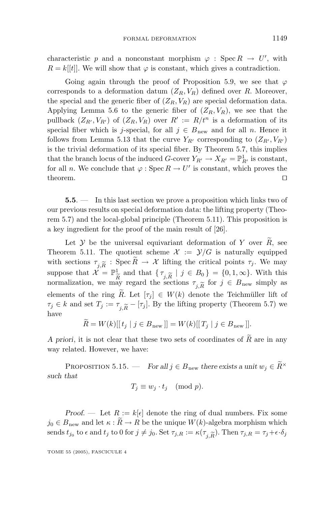characteristic *p* and a nonconstant morphism  $\varphi$  : Spec  $R \to U'$ , with  $R = k[[t]]$ . We will show that  $\varphi$  is constant, which gives a contradiction.

Going again through the proof of Proposition 5.9, we see that *ϕ* corresponds to a deformation datum  $(Z_R, V_R)$  defined over *R*. Moreover, the special and the generic fiber of  $(Z_R, V_R)$  are special deformation data. Applying Lemma 5.6 to the generic fiber of  $(Z_R, V_R)$ , we see that the pullback  $(Z_{R'}, V_{R'})$  of  $(Z_R, V_R)$  over  $R' := R/t^n$  is a deformation of its special fiber which is *j*-special, for all  $j \in B_{\text{new}}$  and for all *n*. Hence it follows from Lemma 5.13 that the curve  $Y_{R'}$  corresponding to  $(Z_{R'}, V_{R'})$ is the trivial deformation of its special fiber. By Theorem 5.7, this implies that the branch locus of the induced *G*-cover  $Y_{R'} \to X_{R'} = \mathbb{P}^1_{R'}$  is constant, for all *n*. We conclude that  $\varphi$ : Spec  $R \to U'$  is constant, which proves the theorem.  $\Box$ 

**5.5**. — In this last section we prove a proposition which links two of our previous results on special deformation data: the lifting property (Theorem 5.7) and the local-global principle (Theorem 5.11). This proposition is a key ingredient for the proof of the main result of [26].

Let  $Y$  be the universal equivariant deformation of  $Y$  over  $\tilde{R}$ , see Theorem 5.11. The quotient scheme  $\mathcal{X} := \mathcal{Y}/G$  is naturally equipped with sections  $\tau_{j,\widetilde{R}}$ : Spec  $R \to \mathcal{X}$  lifting the critical points  $\tau_j$ . We may<br>suppose that  $\mathcal{X} = \mathbb{P}^1_{\widetilde{R}}$  and that  $\{\tau_{j,\widetilde{R}} \mid j \in B_0\} = \{0,1,\infty\}$ . With this<br>normalization, we may regard the secti normalization, we may regard the sections  $\tau_{j,\widetilde{R}}$  for  $j \in B_{\text{new}}$  simply as<br>elements of the ring  $\widetilde{R}$  Let  $[\tau_{\cdot}] \in W(k)$  denote the Teichmüller lift of elements of the ring  $\tilde{R}$ . Let  $[\tau_j] \in W(k)$  denote the Teichmüller lift of  $\tau_j \in k$  and set  $T_j := \tau_{j,\widetilde{R}} - [\tau_j]$ . By the lifting property (Theorem 5.7) we have

$$
R = W(k)[[t_j | j \in B_{\text{new}}]] = W(k)[[T_j | j \in B_{\text{new}}]].
$$

*A priori*, it is not clear that these two sets of coordinates of *<sup>R</sup>* are in any way related. However, we have:

PROPOSITION 5.15. — *For all*  $j \in B_{\text{new}}$  *there exists a unit*  $w_j \in \widetilde{R}^{\times}$ *such that*

$$
T_j \equiv w_j \cdot t_j \pmod{p}.
$$

*Proof.* — Let  $R := k[\epsilon]$  denote the ring of dual numbers. Fix some  $j_0 \in B_{\text{new}}$  and let  $\kappa : \widetilde{R} \to R$  be the unique  $W(k)$ -algebra morphism which sends  $t_{j_0}$  to  $\epsilon$  and  $t_j$  to 0 for  $j \neq j_0$ . Set  $\tau_{j,R} := \kappa(\tau_{j,R})$ . Then  $\tau_{j,R} = \tau_j + \epsilon \cdot \delta_j$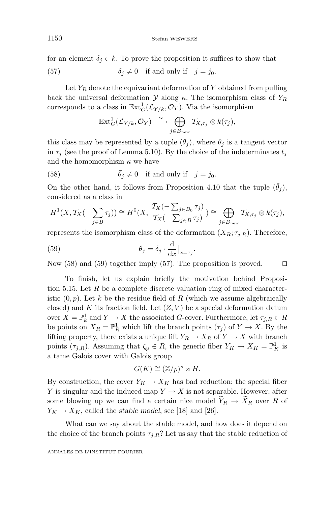for an element  $\delta_j \in k$ . To prove the proposition it suffices to show that

(57) 
$$
\delta_j \neq 0 \quad \text{if and only if} \quad j = j_0.
$$

Let  $Y_R$  denote the equivariant deformation of  $Y$  obtained from pulling back the universal deformation  $\mathcal Y$  along  $\kappa$ . The isomorphism class of  $Y_R$ corresponds to a class in  $\mathbb{E}xt_G^1(\mathcal{L}_{Y/k}, \mathcal{O}_Y)$ . Via the isomorphism

$$
\mathbb{E}xt_G^1(\mathcal{L}_{Y/k}, \mathcal{O}_Y) \xrightarrow{\sim} \bigoplus_{j \in B_{\text{new}}} T_{X, \tau_j} \otimes k(\tau_j),
$$

this class may be represented by a tuple  $(\bar{\theta}_j)$ , where  $\bar{\theta}_j$  is a tangent vector in  $\tau_j$  (see the proof of Lemma 5.10). By the choice of the indeterminates  $t_j$ and the homomorphism *κ* we have

(58) 
$$
\bar{\theta}_j \neq 0
$$
 if and only if  $j = j_0$ .

On the other hand, it follows from Proposition 4.10 that the tuple  $(\theta_i)$ , considered as a class in

$$
H^1(X, \mathcal{T}_X(-\sum_{j\in B}\tau_j))\cong H^0(X, \frac{\mathcal{T}_X(-\sum_{j\in B_0}\tau_j)}{\mathcal{T}_X(-\sum_{j\in B}\tau_j)})\cong \bigoplus_{j\in B_{\text{new}}} \mathcal{T}_{X, \tau_j}\otimes k(\tau_j),
$$

represents the isomorphism class of the deformation  $(X_R; \tau_{j,R})$ . Therefore,

(59) 
$$
\bar{\theta}_j = \delta_j \cdot \frac{d}{dx}\Big|_{x=\tau_j}.
$$

Now (58) and (59) together imply (57). The proposition is proved.  $\Box$ 

To finish, let us explain briefly the motivation behind Proposition 5.15. Let *R* be a complete discrete valuation ring of mixed characteristic  $(0, p)$ . Let k be the residue field of R (which we assume algebraically closed) and  $K$  its fraction field. Let  $(Z, V)$  be a special deformation datum  $\text{over } X = \mathbb{P}^1_k$  and  $Y \to X$  the associated *G*-cover. Furthermore, let  $\tau_{j,R} \in R$ be points on  $X_R = \mathbb{P}^1_R$  which lift the branch points  $(\tau_j)$  of  $Y \to X$ . By the lifting property, there exists a unique lift  $Y_R \to X_R$  of  $Y \to X$  with branch points  $(\tau_{j,R})$ . Assuming that  $\zeta_p \in R$ , the generic fiber  $Y_K \to X_K = \mathbb{P}^1_K$  is a tame Galois cover with Galois group

$$
G(K) \cong (\mathbb{Z}/p)^s \rtimes H.
$$

By construction, the cover  $Y_K \to X_K$  has bad reduction: the special fiber *Y* is singular and the induced map  $Y \to X$  is not separable. However, after some blowing up we can find a certain nice model  $Y_R \to X_R$  over R of  $Y_K \to X_K$ , called the *stable model*, see [18] and [26].

What can we say about the stable model, and how does it depend on the choice of the branch points  $\tau_{j,R}$ ? Let us say that the stable reduction of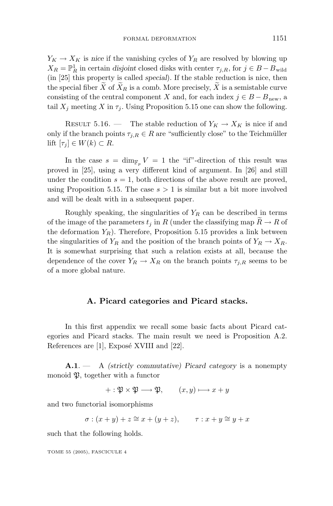$Y_K \to X_K$  is *nice* if the vanishing cycles of  $Y_R$  are resolved by blowing up  $X_R = \mathbb{P}^1_R$  in certain *disjoint* closed disks with center  $\tau_{j,R}$ , for  $j \in B - B$ <sub>wild</sub> (in [25] this property is called *special*). If the stable reduction is nice, then the special fiber  $\widetilde{X}$  of  $\widetilde{X}_R$  is a *comb*. More precisely,  $\widetilde{X}$  is a semistable curve consisting of the central component *X* and, for each index  $j \in B - B_{new}$ , a tail  $X_j$  meeting  $X$  in  $\tau_j$ . Using Proposition 5.15 one can show the following.

RESULT 5.16. — The stable reduction of  $Y_K \to X_K$  is nice if and only if the branch points  $\tau_{j,R} \in R$  are "sufficiently close" to the Teichmüller lift  $[\tau_j] \in W(k) \subset R$ .

In the case  $s = \dim_{\mathbb{F}_p} V = 1$  the "if"-direction of this result was proved in [25], using a very different kind of argument. In [26] and still under the condition  $s = 1$ , both directions of the above result are proved, using Proposition 5.15. The case  $s > 1$  is similar but a bit more involved and will be dealt with in a subsequent paper.

Roughly speaking, the singularities of  $Y_R$  can be described in terms of the image of the parameters  $t_j$  in R (under the classifying map  $\widetilde{R} \to R$  of the deformation  $Y_R$ ). Therefore, Proposition 5.15 provides a link between the singularities of  $Y_R$  and the position of the branch points of  $Y_R \to X_R$ . It is somewhat surprising that such a relation exists at all, because the dependence of the cover  $Y_R \to X_R$  on the branch points  $\tau_{j,R}$  seems to be of a more global nature.

#### **A. Picard categories and Picard stacks.**

In this first appendix we recall some basic facts about Picard categories and Picard stacks. The main result we need is Proposition A.2. References are  $[1]$ , Exposé XVIII and  $[22]$ .

**A.1**.— A *(strictly commutative) Picard category* is a nonempty monoid  $\mathfrak{P}$ , together with a functor

$$
+ : \mathfrak{P} \times \mathfrak{P} \longrightarrow \mathfrak{P}, \qquad (x, y) \longmapsto x + y
$$

and two functorial isomorphisms

$$
\sigma: (x+y)+z \cong x+(y+z), \qquad \tau: x+y \cong y+x
$$

such that the following holds.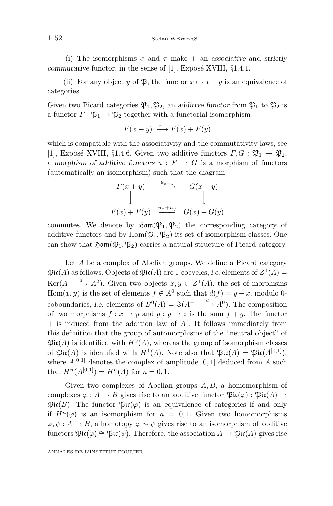(i) The isomorphisms  $\sigma$  and  $\tau$  make + an *associative* and *strictly commutative* functor, in the sense of  $[1]$ , Exposé XVIII,  $\S1.4.1$ .

(ii) For any object *y* of  $\mathfrak{P}$ , the functor  $x \mapsto x + y$  is an equivalence of categories.

Given two Picard categories  $\mathfrak{P}_1, \mathfrak{P}_2$ , an *additive functor* from  $\mathfrak{P}_1$  to  $\mathfrak{P}_2$  is a functor  $F: \mathfrak{P}_1 \to \mathfrak{P}_2$  together with a functorial isomorphism

 $F(x + y) \xrightarrow{\sim} F(x) + F(y)$ 

which is compatible with the associativity and the commutativity laws, see [1], Exposé XVIII, §1.4.6. Given two additive functors  $F, G: \mathfrak{P}_1 \to \mathfrak{P}_2$ , a morphism of additive functors  $u : F \to G$  is a morphism of functors (automatically an isomorphism) such that the diagram

$$
F(x + y) \xrightarrow{u_{x+y}} G(x + y)
$$
  
\n
$$
\downarrow
$$
  
\n
$$
F(x) + F(y) \xrightarrow{u_x + u_y} G(x) + G(y)
$$

commutes. We denote by  $\mathfrak{Hom}(\mathfrak{P}_1, \mathfrak{P}_2)$  the corresponding category of additive functors and by  $Hom(\mathfrak{P}_1, \mathfrak{P}_2)$  its set of isomorphism classes. One can show that  $\mathfrak{Hom}(\mathfrak{P}_1, \mathfrak{P}_2)$  carries a natural structure of Picard category.

Let *A* be a complex of Abelian groups. We define a Picard category  $\mathfrak{Pic}(A)$  as follows. Objects of  $\mathfrak{Pic}(A)$  are 1-cocycles, *i.e.* elements of  $Z^1(A)$  = Ker( $A^1 \xrightarrow{d} A^2$ ). Given two objects  $x, y \in Z^1(A)$ , the set of morphisms Hom $(x, y)$  is the set of elements  $f \in A^0$  such that  $d(f) = y - x$ , modulo 0coboundaries, *i.e.* elements of  $B^0(A) = \Im(A^{-1} \stackrel{d}{\longrightarrow} A^0)$ . The composition of two morphisms  $f: x \to y$  and  $q: y \to z$  is the sum  $f + q$ . The functor  $+$  is induced from the addition law of  $A<sup>1</sup>$ . It follows immediately from this definition that the group of automorphisms of the "neutral object" of  $\mathfrak{Pic}(A)$  is identified with  $H^0(A)$ , whereas the group of isomorphism classes of  $\mathfrak{Pic}(A)$  is identified with  $H^1(A)$ . Note also that  $\mathfrak{Pic}(A) = \mathfrak{Pic}(A^{[0,1]}),$ where  $A^{[0,1]}$  denotes the complex of amplitude [0, 1] deduced from A such that  $H^n(A^{[0,1]}) = H^n(A)$  for  $n = 0, 1$ .

Given two complexes of Abelian groups *A, B*, a homomorphism of complexes  $\varphi: A \to B$  gives rise to an additive functor  $\mathfrak{Pic}(\varphi): \mathfrak{Pic}(A) \to$  $\mathfrak{Pic}(B)$ . The functor  $\mathfrak{Pic}(\varphi)$  is an equivalence of categories if and only if  $H^n(\varphi)$  is an isomorphism for  $n = 0,1$ . Given two homomorphisms  $\varphi, \psi : A \to B$ , a homotopy  $\varphi \sim \psi$  gives rise to an isomorphism of additive functors  $\mathfrak{Pic}(\varphi) \cong \mathfrak{Pic}(\psi)$ . Therefore, the association  $A \mapsto \mathfrak{Pic}(A)$  gives rise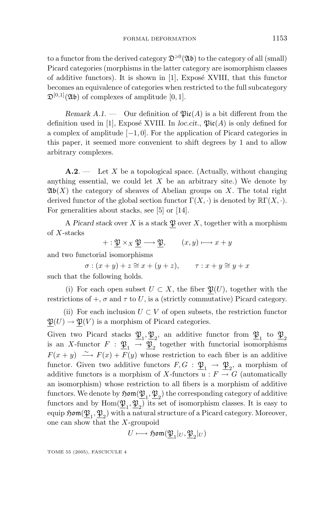to a functor from the derived category  $\mathfrak{D}^{\geqslant 0}(\mathfrak{A}\mathfrak{b})$  to the category of all (small) Picard categories (morphisms in the latter category are isomorphism classes of additive functors). It is shown in [1], Exposé XVIII, that this functor becomes an equivalence of categories when restricted to the full subcategory  $\mathfrak{D}^{[0,1]}(\mathfrak{A}\mathfrak{b})$  of complexes of amplitude [0, 1].

*Remark A.1.* — Our definition of  $\mathfrak{Pic}(A)$  is a bit different from the definition used in [1], Exposé XVIII. In *loc.cit.*,  $\mathfrak{Pic}(A)$  is only defined for a complex of amplitude [−1*,* 0]. For the application of Picard categories in this paper, it seemed more convenient to shift degrees by 1 and to allow arbitrary complexes.

**A.2**. — Let *X* be a topological space. (Actually, without changing anything essential, we could let  $X$  be an arbitrary site.) We denote by  $\mathfrak{Ab}(X)$  the category of sheaves of Abelian groups on X. The total right derived functor of the global section functor  $\Gamma(X, \cdot)$  is denoted by  $\mathbb{R}\Gamma(X, \cdot)$ . For generalities about stacks, see [5] or [14].

A *Picard stack* over *X* is a stack  $\mathfrak P$  over *X*, together with a morphism of *X*-stacks

 $+ : \mathfrak{P} \times_X \mathfrak{P} \longrightarrow \mathfrak{P}, \qquad (x, y) \longmapsto x + y$ 

and two functorial isomorphisms

 $\sigma$  :  $(x+y)+z \cong x+(y+z)$ ,  $\tau$  :  $x+y \cong y+x$ such that the following holds.

(i) For each open subset  $U \subset X$ , the fiber  $\mathfrak{P}(U)$ , together with the restrictions of  $+$ ,  $\sigma$  and  $\tau$  to *U*, is a (strictly commutative) Picard category.

(ii) For each inclusion  $U \subset V$  of open subsets, the restriction functor  $\mathfrak{P}(U) \to \mathfrak{P}(V)$  is a morphism of Picard categories.

Given two Picard stacks  $\mathfrak{B}_1, \mathfrak{B}_2$ , an additive functor from  $\mathfrak{B}_1$  to  $\mathfrak{B}_2$ is an *X*-functor  $F : \mathfrak{B}_1 \to \mathfrak{B}_2$  together with functorial isomorphisms  $F(x + y) \stackrel{\sim}{\longrightarrow} F(x) + F(y)$  whose restriction to each fiber is an additive functor. Given two additive functors  $F, G : \mathfrak{B}_1 \to \mathfrak{B}_2$ , a morphism of additive functors is a morphism of *X*-functors  $u : F \to G$  (automatically an isomorphism) whose restriction to all fibers is a morphism of additive functors. We denote by  $\mathfrak{Hom}(\mathfrak{P}_1, \mathfrak{P}_2)$  the corresponding category of additive functors and by  $Hom(\mathfrak{P}_1, \mathfrak{P}_2)$  its set of isomorphism classes. It is easy to equip  $\mathfrak{Hom}(\mathfrak{P}_1, \mathfrak{P}_2)$  with a natural structure of a Picard category. Moreover, one can show that the *X*-groupoid

$$
U\longmapsto \mathfrak{Hom}(\underline{\mathfrak{P}}_1|_U,\underline{\mathfrak{P}}_2|_U)
$$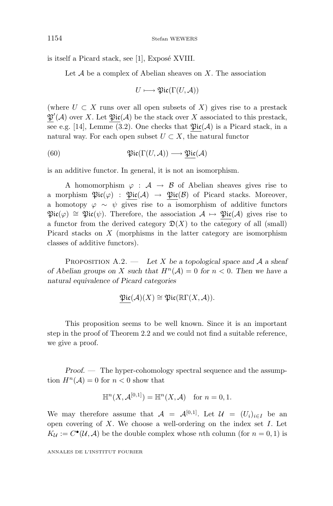is itself a Picard stack, see  $[1]$ , Exposé XVIII.

Let A be a complex of Abelian sheaves on *X*. The association

$$
U\longmapsto \mathfrak{Pic}(\Gamma(U,\mathcal{A}))
$$

(where  $U \subset X$  runs over all open subsets of  $X$ ) gives rise to a prestack  $\mathfrak{P}'(\mathcal{A})$  over X. Let  $\mathfrak{Pic}(\mathcal{A})$  be the stack over X associated to this prestack, see e.g. [14], Lemme (3.2). One checks that  $\mathfrak{Pic}(\mathcal{A})$  is a Picard stack, in a natural way. For each open subset  $U \subset X$ , the natural functor

(60) 
$$
\mathfrak{Pic}(\Gamma(U, \mathcal{A})) \longrightarrow \mathfrak{Pic}(\mathcal{A})
$$

is an additive functor. In general, it is not an isomorphism.

A homomorphism  $\varphi : A \rightarrow B$  of Abelian sheaves gives rise to a morphism  $\mathfrak{Pic}(\varphi)$  :  $\mathfrak{Pic}(\mathcal{A}) \to \mathfrak{Pic}(\mathcal{B})$  of Picard stacks. Moreover, a homotopy  $\varphi \sim \psi$  gives rise to a isomorphism of additive functors  $\mathfrak{Pic}(\varphi) \cong \mathfrak{Pic}(\psi)$ . Therefore, the association  $\mathcal{A} \mapsto \mathfrak{Pic}(\mathcal{A})$  gives rise to a functor from the derived category  $\mathfrak{D}(X)$  to the category of all (small) Picard stacks on *X* (morphisms in the latter category are isomorphism classes of additive functors).

PROPOSITION  $A.2.$  — Let X be a topological space and A a sheaf *of Abelian groups on X such that*  $H^n(\mathcal{A}) = 0$  *for*  $n < 0$ *. Then we have a natural equivalence of Picard categories*

$$
\mathfrak{Pic}(\mathcal{A})(X) \cong \mathfrak{Pic}(\mathbb{R}\Gamma(X,\mathcal{A})).
$$

This proposition seems to be well known. Since it is an important step in the proof of Theorem 2.2 and we could not find a suitable reference, we give a proof.

*Proof. —* The hyper-cohomology spectral sequence and the assumption  $H^n(A) = 0$  for  $n < 0$  show that

$$
\mathbb{H}^n(X, \mathcal{A}^{[0,1]}) = \mathbb{H}^n(X, \mathcal{A}) \quad \text{for } n = 0, 1.
$$

We may therefore assume that  $A = A^{[0,1]}$ . Let  $U = (U_i)_{i \in I}$  be an open covering of *X*. We choose a well-ordering on the index set *I*. Let  $K_{\mathcal{U}} := C^{\bullet}(\mathcal{U}, \mathcal{A})$  be the double complex whose *n*th column (for  $n = 0, 1$ ) is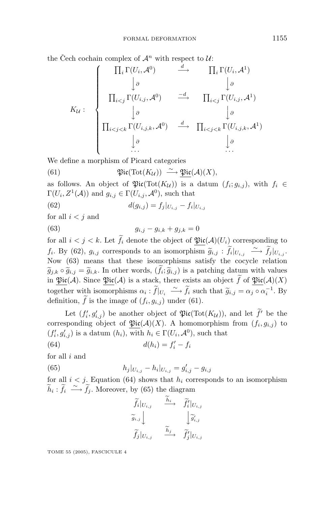the Čech cochain complex of  $\mathcal{A}^n$  with respect to  $\mathcal{U}$ :

$$
K_{\mathcal{U}}: \begin{cases} \prod_{i} \Gamma(U_{i}, \mathcal{A}^{0}) & \xrightarrow{d} \prod_{i} \Gamma(U_{i}, \mathcal{A}^{1}) \\ \downarrow \phi & \downarrow \phi \\ \prod_{i < j} \Gamma(U_{i,j}, \mathcal{A}^{0}) & \xrightarrow{-d} \prod_{i < j} \Gamma(U_{i,j}, \mathcal{A}^{1}) \\ \downarrow \phi & \downarrow \phi \\ \prod_{i < j < k} \Gamma(U_{i,j,k}, \mathcal{A}^{0}) & \xrightarrow{d} \prod_{i < j < k} \Gamma(U_{i,j,k}, \mathcal{A}^{1}) \\ \downarrow \phi & \downarrow \phi \\ \ldots & \ldots & \ldots \end{cases}
$$

We define a morphism of Picard categories

(61) 
$$
\operatorname{Pic}(\operatorname{Tot}(K_{\mathcal{U}})) \stackrel{\sim}{\longrightarrow} \underline{\operatorname{Pic}}(\mathcal{A})(X),
$$

as follows. An object of  $\mathfrak{Pic}(Tot(K_{\mathcal{U}}))$  is a datum  $(f_i; g_{i,j})$ , with  $f_i \in$  $\Gamma(U_i, Z^1(\mathcal{A}))$  and  $g_{i,j} \in \Gamma(U_{i,j}, \mathcal{A}^0)$ , such that

(62)  $d(g_{i,j}) = f_i|_{U_{i,j}} - f_i|_{U_{i,j}}$ 

for all  $i < j$  and

(63)  $g_{i,j} - g_{i,k} + g_{j,k} = 0$ 

for all  $i < j < k$ . Let  $f_i$  denote the object of  $\mathfrak{Pic}(\mathcal{A})(U_i)$  corresponding to *f*<sub>*i*</sub>. By (62), *g*<sub>*i*,*j*</sub> corresponds to an isomorphism  $\widetilde{g}_{i,j}$  :  $\widetilde{f}_i|_{U_{i,j}} \xrightarrow{\sim} \widetilde{f}_j|_{U_{i,j}}$ .<br>Now (63) means that these isomorphisms satisfy the cocycle relation Now (63) means that these isomorphisms satisfy the cocycle relation  $\widetilde{g}_{j,k} \circ \widetilde{g}_{i,j} = \widetilde{g}_{i,k}$ . In other words,  $(f_i; \widetilde{g}_{i,j})$  is a patching datum with values<br>in  $\mathfrak{Ric}(A)$ . Since  $\mathfrak{Ric}(A)$  is a stack, there exists an object  $\widetilde{f}$  of  $\mathfrak{Ric}(A)(X)$ in  $\mathfrak{Pic}(\mathcal{A})$ . Since  $\mathfrak{Pic}(\mathcal{A})$  is a stack, there exists an object *f* of  $\mathfrak{Pic}(\mathcal{A})(X)$ together with isomorphisms  $\alpha_i : \widetilde{f}|_{U_i} \longrightarrow \widetilde{f}_i$  such that  $\widetilde{g}_{i,j} = \alpha_j \circ \alpha_i^{-1}$ . By definition  $\widetilde{f}$  is the image of  $(f, g_i)$  under  $(61)$ definition,  $f$  is the image of  $(f_i, g_{i,j})$  under (61).

Let  $(f'_i, g'_{i,j})$  be another object of  $\mathfrak{Pic}(\text{Tot}(K_u))$ , and let  $f'$  be the corresponding object of  $\mathfrak{Pic}(\mathcal{A})(X)$ . A homomorphism from  $(f_i, g_{i,j})$  to  $(f'_i, g'_{i,j})$  is a datum  $(h_i)$ , with  $h_i \in \Gamma(U_i, \mathcal{A}^0)$ , such that

$$
(64) \t d(h_i) = f'_i - f_i
$$

for all *i* and

(65) 
$$
h_j|_{U_{i,j}} - h_i|_{U_{i,j}} = g'_{i,j} - g_{i,j}
$$

for all  $i < j$ . Equation (64) shows that  $h_i$  corresponds to an isomorphism  $\widetilde{h}_i$ :  $\widetilde{f}_i \stackrel{\sim}{\longrightarrow} \widetilde{f}_j$ . Moreover, by (65) the diagram

$$
\begin{aligned}\n\widetilde{f}_i|_{U_{i,j}} & \xrightarrow{h_i} & \widetilde{f}'_i|_{U_{i,j}} \\
\widetilde{g}_{i,j}| & \xrightarrow{\widetilde{h}_j} & \widetilde{g}'_{i,j} \\
\widetilde{f}_j|_{U_{i,j}} & \xrightarrow{\widetilde{h}_j} & \widetilde{f}'_j|_{U_{i,j}}\n\end{aligned}
$$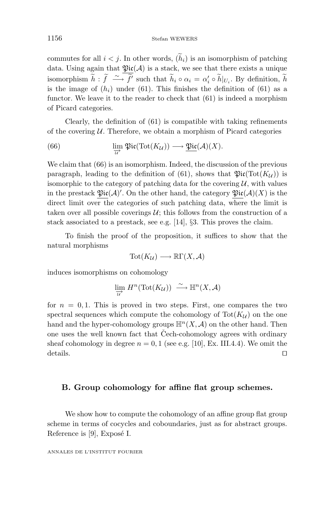commutes for all  $i < j$ . In other words,  $(h_i)$  is an isomorphism of patching data. Using again that  $\mathfrak{Pic}(\mathcal{A})$  is a stack, we see that there exists a unique isomorphism  $\widetilde{h}$  :  $\widetilde{f} \xrightarrow{\sim} \widetilde{f}'$  such that  $\widetilde{h}_i \circ \alpha_i = \alpha'_i \circ \widetilde{h}|_{U_i}$ . By definition,  $\widetilde{h}$ is the image of  $(h_i)$  under (61). This finishes the definition of (61) as a functor. We leave it to the reader to check that (61) is indeed a morphism of Picard categories.

Clearly, the definition of (61) is compatible with taking refinements of the covering  $U$ . Therefore, we obtain a morphism of Picard categories

(66) 
$$
\lim_{\overrightarrow{u}} \mathfrak{Pic}(\text{Tot}(K_{\mathcal{U}})) \longrightarrow \underline{\mathfrak{Pic}}(\mathcal{A})(X).
$$

We claim that  $(66)$  is an isomorphism. Indeed, the discussion of the previous paragraph, leading to the definition of (61), shows that  $\mathfrak{Pic}(\mathrm{Tot}(K_{\mathcal{U}}))$  is isomorphic to the category of patching data for the covering  $\mathcal{U}$ , with values in the prestack  $\mathfrak{Pic}(A)'.$  On the other hand, the category  $\mathfrak{Pic}(A)(X)$  is the direct limit over the categories of such patching data, where the limit is taken over all possible coverings  $U$ ; this follows from the construction of a stack associated to a prestack, see e.g. [14], §3. This proves the claim.

To finish the proof of the proposition, it suffices to show that the natural morphisms

$$
Tot(K_{\mathcal{U}}) \longrightarrow \mathbb{R}\Gamma(X, \mathcal{A})
$$

induces isomorphisms on cohomology

$$
\lim_{\overrightarrow{u}} H^n(\text{Tot}(K_{\mathcal{U}})) \stackrel{\sim}{\longrightarrow} \mathbb{H}^n(X, \mathcal{A})
$$

for  $n = 0, 1$ . This is proved in two steps. First, one compares the two spectral sequences which compute the cohomology of  $\text{Tot}(K_{\mathcal{U}})$  on the one hand and the hyper-cohomology groups  $\mathbb{H}^n(X,\mathcal{A})$  on the other hand. Then one uses the well known fact that Cech-cohomology agrees with ordinary sheaf cohomology in degree  $n = 0, 1$  (see e.g. [10], Ex. III.4.4). We omit the details.

#### **B. Group cohomology for affine flat group schemes.**

We show how to compute the cohomology of an affine group flat group scheme in terms of cocycles and coboundaries, just as for abstract groups. Reference is  $[9]$ , Exposé I.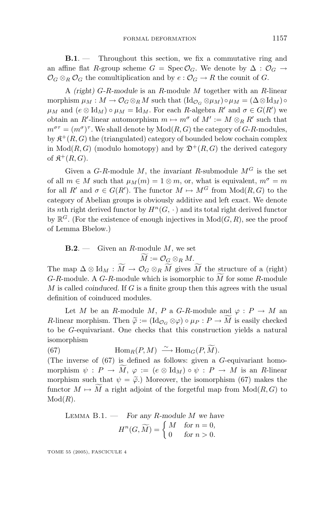**B.1**. — Throughout this section, we fix a commutative ring and an affine flat *R*-group scheme  $G = \text{Spec } \mathcal{O}_G$ . We denote by  $\Delta : \mathcal{O}_G \to$  $\mathcal{O}_G \otimes_R \mathcal{O}_G$  the comultiplication and by  $e : \mathcal{O}_G \to R$  the counit of G.

A *(right) G-R-module* is an *R*-module *M* together with an *R*-linear morphism  $\mu_M : M \to \mathcal{O}_G \otimes_R M$  such that  $(\mathrm{Id}_{\mathcal{O}_G} \otimes \mu_M) \circ \mu_M = (\Delta \otimes \mathrm{Id}_M) \circ$  $\mu_M$  and  $(e \otimes \text{Id}_M) \circ \mu_M = \text{Id}_M$ . For each *R*-algebra *R'* and  $\sigma \in G(R')$  we obtain an *R*'-linear automorphism  $m \mapsto m^{\sigma}$  of  $M' := M \otimes_R R'$  such that  $m^{\sigma\tau} = (m^{\sigma})^{\tau}$ . We shall denote by  $\text{Mod}(R, G)$  the category of *G-R*-modules, by  $\mathfrak{K}^+(R, G)$  the (triangulated) category of bounded below cochain complex in  $Mod(R, G)$  (modulo homotopy) and by  $\mathfrak{D}^+(R, G)$  the derived category of  $\mathfrak{K}^+(R, G)$ .

Given a  $G-R$ -module  $M$ , the *invariant*  $R$ -submodule  $M<sup>G</sup>$  is the set of all  $m \in M$  such that  $\mu_M(m) = 1 \otimes m$ , or, what is equivalent,  $m^{\sigma} = m$ for all  $R'$  and  $\sigma \in G(R')$ . The functor  $M \mapsto M^G$  from  $Mod(R, G)$  to the category of Abelian groups is obviously additive and left exact. We denote its *n*th right derived functor by  $H^n(G, \cdot)$  and its total right derived functor by  $\mathbb{R}^G$ . (For the existence of enough injectives in  $Mod(G, R)$ , see the proof of Lemma Bbelow.)

 $\mathbf{B.2.} \longrightarrow$  Given an *R*-module *M*, we set  $M := \mathcal{O}_G \otimes_R M.$ 

The map  $\Delta \otimes \text{Id}_M : M \to \mathcal{O}_G \otimes_R M$  gives M the structure of a (right) *G*-*R*-module. A *G*-*R*-module which is isomorphic to *M* for some *<sup>R</sup>*-module *M* is called *coinduced*. If *G* is a finite group then this agrees with the usual definition of coinduced modules.

Let *M* be an *R*-module *M*, *P* a *G*-*R*-module and  $\varphi$  :  $P \to M$  and *R*-linear morphism. Then  $\tilde{\varphi} := (\text{Id}_{\mathcal{O}_G} \otimes \varphi) \circ \mu_P : P \to M$  is easily checked<br>to be *G*-equivariant. One checks that this construction vields a natural to be *G*-equivariant. One checks that this construction yields a natural isomorphism

(67) Hom<sub>*R*</sub>(*P, M*)  $\xrightarrow{\sim}$  Hom<sub>*G*</sub>(*P, M*).

(The inverse of (67) is defined as follows: given a *G*-equivariant homomorphism  $\psi : P \to M$ ,  $\varphi := (e \otimes \text{Id}_M) \circ \psi : P \to M$  is an *R*-linear morphism such that  $\psi = \tilde{\varphi}$ .) Moreover, the isomorphism (67) makes the functor  $M \mapsto M$  a right adjoint of the forgetful map from  $Mod(R, G)$  to Mod(*R*).

Lemma B.1. — *For any R-module M we have*  $H^n(G, \widetilde{M}) = \begin{cases} M & \text{for } n = 0, \\ 0 & \text{for } n > 0. \end{cases}$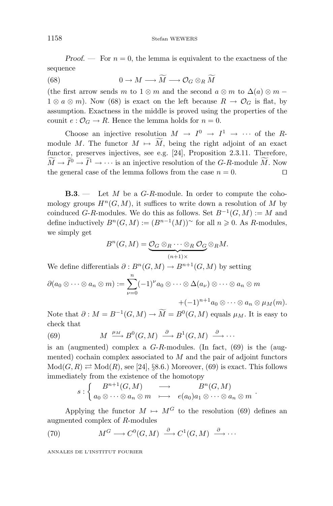*Proof.* — For  $n = 0$ , the lemma is equivalent to the exactness of the sequence

(68)  $0 \to M \longrightarrow M \longrightarrow \mathcal{O}_G \otimes_R M$  $\overline{u}$ 

(the first arrow sends *m* to  $1 \otimes m$  and the second  $a \otimes m$  to  $\Delta(a) \otimes m$  −  $1 \otimes a \otimes m$ ). Now (68) is exact on the left because  $R \to \mathcal{O}_G$  is flat, by assumption. Exactness in the middle is proved using the properties of the counit  $e: \mathcal{O}_G \to R$ . Hence the lemma holds for  $n = 0$ .

Choose an injective resolution  $M \to I^0 \to I^1 \to \cdots$  of the *R*module *M*. The functor  $M \mapsto M$ , being the right adjoint of an exact<br>functor accounts initiative and  $S_1$  **D** Democities 2.2.11. Therefore functor, preserves injectives, see e.g. [24], Proposition 2.3.11. Therefore,  $M \to I^0 \to I^1 \to \cdots$  is an injective resolution of the *G-R*-module *M*. Now the general case of the lemma follows from the case  $n = 0$ .

**B.3**. — Let *M* be a *G*-*R*-module. In order to compute the cohomology groups  $H^n(G, M)$ , it suffices to write down a resolution of M by coinduced *G*-*R*-modules. We do this as follows. Set  $B^{-1}(G, M) := M$  and define inductively  $B^n(G, M) := (B^{n-1}(M))^{\sim}$  for all  $n \geq 0$ . As *R*-modules, we simply get

$$
B^{n}(G, M) = \underbrace{O_G \otimes_R \cdots \otimes_R O_G}_{(n+1)\times} \otimes_R M.
$$

We define differentials  $\partial : B^n(G, M) \to B^{n+1}(G, M)$  by setting

$$
\partial(a_0 \otimes \cdots \otimes a_n \otimes m) := \sum_{\nu=0}^n (-1)^{\nu} a_0 \otimes \cdots \otimes \Delta(a_{\nu}) \otimes \cdots \otimes a_n \otimes m
$$

$$
+ (-1)^{n+1} a_0 \otimes \cdots \otimes a_n \otimes \mu_M(m).
$$

Note that  $\partial : M = B^{-1}(G, M) \to \overline{M} = B^0(G, M)$  equals  $\mu_M$ . It is easy to check that

(69) 
$$
M \xrightarrow{\mu_M} B^0(G,M) \xrightarrow{\partial} B^1(G,M) \xrightarrow{\partial} \cdots
$$

is an (augmented) complex a *G*-*R*-modules. (In fact, (69) is the (augmented) cochain complex associated to *M* and the pair of adjoint functors  $Mod(G, R) \rightleftarrows Mod(R)$ , see [24], §8.6.) Moreover, (69) is exact. This follows immediately from the existence of the homotopy

$$
s: \left\{ \begin{array}{ccc} B^{n+1}(G,M) & \longrightarrow & B^n(G,M) \\ a_0 \otimes \cdots \otimes a_n \otimes m & \longmapsto & e(a_0)a_1 \otimes \cdots \otimes a_n \otimes m \end{array} \right. .
$$

Applying the functor  $M \mapsto M^G$  to the resolution (69) defines an augmented complex of *R*-modules

(70) 
$$
M^G \longrightarrow C^0(G,M) \stackrel{\partial}{\longrightarrow} C^1(G,M) \stackrel{\partial}{\longrightarrow} \cdots
$$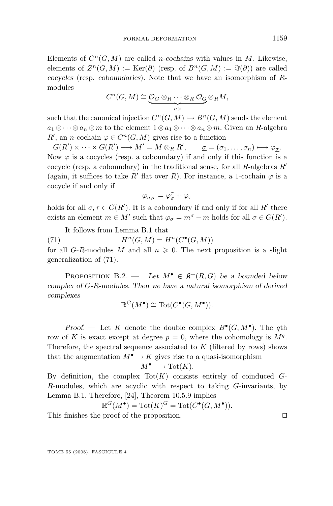Elements of  $C^n(G, M)$  are called *n*-cochains with values in *M*. Likewise, elements of  $Z^n(G,M) := \text{Ker}(\partial)$  (resp. of  $B^n(G,M) := \Im(\partial)$ ) are called *cocycles* (resp. *coboundaries*). Note that we have an isomorphism of *R*modules

$$
C^n(G,M) \cong \underbrace{O_G \otimes_R \cdots \otimes_R O_G}_{n \times} \otimes_R M,
$$

such that the canonical injection  $C^n(G, M) \hookrightarrow B^n(G, M)$  sends the element *a*<sub>1</sub> ⊗ ···⊗ *a<sub>n</sub>* ⊗ *m* to the element  $1 \otimes a_1 \otimes \cdots \otimes a_n \otimes m$ . Given an *R*-algebra *R*<sup>'</sup>, an *n*-cochain  $\varphi \in C^n(G, M)$  gives rise to a function

 $G(R') \times \cdots \times G(R') \longrightarrow M' = M \otimes_R R', \qquad \underline{\sigma} = (\sigma_1, \ldots, \sigma_n) \longmapsto \varphi_{\underline{\sigma}}.$ Now  $\varphi$  is a cocycles (resp. a coboundary) if and only if this function is a cocycle (resp. a coboundary) in the traditional sense, for all *R*-algebras *R* (again, it suffices to take *R'* flat over *R*). For instance, a 1-cochain  $\varphi$  is a cocycle if and only if

$$
\varphi_{\sigma,\tau}=\varphi_{\sigma}^{\tau}+\varphi_{\tau}
$$

holds for all  $\sigma, \tau \in G(R')$ . It is a coboundary if and only if for all  $R'$  there exists an element  $m \in M'$  such that  $\varphi_{\sigma} = m^{\sigma} - m$  holds for all  $\sigma \in G(R')$ .

It follows from Lemma B.1 that

(71)  $H^n(G, M) = H^n(C^{\bullet}(G, M))$ 

for all  $G-R$ -modules  $M$  and all  $n \geq 0$ . The next proposition is a slight generalization of (71).

PROPOSITION B.2. — Let  $M^{\bullet} \in \mathfrak{K}^+(R, G)$  be a bounded below *complex of G-R-modules. Then we have a natural isomorphism of derived complexes*

$$
\mathbb{R}^G(M^{\bullet}) \cong \mathrm{Tot}(C^{\bullet}(G,M^{\bullet})).
$$

*Proof.* — Let *K* denote the double complex  $B^{\bullet}(G, M^{\bullet})$ . The *q*th row of K is exact except at degree  $p = 0$ , where the cohomology is  $M<sup>q</sup>$ . Therefore, the spectral sequence associated to *K* (filtered by rows) shows that the augmentation  $M^{\bullet} \to K$  gives rise to a quasi-isomorphism  $M^{\bullet} \longrightarrow \text{Tot}(K)$ .

By definition, the complex  $\text{Tot}(K)$  consists entirely of coinduced  $G$ -*R*-modules, which are acyclic with respect to taking *G*-invariants, by Lemma B.1. Therefore, [24], Theorem 10.5.9 implies

$$
\mathbb{R}^G(M^{\bullet}) = \text{Tot}(K)^G = \text{Tot}(C^{\bullet}(G, M^{\bullet})).
$$

This finishes the proof of the proposition.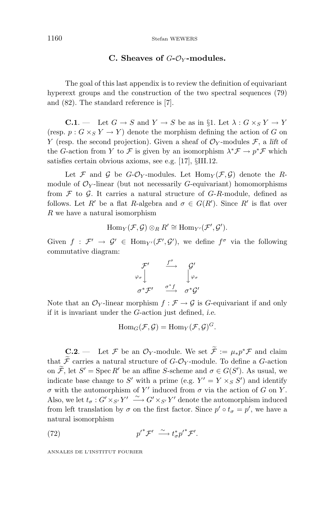#### **C. Sheaves of** *G***-**O*<sup>Y</sup>* **-modules.**

The goal of this last appendix is to review the definition of equivariant hyperext groups and the construction of the two spectral sequences (79) and (82). The standard reference is [7].

**C.1**. — Let  $G \to S$  and  $Y \to S$  be as in §1. Let  $\lambda : G \times_S Y \to Y$ (resp.  $p: G \times_S Y \to Y$ ) denote the morphism defining the action of *G* on *Y* (resp. the second projection). Given a sheaf of  $\mathcal{O}_Y$ -modules  $\mathcal{F}$ , a *lift* of the *G*-action from *Y* to *F* is given by an isomorphism  $\lambda^* \mathcal{F} \to p^* \mathcal{F}$  which satisfies certain obvious axioms, see e.g. [17], §III.12.

Let  $\mathcal F$  and  $\mathcal G$  be  $G$ - $\mathcal O_Y$ -modules. Let  $\text{Hom}_Y(\mathcal F,\mathcal G)$  denote the *R*module of  $\mathcal{O}_Y$ -linear (but not necessarily *G*-equivariant) homomorphisms from  $\mathcal F$  to  $\mathcal G$ . It carries a natural structure of  $G-R$ -module, defined as follows. Let *R'* be a flat *R*-algebra and  $\sigma \in G(R')$ . Since *R'* is flat over *R* we have a natural isomorphism

$$
\mathrm{Hom}_Y(\mathcal{F},\mathcal{G})\otimes_R R' \cong \mathrm{Hom}_{Y'}(\mathcal{F}',\mathcal{G}').
$$

Given  $f : \mathcal{F}' \to \mathcal{G}' \in \text{Hom}_{Y'}(\mathcal{F}', \mathcal{G}')$ , we define  $f^{\sigma}$  via the following commutative diagram:

$$
\begin{array}{ccc}\n\mathcal{F}' & \xrightarrow{f^{\sigma}} & \mathcal{G}' \\
\varphi_{\sigma} & & \downarrow \varphi_{\sigma} \\
\sigma^* \mathcal{F}' & \xrightarrow{\sigma^* f} & \sigma^* \mathcal{G}'\n\end{array}
$$

Note that an  $\mathcal{O}_Y$ -linear morphism  $f : \mathcal{F} \to \mathcal{G}$  is *G*-equivariant if and only if it is invariant under the *G*-action just defined, *i.e.*

$$
\mathrm{Hom}_G(\mathcal{F}, \mathcal{G}) = \mathrm{Hom}_Y(\mathcal{F}, \mathcal{G})^G.
$$

**C.2**. — Let F be an  $\mathcal{O}_Y$ -module. We set  $\widetilde{\mathcal{F}} := \mu_* p^* \mathcal{F}$  and claim that  $\widetilde{\mathcal{F}}$  carries a natural structure of  $G\text{-}\mathcal{O}_Y\text{-module.}$  To define a  $G\text{-action}$ on *F*, let *S'* = Spec *R'* be an affine *S*-scheme and  $\sigma \in G(S')$ . As usual, we indicate base change to  $S'$  with a prime (e.g.  $Y' = Y \times_S S'$ ) and identify *σ* with the automorphism of *Y* induced from *σ* via the action of *G* on *Y* . Also, we let  $t_{\sigma}: G' \times_{S'} Y' \stackrel{\sim}{\longrightarrow} G' \times_{S'} Y'$  denote the automorphism induced from left translation by  $\sigma$  on the first factor. Since  $p' \circ t_{\sigma} = p'$ , we have a natural isomorphism

(72) 
$$
p'^{*}\mathcal{F}' \stackrel{\sim}{\longrightarrow} t_{\sigma}^{*}p'^{*}\mathcal{F}'.
$$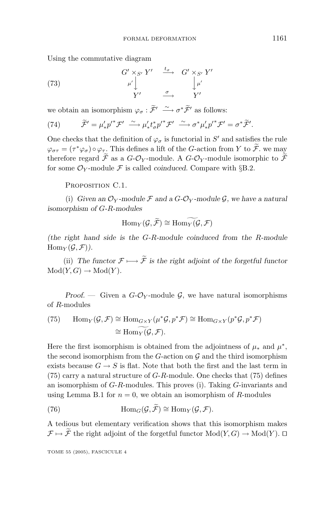Using the commutative diagram

(73) 
$$
G' \times_{S'} Y' \xrightarrow{t_{\sigma}} G' \times_{S'} Y'
$$

$$
\downarrow^{\mu'} \downarrow^{\mu'}
$$

$$
Y' \xrightarrow{\sigma} Y'
$$

we obtain an isomorphism  $\varphi_{\sigma} : \widetilde{\mathcal{F}}' \longrightarrow \sigma^* \widetilde{\mathcal{F}}'$  as follows:

(74) 
$$
\widetilde{\mathcal{F}}' = \mu'_* p'^* \mathcal{F}' \stackrel{\sim}{\longrightarrow} \mu'_* t^*_{\sigma} p'^* \mathcal{F}' \stackrel{\sim}{\longrightarrow} \sigma^* \mu'_* p'^* \mathcal{F}' = \sigma^* \widetilde{\mathcal{F}}'.
$$

One checks that the definition of  $\varphi_{\sigma}$  is functorial in  $S'$  and satisfies the rule  $\varphi_{\sigma\tau} = (\tau^* \varphi_{\sigma}) \circ \varphi_{\tau}$ . This defines a lift of the *G*-action from *Y* to  $\widetilde{\mathcal{F}}$ . we may therefore regard  $\widetilde{\mathcal{F}}$  as a *G*- $\mathcal{O}_Y$ -module. A *G*- $\mathcal{O}_Y$ -module isomorphic to  $\widetilde{\mathcal{F}}$ for some  $\mathcal{O}_Y$ -module F is called *coinduced*. Compare with §B.2.

PROPOSITION C.1.

(i) *Given an*  $\mathcal{O}_Y$ *-module*  $\mathcal F$  *and a G-* $\mathcal{O}_Y$ *-module*  $\mathcal G$ *, we have a natural isomorphism of G-R-modules*

$$
\mathrm{Hom}_Y(\mathcal{G}, \widetilde{\mathcal{F}}) \cong \mathrm{Hom}_Y(\mathcal{G}, \mathcal{F})
$$

*(the right hand side is the G-R-module coinduced from the R-module*  $\text{Hom}_Y(\mathcal{G}, \mathcal{F})$ .

(ii) The functor  $\mathcal{F} \longmapsto \widetilde{\mathcal{F}}$  is the right adjoint of the forgetful functor  $Mod(Y, G) \rightarrow Mod(Y)$ .

*Proof.* — Given a  $G-\mathcal{O}_Y$ -module  $\mathcal{G}$ , we have natural isomorphisms of *R*-modules

(75) 
$$
\text{Hom}_Y(\mathcal{G}, \mathcal{F}) \cong \text{Hom}_{G \times Y}(\mu^* \mathcal{G}, p^* \mathcal{F}) \cong \text{Hom}_{G \times Y}(p^* \mathcal{G}, p^* \mathcal{F})
$$
  
 $\cong \text{Hom}_Y(\mathcal{G}, \mathcal{F}).$ 

Here the first isomorphism is obtained from the adjointness of  $\mu_*$  and  $\mu^*$ , the second isomorphism from the  $G$ -action on  $\mathcal G$  and the third isomorphism exists because  $G \to S$  is flat. Note that both the first and the last term in (75) carry a natural structure of *G*-*R*-module. One checks that (75) defines an isomorphism of *G*-*R*-modules. This proves (i). Taking *G*-invariants and using Lemma B.1 for  $n = 0$ , we obtain an isomorphism of *R*-modules

(76) 
$$
\text{Hom}_G(\mathcal{G}, \widetilde{\mathcal{F}}) \cong \text{Hom}_Y(\mathcal{G}, \mathcal{F}).
$$

A tedious but elementary verification shows that this isomorphism makes  $\mathcal{F} \mapsto \widetilde{\mathcal{F}}$  the right adjoint of the forgetful functor  $Mod(Y, G) \to Mod(Y)$ .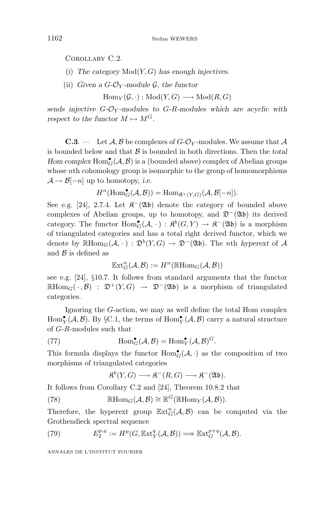Corollary C.2.

- (i) *The category* Mod(*Y,G*) *has enough injectives.*
- (ii) *Given a G-* $\mathcal{O}_Y$ *-module*  $\mathcal{G}$ *, the functor*

 $\text{Hom}_Y(\mathcal{G},\cdot): \text{Mod}(Y,G) \longrightarrow \text{Mod}(R,G)$ 

*sends injective*  $G - \mathcal{O}_Y$ *-modules to*  $G - R$ *-modules which are acyclic with respect to the functor*  $M \mapsto M^G$ .

**C.3**. — Let  $\mathcal{A}, \mathcal{B}$  be complexes of  $G\text{-}\mathcal{O}_Y$ -modules. We assume that  $\mathcal{A}$ is bounded below and that B is bounded in both directions. Then the *total Hom complex*  $\text{Hom}_{G}^{\bullet}(\mathcal{A}, \mathcal{B})$  is a (bounded above) complex of Abelian groups whose *n*th cohomology group is isomorphic to the group of homomorphisms  $\mathcal{A} \rightarrow \mathcal{B}[-n]$  up to homotopy, *i.e.* 

$$
H^{n}(\text{Hom}_{G}^{\bullet}(\mathcal{A}, \mathcal{B})) = \text{Hom}_{\mathfrak{K}^{+}(Y, G)}(\mathcal{A}, \mathcal{B}[-n]).
$$

See e.g. [24], 2.7.4. Let  $\mathcal{R}^-(\mathfrak{Ab})$  denote the category of bounded above complexes of Abelian groups, up to homotopy, and  $\mathfrak{D}^-(\mathfrak{Ab})$  its derived category. The functor  $Hom_G^{\bullet}(A, \cdot) : \mathfrak{K}^b(G, Y) \to \mathfrak{K}^-(\mathfrak{Ab})$  is a morphism of triangulated categories and has a total right derived functor, which we denote by  $\mathbb{R}$ Hom<sub>*G*</sub>( $\mathcal{A}, \cdot$ ) :  $\mathfrak{D}^b(Y, G) \to \mathfrak{D}^-(\mathfrak{Ab})$ . The *n*th *hyperext* of  $\mathcal A$ and  $\beta$  is defined as

$$
\mathbb{E}\mathrm{xt}^n_G({\mathcal{A}},{\mathcal{B}}):=H^n(\mathbb{R}\mathrm{Hom}_G({\mathcal{A}},{\mathcal{B}}))
$$

see e.g. [24], §10.7. It follows from standard arguments that the functor  $\mathbb{R}$ Hom<sub>*G*</sub>( $\cdot$ , B) :  $\mathfrak{D}^+(Y,G) \to \mathfrak{D}^-(\mathfrak{A}\mathfrak{b})$  is a morphism of triangulated categories.

Ignoring the *G*-action, we may as well define the total Hom complex  $\text{Hom}_Y^{\bullet}(\mathcal{A}, \mathcal{B})$ . By §C.1, the terms of  $\text{Hom}_Y^{\bullet}(\mathcal{A}, \mathcal{B})$  carry a natural structure of *G*-*R*-modules such that

(77) 
$$
\operatorname{Hom}_G^{\bullet}(\mathcal{A}, \mathcal{B}) = \operatorname{Hom}_Y^{\bullet}(\mathcal{A}, \mathcal{B})^G.
$$

This formula displays the functor  $\text{Hom}_{G}^{\bullet}(\mathcal{A},\cdot)$  as the composition of two morphisms of triangulated categories

$$
\mathfrak{K}^b(Y,G) \longrightarrow \mathfrak{K}^-(R,G) \longrightarrow \mathfrak{K}^-(\mathfrak{Ab}).
$$

It follows from Corollary C.2 and [24], Theorem 10.8.2 that

(78) 
$$
\mathbb{R}\mathrm{Hom}_G(\mathcal{A}, \mathcal{B}) \cong \mathbb{R}^G(\mathbb{R}\mathrm{Hom}_Y(\mathcal{A}, \mathcal{B})).
$$

Therefore, the hyperext group  $\mathbb{E}xt_G^n(\mathcal{A}, \mathcal{B})$  can be computed via the Grothendieck spectral sequence

(79) 
$$
E_2^{p,q} := H^p(G, \mathbb{E}xt_Y^q(\mathcal{A}, \mathcal{B})) \Longrightarrow \mathbb{E}xt_G^{p+q}(\mathcal{A}, \mathcal{B}).
$$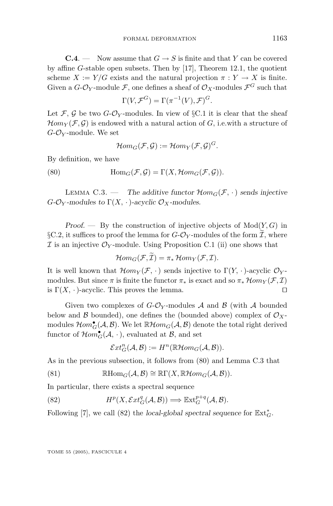**C.4**. — Now assume that  $G \rightarrow S$  is finite and that *Y* can be covered by affine *G*-stable open subsets. Then by [17], Theorem 12.1, the quotient scheme  $X := Y/G$  exists and the natural projection  $\pi : Y \to X$  is finite. Given a  $G\text{-}\mathcal{O}_Y\text{-module }\mathcal{F}$ , one defines a sheaf of  $\mathcal{O}_X\text{-modules }\mathcal{F}^G$  such that

$$
\Gamma(V, \mathcal{F}^G) = \Gamma(\pi^{-1}(V), \mathcal{F})^G.
$$

Let F, G be two  $G\text{-}\mathcal{O}_Y$ -modules. In view of §C.1 it is clear that the sheaf  $\mathcal{H}om_Y(\mathcal{F}, \mathcal{G})$  is endowed with a natural action of *G*, i.e.with a structure of *G*-O*<sup>Y</sup>* -module. We set

$$
\mathcal{H}om_G(\mathcal{F},\mathcal{G}):=\mathcal{H}om_Y(\mathcal{F},\mathcal{G})^G.
$$

By definition, we have

(80) 
$$
\text{Hom}_G(\mathcal{F}, \mathcal{G}) = \Gamma(X, \mathcal{H}om_G(\mathcal{F}, \mathcal{G})).
$$

LEMMA C.3. — The additive functor  $\mathcal{H}om_G(\mathcal{F}, \cdot)$  sends injective  $G$ <sup>*-*O</sup>*Y -modules to*  $\Gamma$ (*X,* · )*-acyclic*  $\mathcal{O}_X$ *-modules.* 

*Proof. —* By the construction of injective objects of Mod(*Y,G*) in §C.2, it suffices to proof the lemma for  $G$ - $\mathcal{O}_Y$ -modules of the form  $\mathcal{I}$ , where  $\mathcal I$  is an injective  $\mathcal O_Y$ -module. Using Proposition C.1 (ii) one shows that

$$
\mathcal{H}om_G(\mathcal{F},\mathcal{I})=\pi_*\mathcal{H}om_Y(\mathcal{F},\mathcal{I}).
$$

It is well known that  $\mathcal{H}om_V(\mathcal{F},\cdot)$  sends injective to  $\Gamma(Y,\cdot)$ -acyclic  $\mathcal{O}_Y$ modules. But since  $\pi$  is finite the functor  $\pi_*$  is exact and so  $\pi_*\mathcal{H}om_Y(\mathcal{F},\mathcal{I})$ is  $\Gamma(X, \cdot)$ -acyclic. This proves the lemma.

Given two complexes of  $G\text{-}\mathcal{O}_Y$ -modules  $\mathcal A$  and  $\mathcal B$  (with  $\mathcal A$  bounded below and  $\beta$  bounded), one defines the (bounded above) complex of  $\mathcal{O}_X$ modules  $\mathcal{H}om_{G}^{\bullet}(\mathcal{A}, \mathcal{B})$ . We let  $\mathbb{R}\mathcal{H}om_{G}(\mathcal{A}, \mathcal{B})$  denote the total right derived functor of  $\mathcal{H}om_{G}^{\bullet}(\mathcal{A}, \cdot)$ , evaluated at  $\mathcal{B}$ , and set

 $\mathcal{E}xt_G^n(\mathcal{A}, \mathcal{B}) := H^n(\mathbb{R}\mathcal{H}om_G(\mathcal{A}, \mathcal{B})).$ 

As in the previous subsection, it follows from (80) and Lemma C.3 that

(81) 
$$
\mathbb{R}\mathrm{Hom}_G(\mathcal{A},\mathcal{B})\cong \mathbb{R}\Gamma(X,\mathbb{R}\mathcal{H}om_G(\mathcal{A},\mathcal{B})).
$$

In particular, there exists a spectral sequence

(82) 
$$
H^p(X, \mathcal{E}xt^q_G(\mathcal{A}, \mathcal{B})) \Longrightarrow \mathbb{E}xt^{p+q}_G(\mathcal{A}, \mathcal{B}).
$$

Following [7], we call (82) the *local-global spectral sequence* for  $\mathbb{E}xt^*_{G}$ .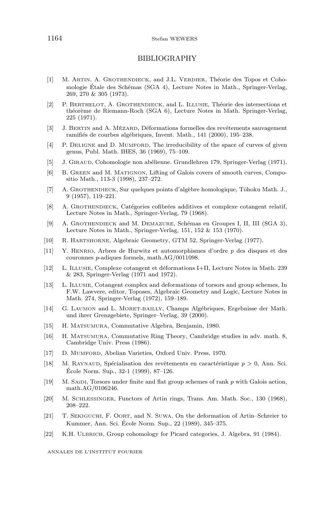#### 1164 Stefan WEWERS

#### BIBLIOGRAPHY

- [1] M. ARTIN, A. GROTHENDIECK, and J.L. VERDIER, Théorie des Topos et Cohomologie Étale des Schémas (SGA 4), Lecture Notes in Math., Springer-Verlag, 269, 270 & 305 (1973).
- [2] P. BERTHELOT, A. GROTHENDIECK, and L. ILLUSIE, Théorie des intersections et théorème de Riemann-Roch (SGA 6), Lecture Notes in Math. Springer-Verlag, 225 (1971).
- [3] J. BERTIN and A. MÉZARD, Déformations formelles des revêtements sauvagement ramifiés de courbes algébriques, Invent. Math., 141 (2000), 195–238.
- [4] P. DELIGNE and D. MUMFORD, The irreducibility of the space of curves of given genus, Publ. Math. IHES, 36 (1969), 75–109.
- [5] J. GIRAUD, Cohomologie non abélienne. Grundlehren 179, Springer-Verlag (1971).
- [6] B. GREEN and M. MATIGNON, Lifting of Galois covers of smooth curves, Compositio Math., 113-3 (1998), 237–272.
- [7] A. GROTHENDIECK, Sur quelques points d'algèbre homologique, Tôhoku Math. J., 9 (1957), 119–221.
- [8] A. GROTHENDIECK, Catégories cofibrées additives et complexe cotangent relatif, Lecture Notes in Math., Springer-Verlag, 79 (1968).
- [9] A. GROTHENDIECK and M. DEMAZURE, Schémas en Groupes I, II, III (SGA 3), Lecture Notes in Math., Springer-Verlag, 151, 152 & 153 (1970).
- [10] R. HARTSHORNE, Algebraic Geometry, GTM 52, Springer-Verlag (1977).
- [11] Y. HENRIO, Arbres de Hurwitz et automorphismes d'ordre p des disques et des couronnes p-adiques formels, math.AG/0011098.
- [12] L. ILLUSIE, Complexe cotangent et d´eformations I+II, Lecture Notes in Math. 239  $& 283$ , Springer-Verlag (1971 and 1972).
- [13] L. ILLUSIE, Cotangent complex and deformations of torsors and group schemes, In F.W. Lawvere, editor, Toposes, Algebraic Geometry and Logic, Lecture Notes in Math. 274, Springer-Verlag (1972), 159–189.
- [14] G. LAUMON and L. MORET-BAILLY, Champs Algébriques, Ergebnisse der Math. undihrer Grenzgebiete, Springer–Verlag, 39 (2000).
- [15] H. MATSUMURA, Commutative Algebra, Benjamin, 1980.
- [16] H. MATSUMURA, Commutative Ring Theory, Cambridge studies in adv. math. 8, Cambridge Univ. Press (1986).
- [17] D. MUMFORD, Abelian Varieties, Oxford Univ. Press, 1970.
- [18] M. RAYNAUD, Spécialisation des revêtements en caractéristique  $p > 0$ , Ann. Sci. Ecole Norm. Sup., 32-1 (1999), 87–126. ´
- [19] M. SA¨ıDI, Torsors under finite and flat group schemes of rank p with Galois action, math.AG/0106246.
- [20] M. SCHLESSINGER, Functors of Artin rings, Trans. Am. Math. Soc., 130 (1968), 208–222.
- [21] T. SEKIGUCHI, F. OORT, and N. SUWA, On the deformation of Artin–Schreier to Kummer, Ann. Sci. Ecole Norm. Sup., 22 (1989), 345–375. ´
- [22] K.H. ULBRICH, Group cohomology for Picard categories, J. Algebra, 91 (1984).